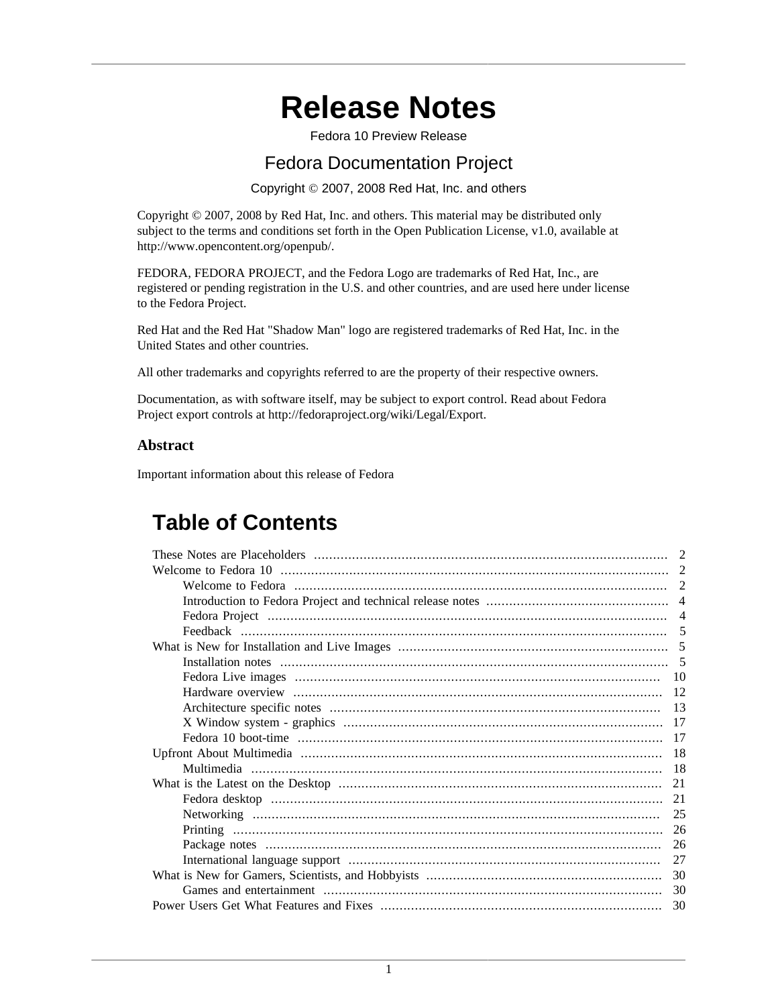# **Release Notes**

Fedora 10 Preview Release

## Fedora Documentation Project

Copyright © 2007, 2008 Red Hat, Inc. and others

Copyright © 2007, 2008 by Red Hat, Inc. and others. This material may be distributed only subject to the terms and conditions set forth in the Open Publication License, v1.0, available at [http://www.opencontent.org/openpub/.](http://www.opencontent.org/openpub/)

FEDORA, FEDORA PROJECT, and the Fedora Logo are trademarks of Red Hat, Inc., are registered or pending registration in the U.S. and other countries, and are used here under license to the Fedora Project.

Red Hat and the Red Hat "Shadow Man" logo are registered trademarks of Red Hat, Inc. in the United States and other countries.

All other trademarks and copyrights referred to are the property of their respective owners.

Documentation, as with software itself, may be subject to export control. Read about Fedora Project export controls at<http://fedoraproject.org/wiki/Legal/Export>.

#### **Abstract**

Important information about this release of Fedora

## **Table of Contents**

|    | 2              |  |  |
|----|----------------|--|--|
|    |                |  |  |
|    | $\overline{4}$ |  |  |
|    |                |  |  |
|    |                |  |  |
|    |                |  |  |
|    |                |  |  |
|    |                |  |  |
|    |                |  |  |
|    | 17             |  |  |
|    | 17             |  |  |
|    |                |  |  |
|    |                |  |  |
| 21 |                |  |  |
|    | 21             |  |  |
|    | 25             |  |  |
|    | 26             |  |  |
|    | 26             |  |  |
|    | 27             |  |  |
| 30 |                |  |  |
|    | 30             |  |  |
|    | 30             |  |  |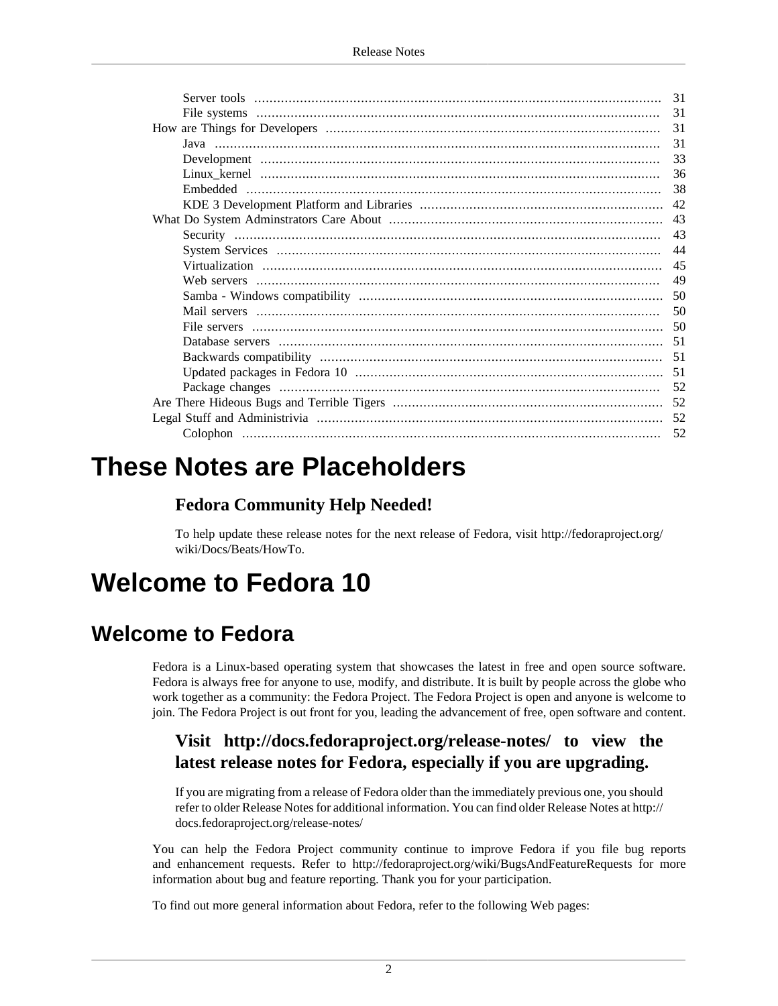|  | 31 |
|--|----|
|  | 31 |
|  | 31 |
|  | 31 |
|  | 33 |
|  | 36 |
|  | 38 |
|  | 42 |
|  |    |
|  | 43 |
|  | 44 |
|  | 45 |
|  | 49 |
|  |    |
|  | 50 |
|  |    |
|  | 51 |
|  |    |
|  |    |
|  | 52 |
|  |    |
|  | 52 |
|  | 52 |
|  |    |

# <span id="page-1-0"></span>**These Notes are Placeholders**

### **Fedora Community Help Needed!**

To help update these release notes for the next release of Fedora, visit [http://fedoraproject.org/](http://fedoraproject.org/wiki/Docs/Beats/HowTo) [wiki/Docs/Beats/HowTo](http://fedoraproject.org/wiki/Docs/Beats/HowTo).

# <span id="page-1-1"></span>**Welcome to Fedora 10**

## <span id="page-1-2"></span>**Welcome to Fedora**

Fedora is a Linux-based operating system that showcases the latest in free and open source software. Fedora is always free for anyone to use, modify, and distribute. It is built by people across the globe who work together as a community: the Fedora Project. The Fedora Project is open and anyone is welcome to join. The Fedora Project is out front for you, leading the advancement of free, open software and content.

## **Visit <http://docs.fedoraproject.org/release-notes/>to view the latest release notes for Fedora, especially if you are upgrading.**

If you are migrating from a release of Fedora older than the immediately previous one, you should refer to older Release Notes for additional information. You can find older Release Notes at [http://](http://docs.fedoraproject.org/release-notes/) [docs.fedoraproject.org/release-notes/](http://docs.fedoraproject.org/release-notes/)

You can help the Fedora Project community continue to improve Fedora if you file bug reports and enhancement requests. Refer to <http://fedoraproject.org/wiki/BugsAndFeatureRequests>for more information about bug and feature reporting. Thank you for your participation.

To find out more general information about Fedora, refer to the following Web pages: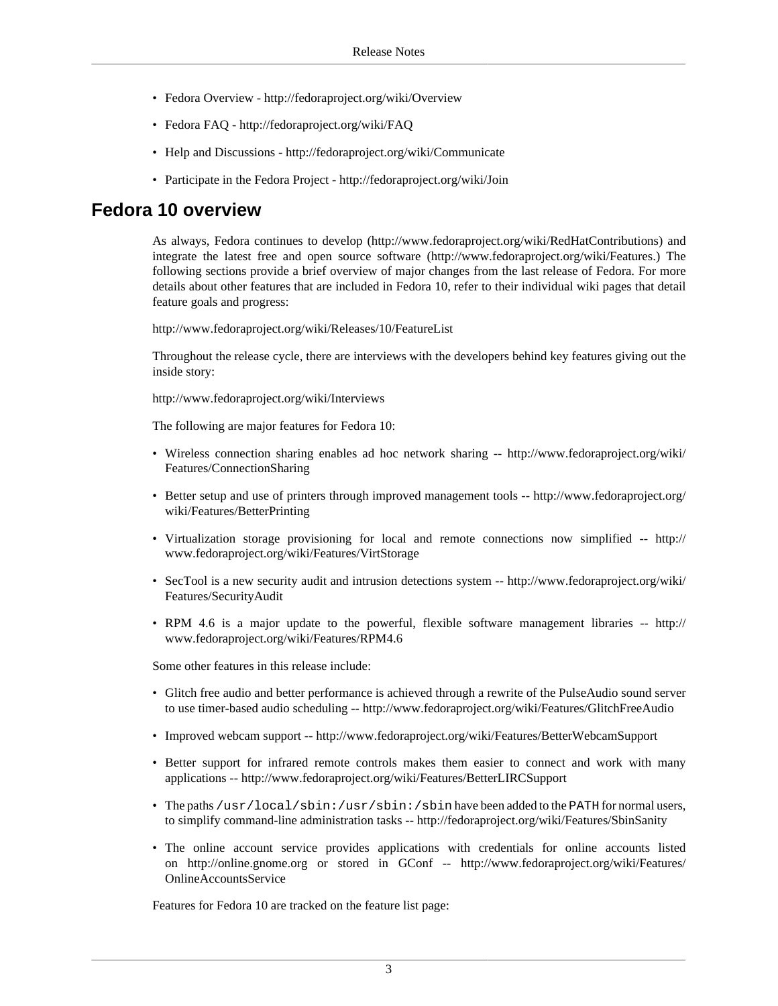- Fedora Overview -<http://fedoraproject.org/wiki/Overview>
- Fedora FAQ <http://fedoraproject.org/wiki/FAQ>
- Help and Discussions <http://fedoraproject.org/wiki/Communicate>
- Participate in the Fedora Project -<http://fedoraproject.org/wiki/Join>

#### **Fedora 10 overview**

As always, Fedora continues to develop [\(http://www.fedoraproject.org/wiki/RedHatContributions\)](http://www.fedoraproject.org/wiki/RedHatContributions) and integrate the latest free and open source software [\(http://www.fedoraproject.org/wiki/Features.](http://www.fedoraproject.org/wiki/Features)) The following sections provide a brief overview of major changes from the last release of Fedora. For more details about other features that are included in Fedora 10, refer to their individual wiki pages that detail feature goals and progress:

<http://www.fedoraproject.org/wiki/Releases/10/FeatureList>

Throughout the release cycle, there are interviews with the developers behind key features giving out the inside story:

<http://www.fedoraproject.org/wiki/Interviews>

The following are major features for Fedora 10:

- Wireless connection sharing enables ad hoc network sharing -- [http://www.fedoraproject.org/wiki/](http://www.fedoraproject.org/wiki/Features/ConnectionSharing) [Features/ConnectionSharing](http://www.fedoraproject.org/wiki/Features/ConnectionSharing)
- Better setup and use of printers through improved management tools -- [http://www.fedoraproject.org/](http://www.fedoraproject.org/wiki/Features/BetterPrinting) [wiki/Features/BetterPrinting](http://www.fedoraproject.org/wiki/Features/BetterPrinting)
- Virtualization storage provisioning for local and remote connections now simplified -- [http://](http://www.fedoraproject.org/wiki/Features/VirtStorage) [www.fedoraproject.org/wiki/Features/VirtStorage](http://www.fedoraproject.org/wiki/Features/VirtStorage)
- SecTool is a new security audit and intrusion detections system -- [http://www.fedoraproject.org/wiki/](http://www.fedoraproject.org/wiki/Features/SecurityAudit) [Features/SecurityAudit](http://www.fedoraproject.org/wiki/Features/SecurityAudit)
- RPM 4.6 is a major update to the powerful, flexible software management libraries -- [http://](http://www.fedoraproject.org/wiki/Features/RPM4.6) [www.fedoraproject.org/wiki/Features/RPM4.6](http://www.fedoraproject.org/wiki/Features/RPM4.6)

Some other features in this release include:

- Glitch free audio and better performance is achieved through a rewrite of the PulseAudio sound server to use timer-based audio scheduling -- <http://www.fedoraproject.org/wiki/Features/GlitchFreeAudio>
- Improved webcam support -- <http://www.fedoraproject.org/wiki/Features/BetterWebcamSupport>
- Better support for infrared remote controls makes them easier to connect and work with many applications -- <http://www.fedoraproject.org/wiki/Features/BetterLIRCSupport>
- The paths /usr/local/sbin:/usr/sbin:/sbin have been added to the PATH for normal users, to simplify command-line administration tasks --<http://fedoraproject.org/wiki/Features/SbinSanity>
- The online account service provides applications with credentials for online accounts listed on <http://online.gnome.org> or stored in GConf -- [http://www.fedoraproject.org/wiki/Features/](http://www.fedoraproject.org/wiki/Features/OnlineAccountsService) [OnlineAccountsService](http://www.fedoraproject.org/wiki/Features/OnlineAccountsService)

Features for Fedora 10 are tracked on the feature list page: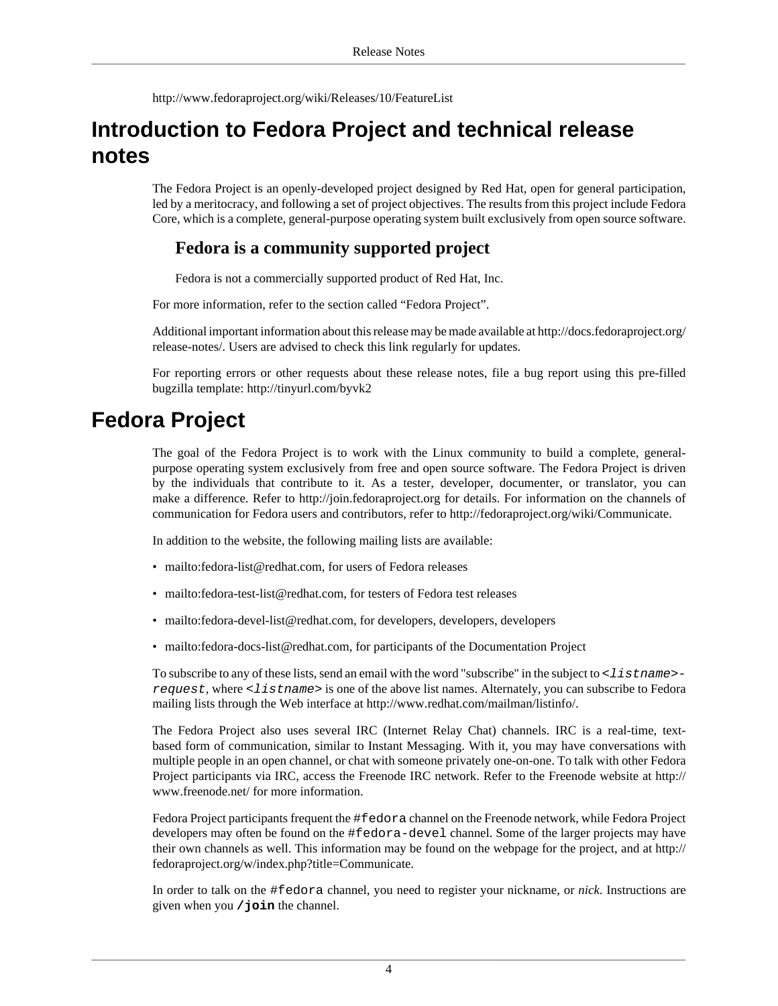<http://www.fedoraproject.org/wiki/Releases/10/FeatureList>

## <span id="page-3-0"></span>**Introduction to Fedora Project and technical release notes**

The Fedora Project is an openly-developed project designed by Red Hat, open for general participation, led by a meritocracy, and following a set of project objectives. The results from this project include Fedora Core, which is a complete, general-purpose operating system built exclusively from open source software.

#### **Fedora is a community supported project**

Fedora is not a commercially supported product of Red Hat, Inc.

For more information, refer to [the section called "Fedora Project".](#page-3-1)

Additional important information about this release may be made available at [http://docs.fedoraproject.org/](http://docs.fedoraproject.org/release-notes/) [release-notes/.](http://docs.fedoraproject.org/release-notes/) Users are advised to check this link regularly for updates.

For reporting errors or other requests about these release notes, file a bug report using this pre-filled bugzilla template:<http://tinyurl.com/byvk2>

## <span id="page-3-1"></span>**Fedora Project**

The goal of the Fedora Project is to work with the Linux community to build a complete, generalpurpose operating system exclusively from free and open source software. The Fedora Project is driven by the individuals that contribute to it. As a tester, developer, documenter, or translator, you can make a difference. Refer to <http://join.fedoraproject.org>for details. For information on the channels of communication for Fedora users and contributors, refer to [http://fedoraproject.org/wiki/Communicate.](http://fedoraproject.org/wiki/Communicate)

In addition to the website, the following mailing lists are available:

- <mailto:fedora-list@redhat.com>, for users of Fedora releases
- [mailto:fedora-test-list@redhat.com,](mailto:fedora-test-list@redhat.com) for testers of Fedora test releases
- <mailto:fedora-devel-list@redhat.com>, for developers, developers, developers
- <mailto:fedora-docs-list@redhat.com>, for participants of the Documentation Project

To subscribe to any of these lists, send an email with the word "subscribe" in the subject to  $\leq$  1 is the new request, where <listname> is one of the above list names. Alternately, you can subscribe to Fedora mailing lists through the Web interface at <http://www.redhat.com/mailman/listinfo/>.

The Fedora Project also uses several IRC (Internet Relay Chat) channels. IRC is a real-time, textbased form of communication, similar to Instant Messaging. With it, you may have conversations with multiple people in an open channel, or chat with someone privately one-on-one. To talk with other Fedora Project participants via IRC, access the Freenode IRC network. Refer to the Freenode website at [http://](http://www.freenode.net/) [www.freenode.net/](http://www.freenode.net/) for more information.

Fedora Project participants frequent the #fedora channel on the Freenode network, while Fedora Project developers may often be found on the #fedora-devel channel. Some of the larger projects may have their own channels as well. This information may be found on the webpage for the project, and at [http://](http://fedoraproject.org/w/index.php?title=Communicate) [fedoraproject.org/w/index.php?title=Communicate](http://fedoraproject.org/w/index.php?title=Communicate).

In order to talk on the #fedora channel, you need to register your nickname, or *nick*. Instructions are given when you **/join** the channel.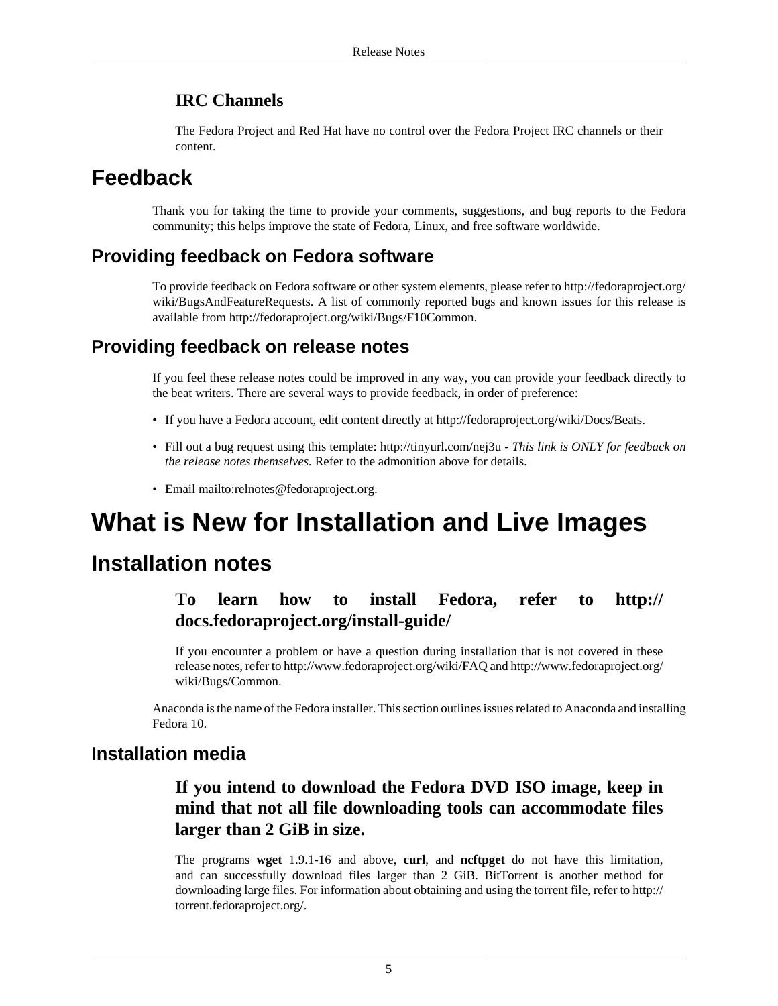#### **IRC Channels**

The Fedora Project and Red Hat have no control over the Fedora Project IRC channels or their content.

## <span id="page-4-0"></span>**Feedback**

Thank you for taking the time to provide your comments, suggestions, and bug reports to the Fedora community; this helps improve the state of Fedora, Linux, and free software worldwide.

### **Providing feedback on Fedora software**

To provide feedback on Fedora software or other system elements, please refer to [http://fedoraproject.org/](http://fedoraproject.org/wiki/BugsAndFeatureRequests) [wiki/BugsAndFeatureRequests](http://fedoraproject.org/wiki/BugsAndFeatureRequests). A list of commonly reported bugs and known issues for this release is available from <http://fedoraproject.org/wiki/Bugs/F10Common>.

### **Providing feedback on release notes**

If you feel these release notes could be improved in any way, you can provide your feedback directly to the beat writers. There are several ways to provide feedback, in order of preference:

- If you have a Fedora account, edit content directly at <http://fedoraproject.org/wiki/Docs/Beats>.
- Fill out a bug request using this template:<http://tinyurl.com/nej3u> *This link is ONLY for feedback on the release notes themselves.* Refer to the admonition above for details.
- Email [mailto:relnotes@fedoraproject.org.](mailto:relnotes@fedoraproject.org)

# <span id="page-4-1"></span>**What is New for Installation and Live Images**

## <span id="page-4-2"></span>**Installation notes**

## **To learn how to install Fedora, refer to [http://](http://docs.fedoraproject.org/install-guide/) [docs.fedoraproject.org/install-guide/](http://docs.fedoraproject.org/install-guide/)**

If you encounter a problem or have a question during installation that is not covered in these release notes, refer to<http://www.fedoraproject.org/wiki/FAQ>and [http://www.fedoraproject.org/](http://www.fedoraproject.org/wiki/Bugs/Common) [wiki/Bugs/Common](http://www.fedoraproject.org/wiki/Bugs/Common).

Anaconda is the name of the Fedora installer. This section outlines issues related to Anaconda and installing Fedora 10.

#### **Installation media**

## **If you intend to download the Fedora DVD ISO image, keep in mind that not all file downloading tools can accommodate files larger than 2 GiB in size.**

The programs **wget** 1.9.1-16 and above, **curl**, and **ncftpget** do not have this limitation, and can successfully download files larger than 2 GiB. BitTorrent is another method for downloading large files. For information about obtaining and using the torrent file, refer to [http://](http://torrent.fedoraproject.org/) [torrent.fedoraproject.org/](http://torrent.fedoraproject.org/).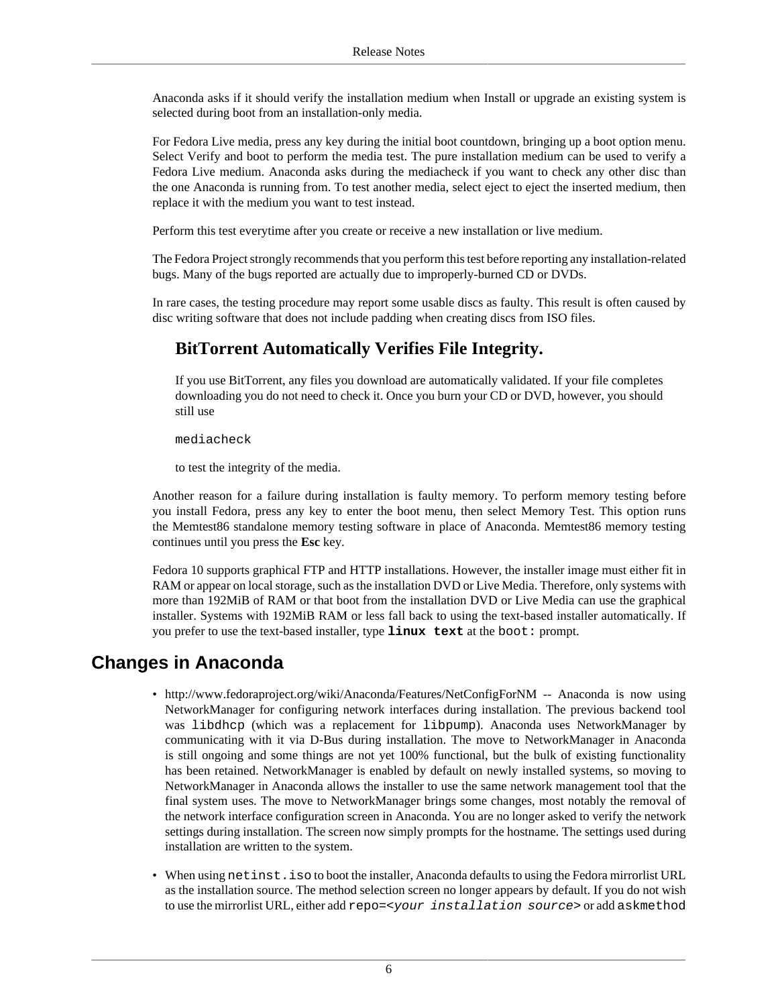Anaconda asks if it should verify the installation medium when Install or upgrade an existing system is selected during boot from an installation-only media.

For Fedora Live media, press any key during the initial boot countdown, bringing up a boot option menu. Select Verify and boot to perform the media test. The pure installation medium can be used to verify a Fedora Live medium. Anaconda asks during the mediacheck if you want to check any other disc than the one Anaconda is running from. To test another media, select eject to eject the inserted medium, then replace it with the medium you want to test instead.

Perform this test everytime after you create or receive a new installation or live medium.

The Fedora Project strongly recommends that you perform this test before reporting any installation-related bugs. Many of the bugs reported are actually due to improperly-burned CD or DVDs.

In rare cases, the testing procedure may report some usable discs as faulty. This result is often caused by disc writing software that does not include padding when creating discs from ISO files.

## **BitTorrent Automatically Verifies File Integrity.**

If you use BitTorrent, any files you download are automatically validated. If your file completes downloading you do not need to check it. Once you burn your CD or DVD, however, you should still use

mediacheck

to test the integrity of the media.

Another reason for a failure during installation is faulty memory. To perform memory testing before you install Fedora, press any key to enter the boot menu, then select Memory Test. This option runs the Memtest86 standalone memory testing software in place of Anaconda. Memtest86 memory testing continues until you press the **Esc** key.

Fedora 10 supports graphical FTP and HTTP installations. However, the installer image must either fit in RAM or appear on local storage, such as the installation DVD or Live Media. Therefore, only systems with more than 192MiB of RAM or that boot from the installation DVD or Live Media can use the graphical installer. Systems with 192MiB RAM or less fall back to using the text-based installer automatically. If you prefer to use the text-based installer, type **linux text** at the boot: prompt.

### **Changes in Anaconda**

- <http://www.fedoraproject.org/wiki/Anaconda/Features/NetConfigForNM>-- Anaconda is now using NetworkManager for configuring network interfaces during installation. The previous backend tool was libdhcp (which was a replacement for libpump). Anaconda uses NetworkManager by communicating with it via D-Bus during installation. The move to NetworkManager in Anaconda is still ongoing and some things are not yet 100% functional, but the bulk of existing functionality has been retained. NetworkManager is enabled by default on newly installed systems, so moving to NetworkManager in Anaconda allows the installer to use the same network management tool that the final system uses. The move to NetworkManager brings some changes, most notably the removal of the network interface configuration screen in Anaconda. You are no longer asked to verify the network settings during installation. The screen now simply prompts for the hostname. The settings used during installation are written to the system.
- When using netinst. iso to boot the installer, Anaconda defaults to using the Fedora mirrorlist URL as the installation source. The method selection screen no longer appears by default. If you do not wish to use the mirrorlist URL, either add repo=<your installation source> or add askmethod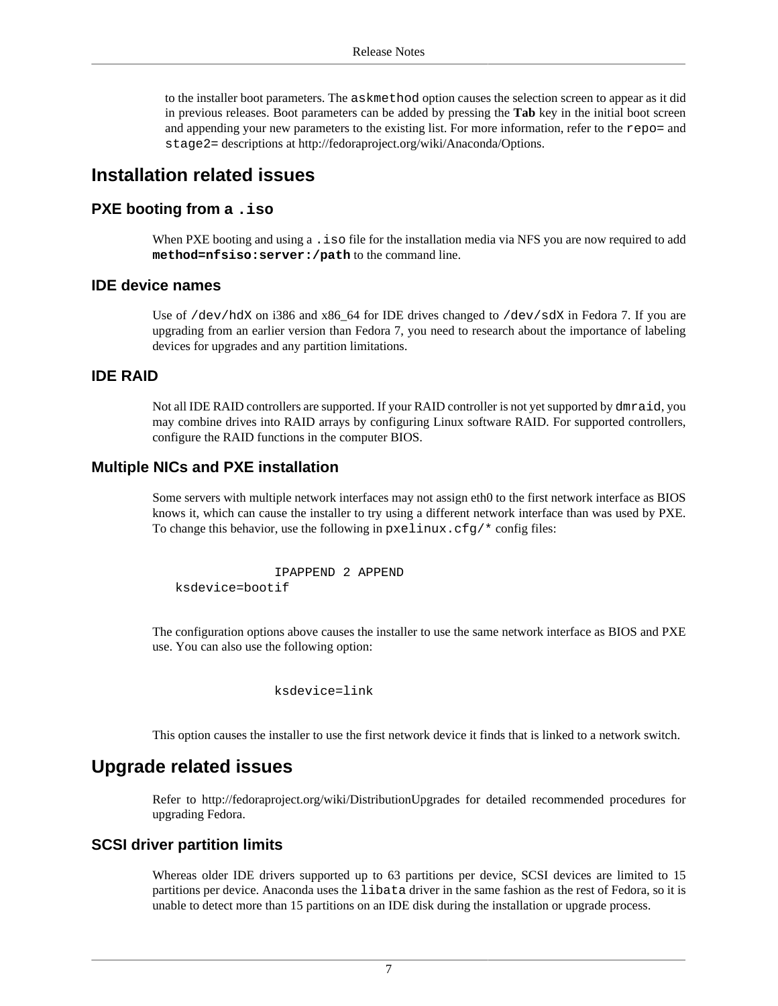to the installer boot parameters. The askmethod option causes the selection screen to appear as it did in previous releases. Boot parameters can be added by pressing the **Tab** key in the initial boot screen and appending your new parameters to the existing list. For more information, refer to the repo= and stage2= descriptions at<http://fedoraproject.org/wiki/Anaconda/Options>.

#### **Installation related issues**

#### **PXE booting from a .iso**

When PXE booting and using a . iso file for the installation media via NFS you are now required to add **method=nfsiso:server:/path** to the command line.

#### **IDE device names**

Use of /dev/hdX on i386 and x86\_64 for IDE drives changed to /dev/sdX in Fedora 7. If you are upgrading from an earlier version than Fedora 7, you need to research about the importance of labeling devices for upgrades and any partition limitations.

#### **IDE RAID**

Not all IDE RAID controllers are supported. If your RAID controller is not yet supported by dmraid, you may combine drives into RAID arrays by configuring Linux software RAID. For supported controllers, configure the RAID functions in the computer BIOS.

#### **Multiple NICs and PXE installation**

Some servers with multiple network interfaces may not assign eth0 to the first network interface as BIOS knows it, which can cause the installer to try using a different network interface than was used by PXE. To change this behavior, use the following in pxelinux.cfg/\* config files:

 IPAPPEND 2 APPEND ksdevice=bootif

The configuration options above causes the installer to use the same network interface as BIOS and PXE use. You can also use the following option:

ksdevice=link

This option causes the installer to use the first network device it finds that is linked to a network switch.

#### **Upgrade related issues**

Refer to <http://fedoraproject.org/wiki/DistributionUpgrades> for detailed recommended procedures for upgrading Fedora.

#### **SCSI driver partition limits**

Whereas older IDE drivers supported up to 63 partitions per device, SCSI devices are limited to 15 partitions per device. Anaconda uses the libata driver in the same fashion as the rest of Fedora, so it is unable to detect more than 15 partitions on an IDE disk during the installation or upgrade process.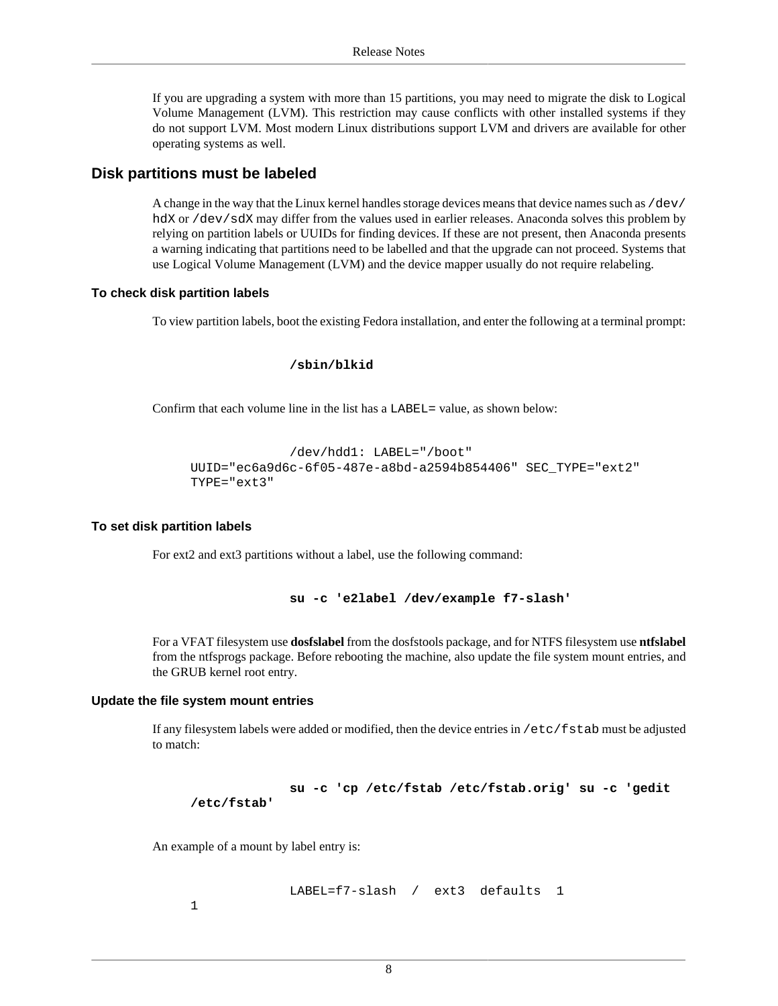If you are upgrading a system with more than 15 partitions, you may need to migrate the disk to Logical Volume Management (LVM). This restriction may cause conflicts with other installed systems if they do not support LVM. Most modern Linux distributions support LVM and drivers are available for other operating systems as well.

#### **Disk partitions must be labeled**

A change in the way that the Linux kernel handles storage devices means that device names such as /dev/ hdX or /dev/sdX may differ from the values used in earlier releases. Anaconda solves this problem by relying on partition labels or UUIDs for finding devices. If these are not present, then Anaconda presents a warning indicating that partitions need to be labelled and that the upgrade can not proceed. Systems that use Logical Volume Management (LVM) and the device mapper usually do not require relabeling.

#### **To check disk partition labels**

To view partition labels, boot the existing Fedora installation, and enter the following at a terminal prompt:

#### **/sbin/blkid**

Confirm that each volume line in the list has a LABEL= value, as shown below:

```
 /dev/hdd1: LABEL="/boot"
UUID="ec6a9d6c-6f05-487e-a8bd-a2594b854406" SEC_TYPE="ext2"
TYPE="ext3"
```
#### **To set disk partition labels**

For ext2 and ext3 partitions without a label, use the following command:

**su -c 'e2label /dev/example f7-slash'**

For a VFAT filesystem use **dosfslabel** from the dosfstools package, and for NTFS filesystem use **ntfslabel** from the ntfsprogs package. Before rebooting the machine, also update the file system mount entries, and the GRUB kernel root entry.

#### **Update the file system mount entries**

If any filesystem labels were added or modified, then the device entries in /etc/fstab must be adjusted to match:

 **su -c 'cp /etc/fstab /etc/fstab.orig' su -c 'gedit /etc/fstab'**

An example of a mount by label entry is:

LABEL=f7-slash / ext3 defaults 1

1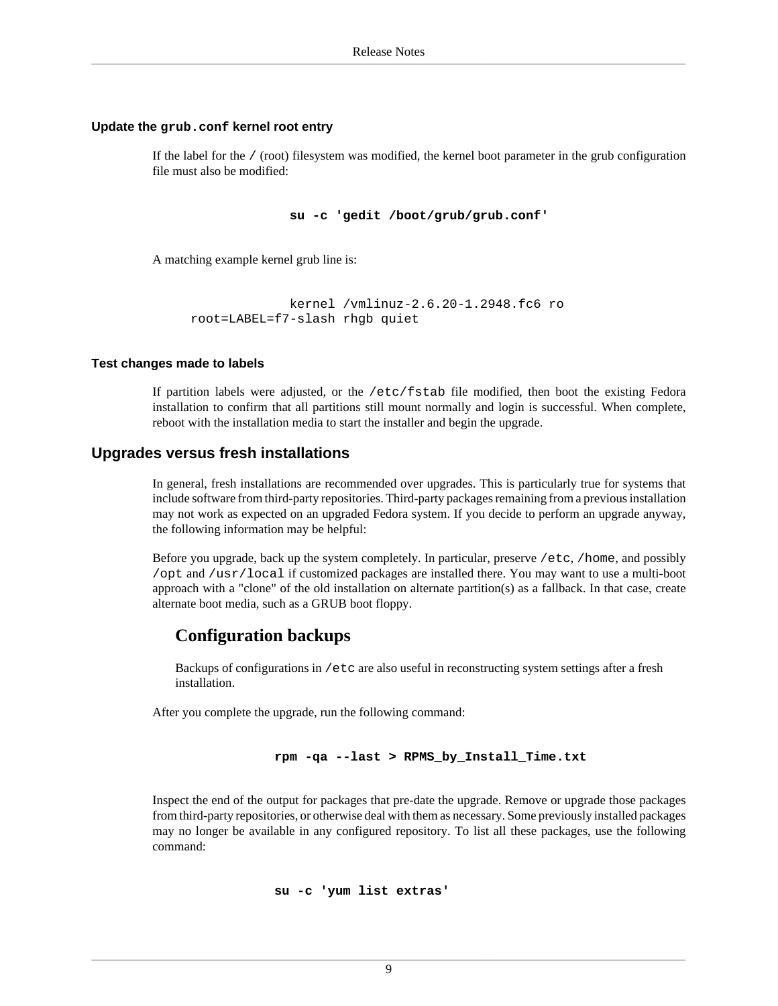#### **Update the grub.conf kernel root entry**

If the label for the / (root) filesystem was modified, the kernel boot parameter in the grub configuration file must also be modified:

```
 su -c 'gedit /boot/grub/grub.conf'
```
A matching example kernel grub line is:

```
 kernel /vmlinuz-2.6.20-1.2948.fc6 ro
root=LABEL=f7-slash rhgb quiet
```
#### **Test changes made to labels**

If partition labels were adjusted, or the /etc/fstab file modified, then boot the existing Fedora installation to confirm that all partitions still mount normally and login is successful. When complete, reboot with the installation media to start the installer and begin the upgrade.

#### **Upgrades versus fresh installations**

In general, fresh installations are recommended over upgrades. This is particularly true for systems that include software from third-party repositories. Third-party packages remaining from a previous installation may not work as expected on an upgraded Fedora system. If you decide to perform an upgrade anyway, the following information may be helpful:

Before you upgrade, back up the system completely. In particular, preserve /etc, /home, and possibly /opt and /usr/local if customized packages are installed there. You may want to use a multi-boot approach with a "clone" of the old installation on alternate partition(s) as a fallback. In that case, create alternate boot media, such as a GRUB boot floppy.

#### **Configuration backups**

Backups of configurations in /etc are also useful in reconstructing system settings after a fresh installation.

After you complete the upgrade, run the following command:

```
 rpm -qa --last > RPMS_by_Install_Time.txt
```
Inspect the end of the output for packages that pre-date the upgrade. Remove or upgrade those packages from third-party repositories, or otherwise deal with them as necessary. Some previously installed packages may no longer be available in any configured repository. To list all these packages, use the following command:

```
 su -c 'yum list extras'
```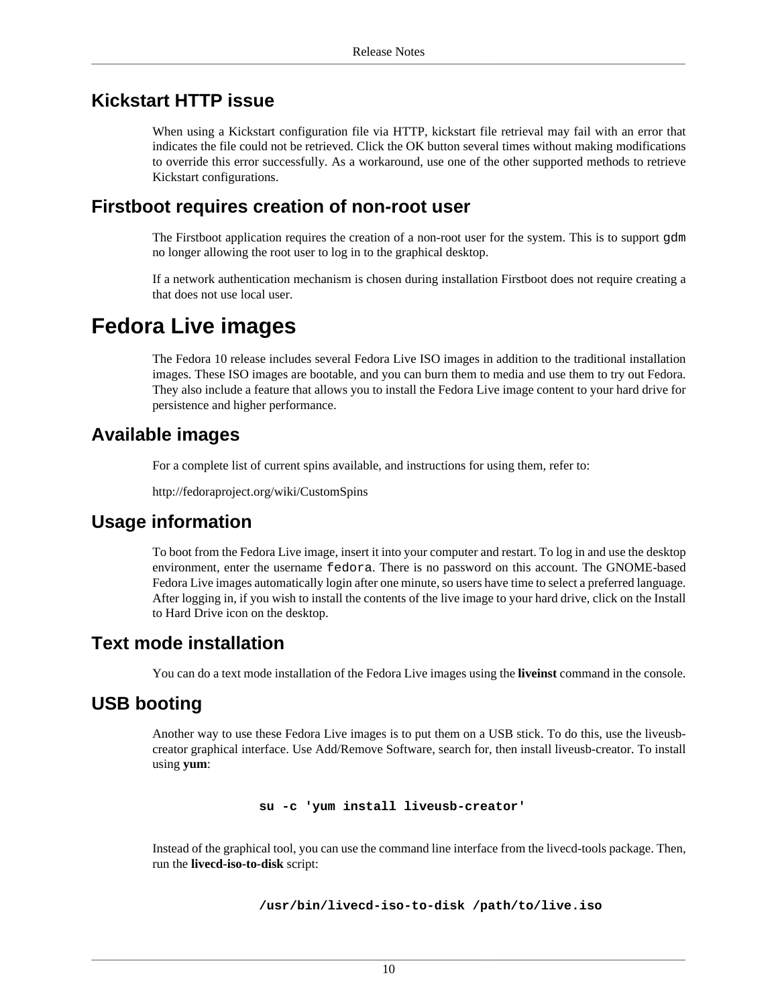### **Kickstart HTTP issue**

When using a Kickstart configuration file via HTTP, kickstart file retrieval may fail with an error that indicates the file could not be retrieved. Click the OK button several times without making modifications to override this error successfully. As a workaround, use one of the other supported methods to retrieve Kickstart configurations.

#### **Firstboot requires creation of non-root user**

The Firstboot application requires the creation of a non-root user for the system. This is to support gdm no longer allowing the root user to log in to the graphical desktop.

If a network authentication mechanism is chosen during installation Firstboot does not require creating a that does not use local user.

## <span id="page-9-0"></span>**Fedora Live images**

The Fedora 10 release includes several Fedora Live ISO images in addition to the traditional installation images. These ISO images are bootable, and you can burn them to media and use them to try out Fedora. They also include a feature that allows you to install the Fedora Live image content to your hard drive for persistence and higher performance.

## **Available images**

For a complete list of current spins available, and instructions for using them, refer to:

<http://fedoraproject.org/wiki/CustomSpins>

### **Usage information**

To boot from the Fedora Live image, insert it into your computer and restart. To log in and use the desktop environment, enter the username fedora. There is no password on this account. The GNOME-based Fedora Live images automatically login after one minute, so users have time to select a preferred language. After logging in, if you wish to install the contents of the live image to your hard drive, click on the Install to Hard Drive icon on the desktop.

### **Text mode installation**

You can do a text mode installation of the Fedora Live images using the **liveinst** command in the console.

## **USB booting**

Another way to use these Fedora Live images is to put them on a USB stick. To do this, use the liveusbcreator graphical interface. Use Add/Remove Software, search for, then install liveusb-creator. To install using **yum**:

**su -c 'yum install liveusb-creator'**

Instead of the graphical tool, you can use the command line interface from the livecd-tools package. Then, run the **livecd-iso-to-disk** script:

```
 /usr/bin/livecd-iso-to-disk /path/to/live.iso
```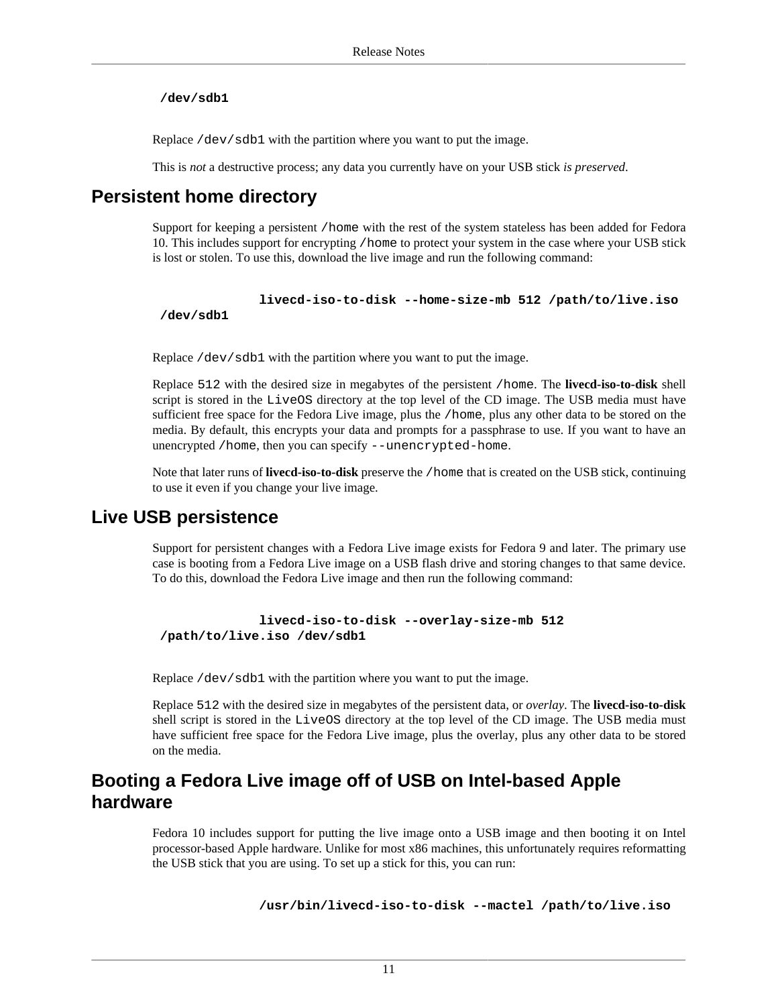#### **/dev/sdb1**

Replace /dev/sdb1 with the partition where you want to put the image.

This is *not* a destructive process; any data you currently have on your USB stick *is preserved*.

## **Persistent home directory**

Support for keeping a persistent /home with the rest of the system stateless has been added for Fedora 10. This includes support for encrypting /home to protect your system in the case where your USB stick is lost or stolen. To use this, download the live image and run the following command:

```
 livecd-iso-to-disk --home-size-mb 512 /path/to/live.iso
```
 **/dev/sdb1**

Replace /dev/sdb1 with the partition where you want to put the image.

Replace 512 with the desired size in megabytes of the persistent /home. The **livecd-iso-to-disk** shell script is stored in the LiveOS directory at the top level of the CD image. The USB media must have sufficient free space for the Fedora Live image, plus the /home, plus any other data to be stored on the media. By default, this encrypts your data and prompts for a passphrase to use. If you want to have an unencrypted /home, then you can specify --unencrypted-home.

Note that later runs of **livecd-iso-to-disk** preserve the /home that is created on the USB stick, continuing to use it even if you change your live image.

#### **Live USB persistence**

Support for persistent changes with a Fedora Live image exists for Fedora 9 and later. The primary use case is booting from a Fedora Live image on a USB flash drive and storing changes to that same device. To do this, download the Fedora Live image and then run the following command:

```
 livecd-iso-to-disk --overlay-size-mb 512
/path/to/live.iso /dev/sdb1
```
Replace /dev/sdb1 with the partition where you want to put the image.

Replace 512 with the desired size in megabytes of the persistent data, or *overlay*. The **livecd-iso-to-disk** shell script is stored in the LiveOS directory at the top level of the CD image. The USB media must have sufficient free space for the Fedora Live image, plus the overlay, plus any other data to be stored on the media.

## **Booting a Fedora Live image off of USB on Intel-based Apple hardware**

Fedora 10 includes support for putting the live image onto a USB image and then booting it on Intel processor-based Apple hardware. Unlike for most x86 machines, this unfortunately requires reformatting the USB stick that you are using. To set up a stick for this, you can run:

```
 /usr/bin/livecd-iso-to-disk --mactel /path/to/live.iso
```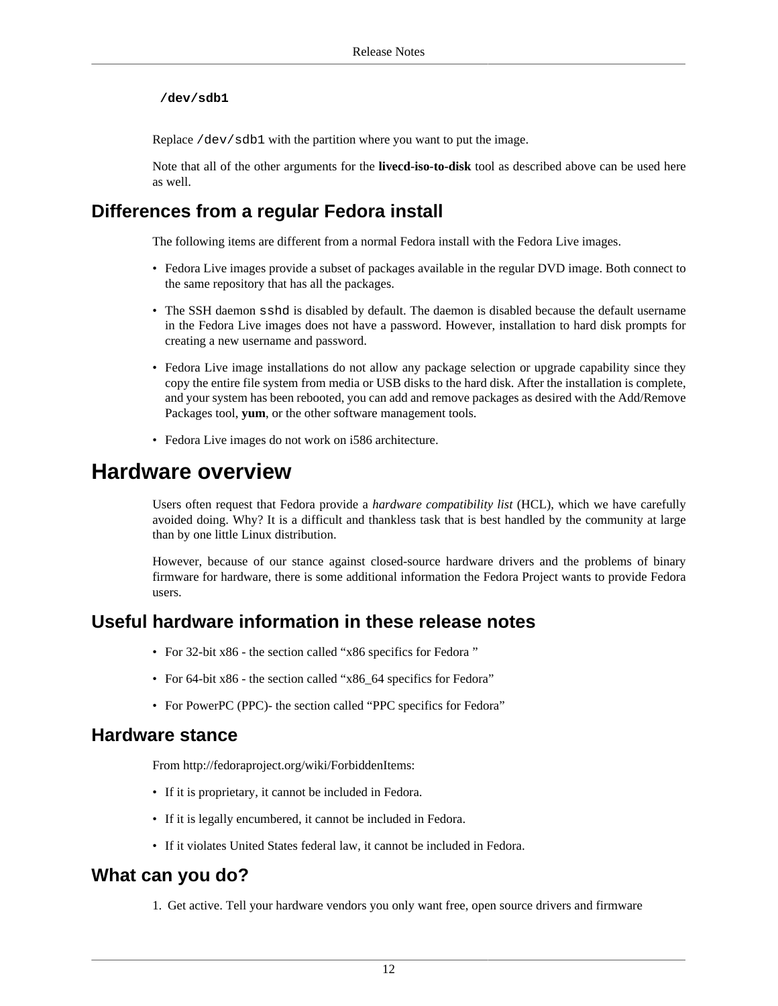#### **/dev/sdb1**

Replace /dev/sdb1 with the partition where you want to put the image.

Note that all of the other arguments for the **livecd-iso-to-disk** tool as described above can be used here as well.

## **Differences from a regular Fedora install**

The following items are different from a normal Fedora install with the Fedora Live images.

- Fedora Live images provide a subset of packages available in the regular DVD image. Both connect to the same repository that has all the packages.
- The SSH daemon sshd is disabled by default. The daemon is disabled because the default username in the Fedora Live images does not have a password. However, installation to hard disk prompts for creating a new username and password.
- Fedora Live image installations do not allow any package selection or upgrade capability since they copy the entire file system from media or USB disks to the hard disk. After the installation is complete, and your system has been rebooted, you can add and remove packages as desired with the Add/Remove Packages tool, **yum**, or the other software management tools.
- Fedora Live images do not work on i586 architecture.

## <span id="page-11-0"></span>**Hardware overview**

Users often request that Fedora provide a *hardware compatibility list* (HCL), which we have carefully avoided doing. Why? It is a difficult and thankless task that is best handled by the community at large than by one little Linux distribution.

However, because of our stance against closed-source hardware drivers and the problems of binary firmware for hardware, there is some additional information the Fedora Project wants to provide Fedora users.

#### **Useful hardware information in these release notes**

- For 32-bit x86 - [the section called "x86 specifics for Fedora "](#page-12-1)
- For 64-bit x86 the section called "x86 64 specifics for Fedora"
- For PowerPC (PPC)- [the section called "PPC specifics for Fedora"](#page-13-1)

#### **Hardware stance**

From [http://fedoraproject.org/wiki/ForbiddenItems:](http://fedoraproject.org/wiki/ForbiddenItems)

- If it is proprietary, it cannot be included in Fedora.
- If it is legally encumbered, it cannot be included in Fedora.
- If it violates United States federal law, it cannot be included in Fedora.

## **What can you do?**

1. Get active. Tell your hardware vendors you only want free, open source drivers and firmware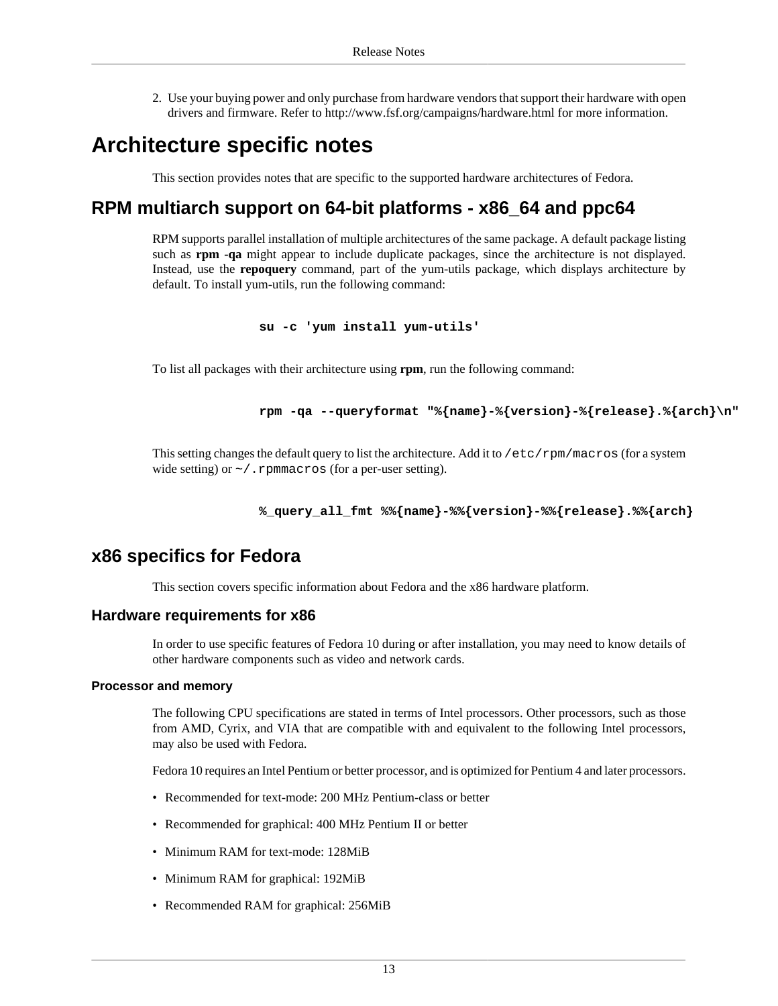2. Use your buying power and only purchase from hardware vendors that support their hardware with open drivers and firmware. Refer to <http://www.fsf.org/campaigns/hardware.html>for more information.

## <span id="page-12-0"></span>**Architecture specific notes**

This section provides notes that are specific to the supported hardware architectures of Fedora.

## **RPM multiarch support on 64-bit platforms - x86\_64 and ppc64**

RPM supports parallel installation of multiple architectures of the same package. A default package listing such as **rpm -qa** might appear to include duplicate packages, since the architecture is not displayed. Instead, use the **repoquery** command, part of the yum-utils package, which displays architecture by default. To install yum-utils, run the following command:

**su -c 'yum install yum-utils'**

To list all packages with their architecture using **rpm**, run the following command:

**rpm -qa --queryformat "%{name}-%{version}-%{release}.%{arch}\n"**

This setting changes the default query to list the architecture. Add it to /etc/rpm/macros (for a system wide setting) or  $\sim$  /. rpmmacros (for a per-user setting).

```
 %_query_all_fmt %%{name}-%%{version}-%%{release}.%%{arch}
```
### <span id="page-12-1"></span>**x86 specifics for Fedora**

This section covers specific information about Fedora and the x86 hardware platform.

#### **Hardware requirements for x86**

In order to use specific features of Fedora 10 during or after installation, you may need to know details of other hardware components such as video and network cards.

#### **Processor and memory**

The following CPU specifications are stated in terms of Intel processors. Other processors, such as those from AMD, Cyrix, and VIA that are compatible with and equivalent to the following Intel processors, may also be used with Fedora.

Fedora 10 requires an Intel Pentium or better processor, and is optimized for Pentium 4 and later processors.

- Recommended for text-mode: 200 MHz Pentium-class or better
- Recommended for graphical: 400 MHz Pentium II or better
- Minimum RAM for text-mode: 128MiB
- Minimum RAM for graphical: 192MiB
- Recommended RAM for graphical: 256MiB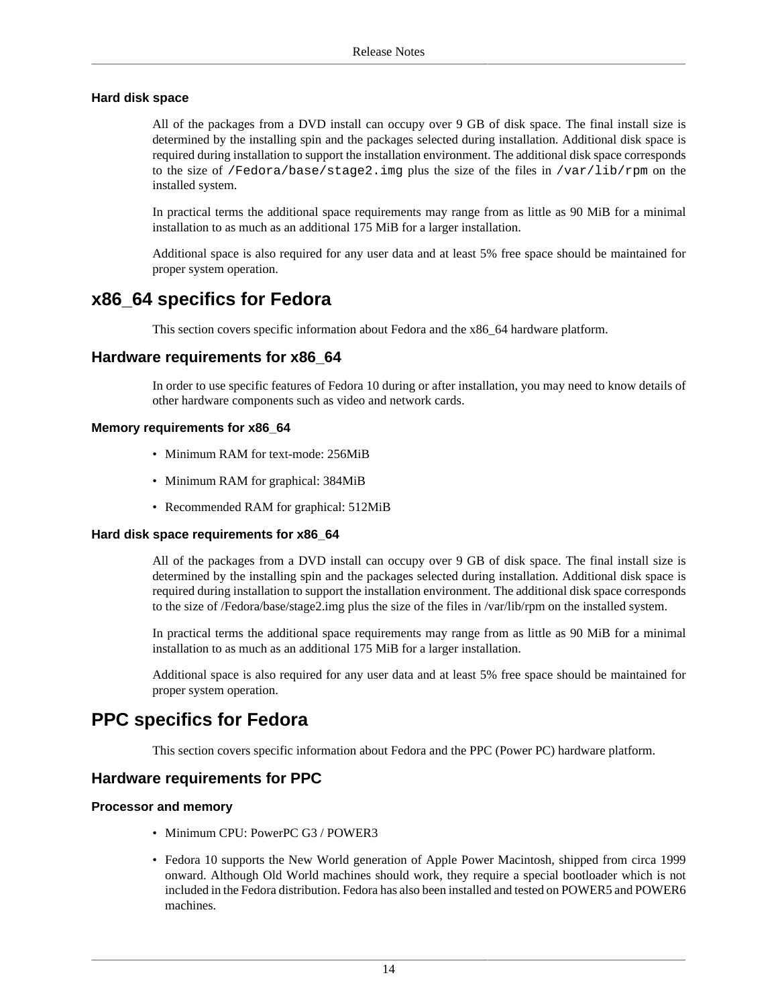#### **Hard disk space**

All of the packages from a DVD install can occupy over 9 GB of disk space. The final install size is determined by the installing spin and the packages selected during installation. Additional disk space is required during installation to support the installation environment. The additional disk space corresponds to the size of /Fedora/base/stage2.img plus the size of the files in /var/lib/rpm on the installed system.

In practical terms the additional space requirements may range from as little as 90 MiB for a minimal installation to as much as an additional 175 MiB for a larger installation.

Additional space is also required for any user data and at least 5% free space should be maintained for proper system operation.

### <span id="page-13-0"></span>**x86\_64 specifics for Fedora**

This section covers specific information about Fedora and the x86\_64 hardware platform.

#### **Hardware requirements for x86\_64**

In order to use specific features of Fedora 10 during or after installation, you may need to know details of other hardware components such as video and network cards.

#### **Memory requirements for x86\_64**

- Minimum RAM for text-mode: 256MiB
- Minimum RAM for graphical: 384MiB
- Recommended RAM for graphical: 512MiB

#### **Hard disk space requirements for x86\_64**

All of the packages from a DVD install can occupy over 9 GB of disk space. The final install size is determined by the installing spin and the packages selected during installation. Additional disk space is required during installation to support the installation environment. The additional disk space corresponds to the size of /Fedora/base/stage2.img plus the size of the files in /var/lib/rpm on the installed system.

In practical terms the additional space requirements may range from as little as 90 MiB for a minimal installation to as much as an additional 175 MiB for a larger installation.

Additional space is also required for any user data and at least 5% free space should be maintained for proper system operation.

### <span id="page-13-1"></span>**PPC specifics for Fedora**

This section covers specific information about Fedora and the PPC (Power PC) hardware platform.

#### **Hardware requirements for PPC**

#### **Processor and memory**

- Minimum CPU: PowerPC G3 / POWER3
- Fedora 10 supports the New World generation of Apple Power Macintosh, shipped from circa 1999 onward. Although Old World machines should work, they require a special bootloader which is not included in the Fedora distribution. Fedora has also been installed and tested on POWER5 and POWER6 machines.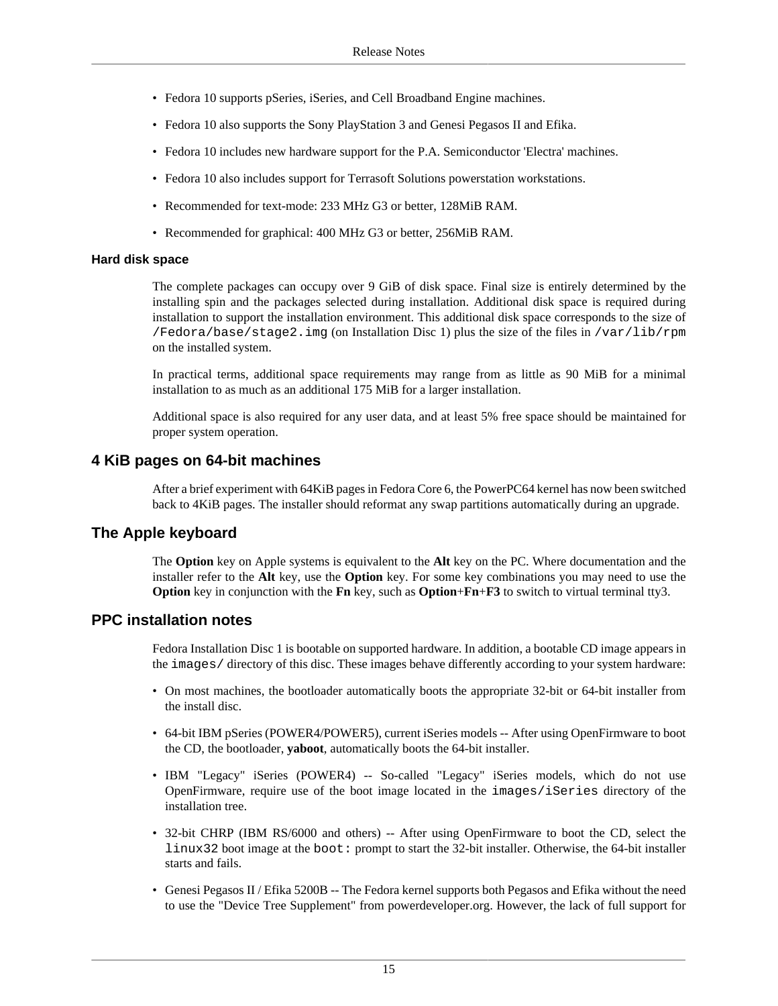- Fedora 10 supports pSeries, iSeries, and Cell Broadband Engine machines.
- Fedora 10 also supports the Sony PlayStation 3 and Genesi Pegasos II and Efika.
- Fedora 10 includes new hardware support for the P.A. Semiconductor 'Electra' machines.
- Fedora 10 also includes support for Terrasoft Solutions powerstation workstations.
- Recommended for text-mode: 233 MHz G3 or better, 128MiB RAM.
- Recommended for graphical: 400 MHz G3 or better, 256MiB RAM.

#### **Hard disk space**

The complete packages can occupy over 9 GiB of disk space. Final size is entirely determined by the installing spin and the packages selected during installation. Additional disk space is required during installation to support the installation environment. This additional disk space corresponds to the size of /Fedora/base/stage2.img (on Installation Disc 1) plus the size of the files in /var/lib/rpm on the installed system.

In practical terms, additional space requirements may range from as little as 90 MiB for a minimal installation to as much as an additional 175 MiB for a larger installation.

Additional space is also required for any user data, and at least 5% free space should be maintained for proper system operation.

#### **4 KiB pages on 64-bit machines**

After a brief experiment with 64KiB pages in Fedora Core 6, the PowerPC64 kernel has now been switched back to 4KiB pages. The installer should reformat any swap partitions automatically during an upgrade.

#### **The Apple keyboard**

The **Option** key on Apple systems is equivalent to the **Alt** key on the PC. Where documentation and the installer refer to the **Alt** key, use the **Option** key. For some key combinations you may need to use the **Option** key in conjunction with the **Fn** key, such as **Option**+**Fn**+**F3** to switch to virtual terminal tty3.

#### **PPC installation notes**

Fedora Installation Disc 1 is bootable on supported hardware. In addition, a bootable CD image appears in the images/ directory of this disc. These images behave differently according to your system hardware:

- On most machines, the bootloader automatically boots the appropriate 32-bit or 64-bit installer from the install disc.
- 64-bit IBM pSeries (POWER4/POWER5), current iSeries models -- After using OpenFirmware to boot the CD, the bootloader, **yaboot**, automatically boots the 64-bit installer.
- IBM "Legacy" iSeries (POWER4) -- So-called "Legacy" iSeries models, which do not use OpenFirmware, require use of the boot image located in the images/iSeries directory of the installation tree.
- 32-bit CHRP (IBM RS/6000 and others) -- After using OpenFirmware to boot the CD, select the linux32 boot image at the boot: prompt to start the 32-bit installer. Otherwise, the 64-bit installer starts and fails.
- Genesi Pegasos II / Efika 5200B -- The Fedora kernel supports both Pegasos and Efika without the need to use the "Device Tree Supplement" from powerdeveloper.org. However, the lack of full support for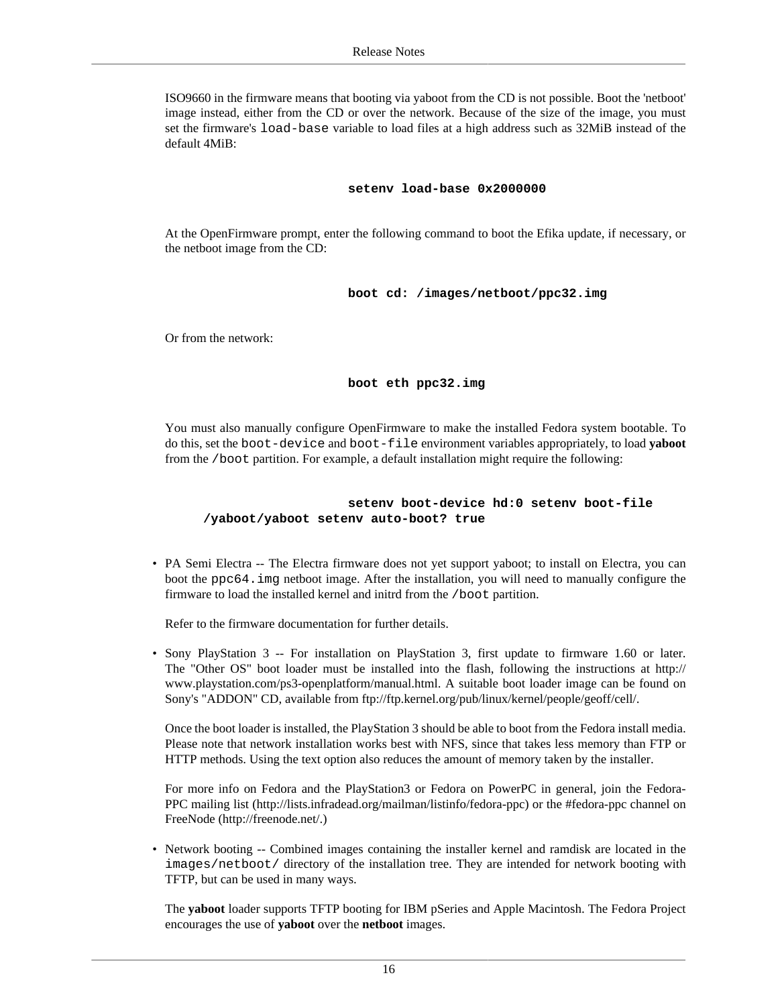ISO9660 in the firmware means that booting via yaboot from the CD is not possible. Boot the 'netboot' image instead, either from the CD or over the network. Because of the size of the image, you must set the firmware's load-base variable to load files at a high address such as 32MiB instead of the default 4MiB:

#### **setenv load-base 0x2000000**

At the OpenFirmware prompt, enter the following command to boot the Efika update, if necessary, or the netboot image from the CD:

**boot cd: /images/netboot/ppc32.img**

Or from the network:

**boot eth ppc32.img**

You must also manually configure OpenFirmware to make the installed Fedora system bootable. To do this, set the boot-device and boot-file environment variables appropriately, to load **yaboot** from the /boot partition. For example, a default installation might require the following:

#### **setenv boot-device hd:0 setenv boot-file /yaboot/yaboot setenv auto-boot? true**

• PA Semi Electra -- The Electra firmware does not yet support yaboot; to install on Electra, you can boot the ppc64.img netboot image. After the installation, you will need to manually configure the firmware to load the installed kernel and initrd from the /boot partition.

Refer to the firmware documentation for further details.

• Sony PlayStation 3 -- For installation on PlayStation 3, first update to firmware 1.60 or later. The "Other OS" boot loader must be installed into the flash, following the instructions at [http://](http://www.playstation.com/ps3-openplatform/manual.html) [www.playstation.com/ps3-openplatform/manual.html.](http://www.playstation.com/ps3-openplatform/manual.html) A suitable boot loader image can be found on Sony's "ADDON" CD, available from <ftp://ftp.kernel.org/pub/linux/kernel/people/geoff/cell/>.

Once the boot loader is installed, the PlayStation 3 should be able to boot from the Fedora install media. Please note that network installation works best with NFS, since that takes less memory than FTP or HTTP methods. Using the text option also reduces the amount of memory taken by the installer.

For more info on Fedora and the PlayStation3 or Fedora on PowerPC in general, join the Fedora-PPC mailing list [\(http://lists.infradead.org/mailman/listinfo/fedora-ppc](http://lists.infradead.org/mailman/listinfo/fedora-ppc)) or the #fedora-ppc channel on FreeNode [\(http://freenode.net/.](http://freenode.net/))

• Network booting -- Combined images containing the installer kernel and ramdisk are located in the images/netboot/ directory of the installation tree. They are intended for network booting with TFTP, but can be used in many ways.

The **yaboot** loader supports TFTP booting for IBM pSeries and Apple Macintosh. The Fedora Project encourages the use of **yaboot** over the **netboot** images.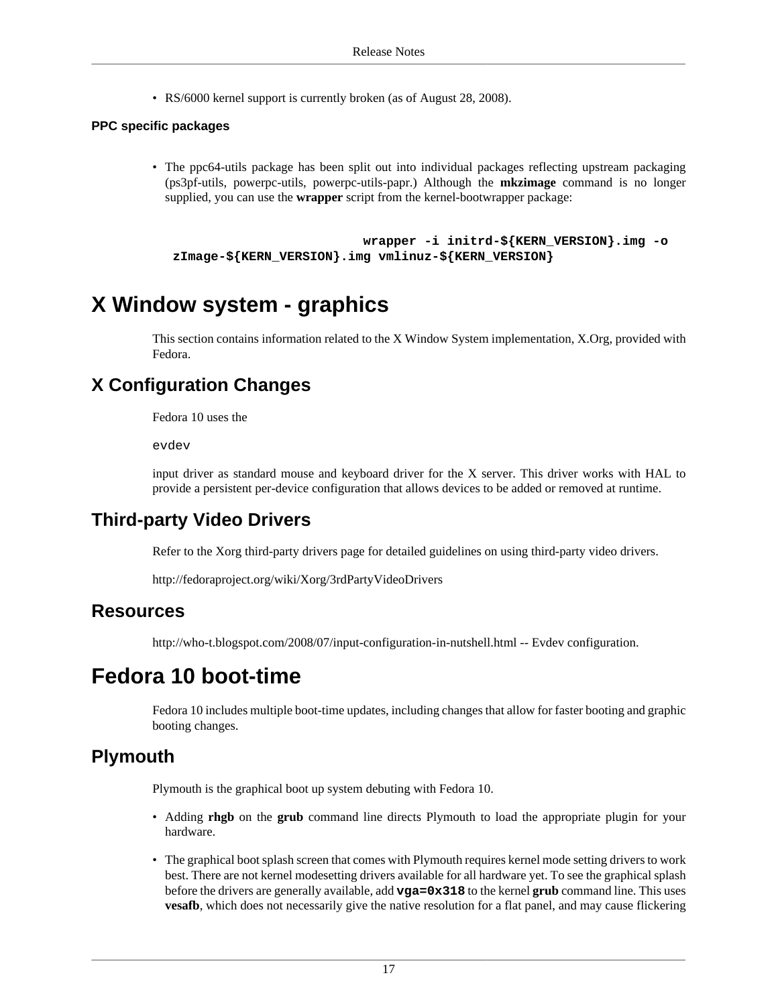• RS/6000 kernel support is currently broken (as of August 28, 2008).

#### **PPC specific packages**

• The ppc64-utils package has been split out into individual packages reflecting upstream packaging (ps3pf-utils, powerpc-utils, powerpc-utils-papr.) Although the **mkzimage** command is no longer supplied, you can use the **wrapper** script from the kernel-bootwrapper package:

```
 wrapper -i initrd-${KERN_VERSION}.img -o
zImage-${KERN_VERSION}.img vmlinuz-${KERN_VERSION}
```
## <span id="page-16-0"></span>**X Window system - graphics**

This section contains information related to the X Window System implementation, X.Org, provided with Fedora.

## **X Configuration Changes**

Fedora 10 uses the

evdev

input driver as standard mouse and keyboard driver for the X server. This driver works with HAL to provide a persistent per-device configuration that allows devices to be added or removed at runtime.

## **Third-party Video Drivers**

Refer to the Xorg third-party drivers page for detailed guidelines on using third-party video drivers.

<http://fedoraproject.org/wiki/Xorg/3rdPartyVideoDrivers>

#### **Resources**

<http://who-t.blogspot.com/2008/07/input-configuration-in-nutshell.html>-- Evdev configuration.

## <span id="page-16-1"></span>**Fedora 10 boot-time**

Fedora 10 includes multiple boot-time updates, including changes that allow for faster booting and graphic booting changes.

## **Plymouth**

Plymouth is the graphical boot up system debuting with Fedora 10.

- Adding **rhgb** on the **grub** command line directs Plymouth to load the appropriate plugin for your hardware.
- The graphical boot splash screen that comes with Plymouth requires kernel mode setting drivers to work best. There are not kernel modesetting drivers available for all hardware yet. To see the graphical splash before the drivers are generally available, add **vga=0x318** to the kernel **grub** command line. This uses **vesafb**, which does not necessarily give the native resolution for a flat panel, and may cause flickering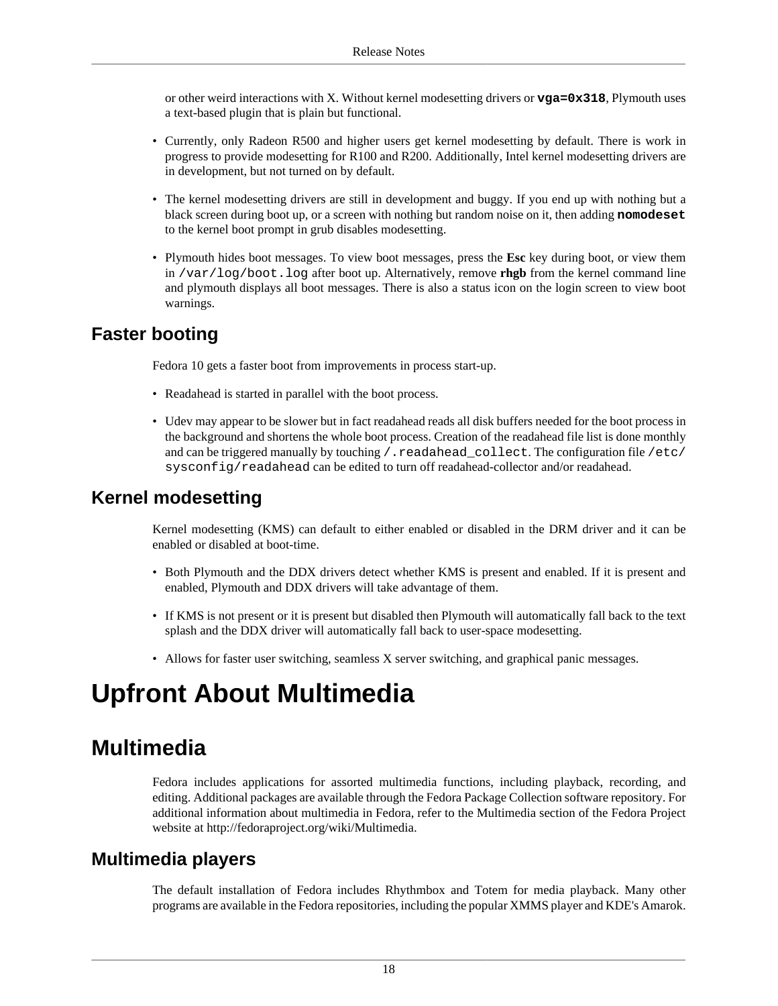or other weird interactions with X. Without kernel modesetting drivers or **vga=0x318**, Plymouth uses a text-based plugin that is plain but functional.

- Currently, only Radeon R500 and higher users get kernel modesetting by default. There is work in progress to provide modesetting for R100 and R200. Additionally, Intel kernel modesetting drivers are in development, but not turned on by default.
- The kernel modesetting drivers are still in development and buggy. If you end up with nothing but a black screen during boot up, or a screen with nothing but random noise on it, then adding **nomodeset** to the kernel boot prompt in grub disables modesetting.
- Plymouth hides boot messages. To view boot messages, press the **Esc** key during boot, or view them in /var/log/boot.log after boot up. Alternatively, remove **rhgb** from the kernel command line and plymouth displays all boot messages. There is also a status icon on the login screen to view boot warnings.

## **Faster booting**

Fedora 10 gets a faster boot from improvements in process start-up.

- Readahead is started in parallel with the boot process.
- Udev may appear to be slower but in fact readahead reads all disk buffers needed for the boot process in the background and shortens the whole boot process. Creation of the readahead file list is done monthly and can be triggered manually by touching / . readahead\_collect. The configuration file /etc/ sysconfig/readahead can be edited to turn off readahead-collector and/or readahead.

### **Kernel modesetting**

Kernel modesetting (KMS) can default to either enabled or disabled in the DRM driver and it can be enabled or disabled at boot-time.

- Both Plymouth and the DDX drivers detect whether KMS is present and enabled. If it is present and enabled, Plymouth and DDX drivers will take advantage of them.
- If KMS is not present or it is present but disabled then Plymouth will automatically fall back to the text splash and the DDX driver will automatically fall back to user-space modesetting.
- Allows for faster user switching, seamless X server switching, and graphical panic messages.

# <span id="page-17-0"></span>**Upfront About Multimedia**

## <span id="page-17-1"></span>**Multimedia**

Fedora includes applications for assorted multimedia functions, including playback, recording, and editing. Additional packages are available through the Fedora Package Collection software repository. For additional information about multimedia in Fedora, refer to the Multimedia section of the Fedora Project website at [http://fedoraproject.org/wiki/Multimedia.](http://fedoraproject.org/wiki/Multimedia)

### **Multimedia players**

The default installation of Fedora includes Rhythmbox and Totem for media playback. Many other programs are available in the Fedora repositories, including the popular XMMS player and KDE's Amarok.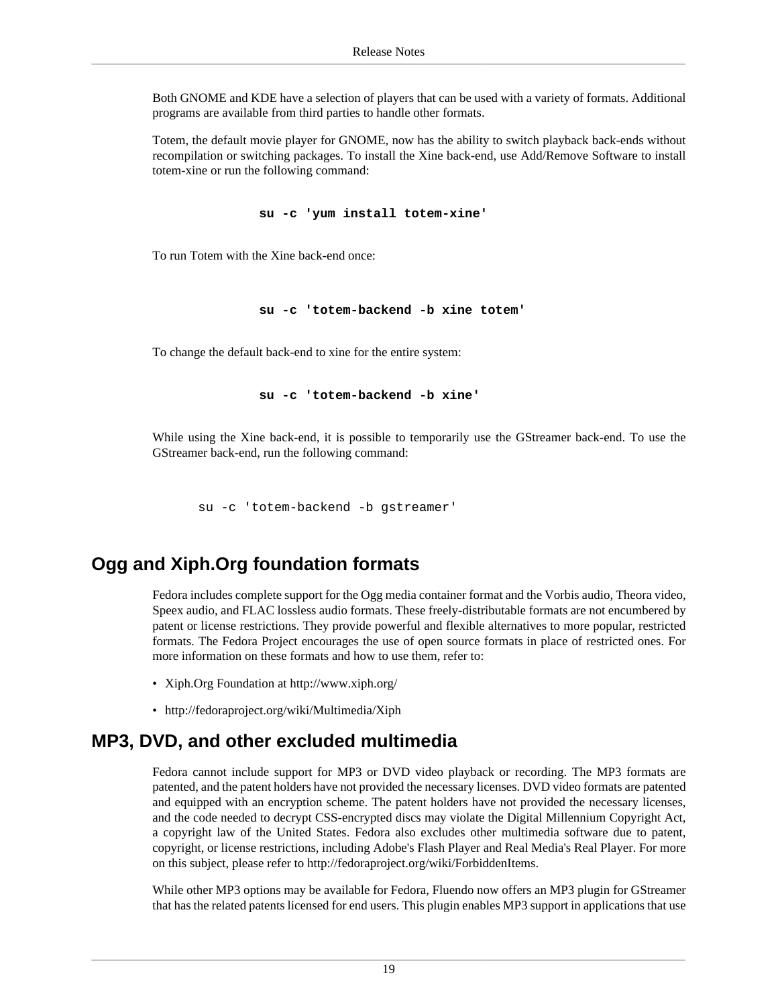Both GNOME and KDE have a selection of players that can be used with a variety of formats. Additional programs are available from third parties to handle other formats.

Totem, the default movie player for GNOME, now has the ability to switch playback back-ends without recompilation or switching packages. To install the Xine back-end, use Add/Remove Software to install totem-xine or run the following command:

```
 su -c 'yum install totem-xine'
```
To run Totem with the Xine back-end once:

**su -c 'totem-backend -b xine totem'**

To change the default back-end to xine for the entire system:

```
 su -c 'totem-backend -b xine'
```
While using the Xine back-end, it is possible to temporarily use the GStreamer back-end. To use the GStreamer back-end, run the following command:

su -c 'totem-backend -b gstreamer'

## **Ogg and Xiph.Org foundation formats**

Fedora includes complete support for the Ogg media container format and the Vorbis audio, Theora video, Speex audio, and FLAC lossless audio formats. These freely-distributable formats are not encumbered by patent or license restrictions. They provide powerful and flexible alternatives to more popular, restricted formats. The Fedora Project encourages the use of open source formats in place of restricted ones. For more information on these formats and how to use them, refer to:

- Xiph.Org Foundation at<http://www.xiph.org/>
- <http://fedoraproject.org/wiki/Multimedia/Xiph>

### **MP3, DVD, and other excluded multimedia**

Fedora cannot include support for MP3 or DVD video playback or recording. The MP3 formats are patented, and the patent holders have not provided the necessary licenses. DVD video formats are patented and equipped with an encryption scheme. The patent holders have not provided the necessary licenses, and the code needed to decrypt CSS-encrypted discs may violate the Digital Millennium Copyright Act, a copyright law of the United States. Fedora also excludes other multimedia software due to patent, copyright, or license restrictions, including Adobe's Flash Player and Real Media's Real Player. For more on this subject, please refer to [http://fedoraproject.org/wiki/ForbiddenItems.](http://fedoraproject.org/wiki/ForbiddenItems)

While other MP3 options may be available for Fedora, Fluendo now offers an MP3 plugin for GStreamer that has the related patents licensed for end users. This plugin enables MP3 support in applications that use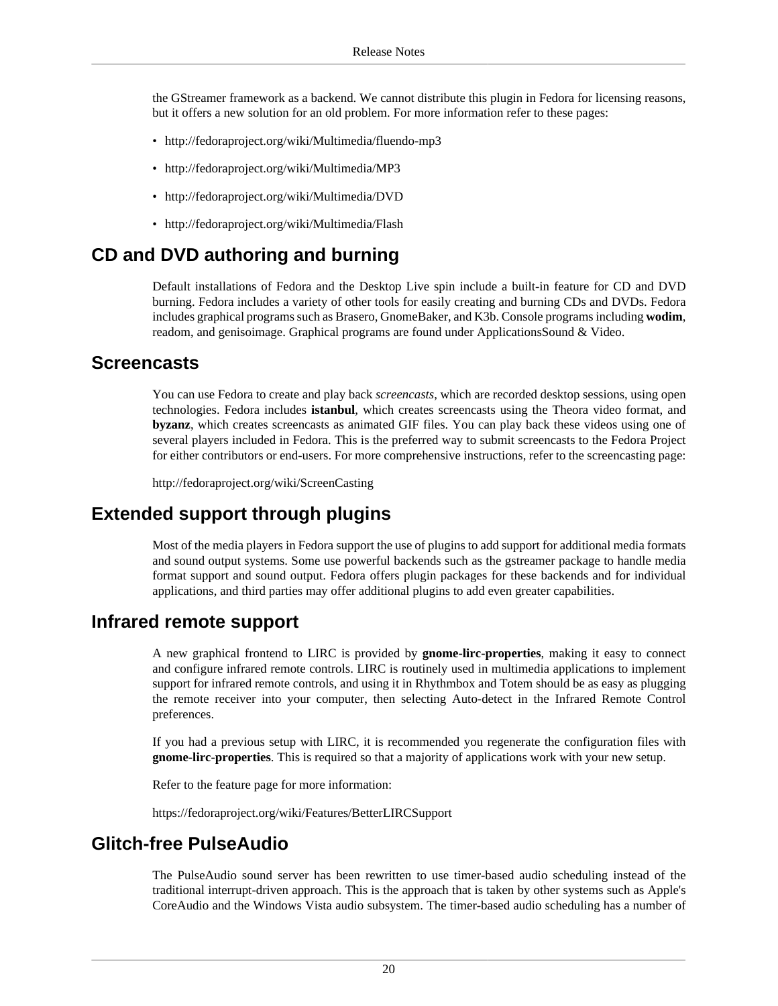the GStreamer framework as a backend. We cannot distribute this plugin in Fedora for licensing reasons, but it offers a new solution for an old problem. For more information refer to these pages:

- <http://fedoraproject.org/wiki/Multimedia/fluendo-mp3>
- <http://fedoraproject.org/wiki/Multimedia/MP3>
- <http://fedoraproject.org/wiki/Multimedia/DVD>
- <http://fedoraproject.org/wiki/Multimedia/Flash>

## **CD and DVD authoring and burning**

Default installations of Fedora and the Desktop Live spin include a built-in feature for CD and DVD burning. Fedora includes a variety of other tools for easily creating and burning CDs and DVDs. Fedora includes graphical programs such as Brasero, GnomeBaker, and K3b. Console programs including **wodim**, readom, and genisoimage. Graphical programs are found under ApplicationsSound & Video.

#### **Screencasts**

You can use Fedora to create and play back *screencasts*, which are recorded desktop sessions, using open technologies. Fedora includes **istanbul**, which creates screencasts using the Theora video format, and **byzanz**, which creates screencasts as animated GIF files. You can play back these videos using one of several players included in Fedora. This is the preferred way to submit screencasts to the Fedora Project for either contributors or end-users. For more comprehensive instructions, refer to the screencasting page:

<http://fedoraproject.org/wiki/ScreenCasting>

## **Extended support through plugins**

Most of the media players in Fedora support the use of plugins to add support for additional media formats and sound output systems. Some use powerful backends such as the gstreamer package to handle media format support and sound output. Fedora offers plugin packages for these backends and for individual applications, and third parties may offer additional plugins to add even greater capabilities.

### **Infrared remote support**

A new graphical frontend to LIRC is provided by **gnome-lirc-properties**, making it easy to connect and configure infrared remote controls. LIRC is routinely used in multimedia applications to implement support for infrared remote controls, and using it in Rhythmbox and Totem should be as easy as plugging the remote receiver into your computer, then selecting Auto-detect in the Infrared Remote Control preferences.

If you had a previous setup with LIRC, it is recommended you regenerate the configuration files with **gnome-lirc-properties**. This is required so that a majority of applications work with your new setup.

Refer to the feature page for more information:

<https://fedoraproject.org/wiki/Features/BetterLIRCSupport>

## **Glitch-free PulseAudio**

The PulseAudio sound server has been rewritten to use timer-based audio scheduling instead of the traditional interrupt-driven approach. This is the approach that is taken by other systems such as Apple's CoreAudio and the Windows Vista audio subsystem. The timer-based audio scheduling has a number of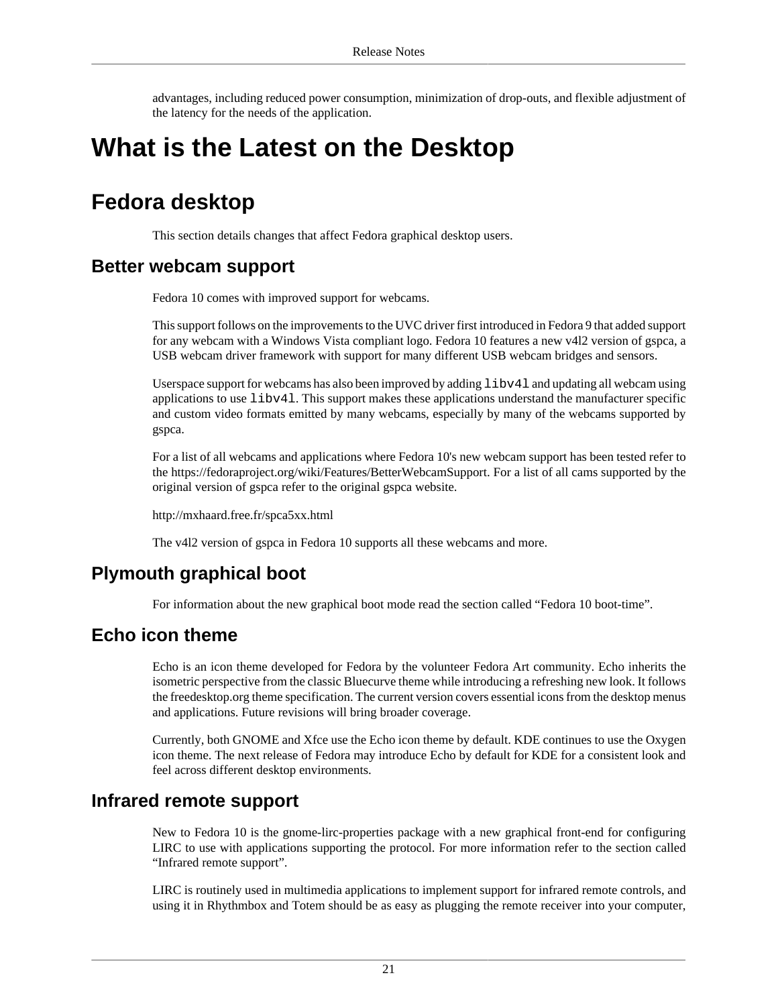advantages, including reduced power consumption, minimization of drop-outs, and flexible adjustment of the latency for the needs of the application.

# <span id="page-20-0"></span>**What is the Latest on the Desktop**

## <span id="page-20-1"></span>**Fedora desktop**

This section details changes that affect Fedora graphical desktop users.

### **Better webcam support**

Fedora 10 comes with improved support for webcams.

This support follows on the improvements to the UVC driver first introduced in Fedora 9 that added support for any webcam with a Windows Vista compliant logo. Fedora 10 features a new v4l2 version of gspca, a USB webcam driver framework with support for many different USB webcam bridges and sensors.

Userspace support for webcams has also been improved by adding  $\text{libv41}$  and updating all webcam using applications to use libv4l. This support makes these applications understand the manufacturer specific and custom video formats emitted by many webcams, especially by many of the webcams supported by gspca.

For a list of all webcams and applications where Fedora 10's new webcam support has been tested refer to the <https://fedoraproject.org/wiki/Features/BetterWebcamSupport>. For a list of all cams supported by the original version of gspca refer to the original gspca website.

<http://mxhaard.free.fr/spca5xx.html>

The v4l2 version of gspca in Fedora 10 supports all these webcams and more.

## **Plymouth graphical boot**

For information about the new graphical boot mode read [the section called "Fedora 10 boot-time".](#page-16-1)

### **Echo icon theme**

Echo is an icon theme developed for Fedora by the volunteer Fedora Art community. Echo inherits the isometric perspective from the classic Bluecurve theme while introducing a refreshing new look. It follows the freedesktop.org theme specification. The current version covers essential icons from the desktop menus and applications. Future revisions will bring broader coverage.

Currently, both GNOME and Xfce use the Echo icon theme by default. KDE continues to use the Oxygen icon theme. The next release of Fedora may introduce Echo by default for KDE for a consistent look and feel across different desktop environments.

#### <span id="page-20-2"></span>**Infrared remote support**

New to Fedora 10 is the gnome-lirc-properties package with a new graphical front-end for configuring LIRC to use with applications supporting the protocol. For more information refer to [the section called](#page-20-2) ["Infrared remote support".](#page-20-2)

LIRC is routinely used in multimedia applications to implement support for infrared remote controls, and using it in Rhythmbox and Totem should be as easy as plugging the remote receiver into your computer,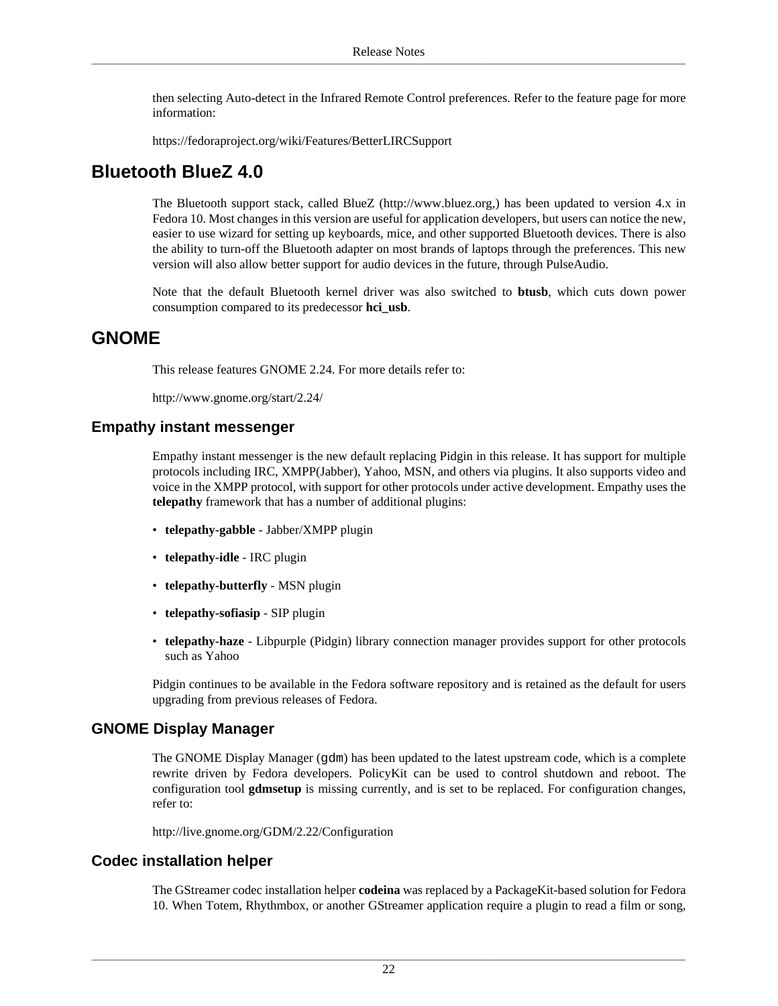then selecting Auto-detect in the Infrared Remote Control preferences. Refer to the feature page for more information:

<https://fedoraproject.org/wiki/Features/BetterLIRCSupport>

### **Bluetooth BlueZ 4.0**

The Bluetooth support stack, called BlueZ (<http://www.bluez.org>,) has been updated to version 4.x in Fedora 10. Most changes in this version are useful for application developers, but users can notice the new, easier to use wizard for setting up keyboards, mice, and other supported Bluetooth devices. There is also the ability to turn-off the Bluetooth adapter on most brands of laptops through the preferences. This new version will also allow better support for audio devices in the future, through PulseAudio.

Note that the default Bluetooth kernel driver was also switched to **btusb**, which cuts down power consumption compared to its predecessor **hci\_usb**.

#### **GNOME**

This release features GNOME 2.24. For more details refer to:

<http://www.gnome.org/start/2.24/>

#### **Empathy instant messenger**

Empathy instant messenger is the new default replacing Pidgin in this release. It has support for multiple protocols including IRC, XMPP(Jabber), Yahoo, MSN, and others via plugins. It also supports video and voice in the XMPP protocol, with support for other protocols under active development. Empathy uses the **telepathy** framework that has a number of additional plugins:

- **telepathy-gabble** Jabber/XMPP plugin
- **telepathy-idle** IRC plugin
- **telepathy-butterfly** MSN plugin
- **telepathy-sofiasip** SIP plugin
- **telepathy-haze** Libpurple (Pidgin) library connection manager provides support for other protocols such as Yahoo

Pidgin continues to be available in the Fedora software repository and is retained as the default for users upgrading from previous releases of Fedora.

#### **GNOME Display Manager**

The GNOME Display Manager (gdm) has been updated to the latest upstream code, which is a complete rewrite driven by Fedora developers. PolicyKit can be used to control shutdown and reboot. The configuration tool **gdmsetup** is missing currently, and is set to be replaced. For configuration changes, refer to:

<http://live.gnome.org/GDM/2.22/Configuration>

#### **Codec installation helper**

The GStreamer codec installation helper **codeina** was replaced by a PackageKit-based solution for Fedora 10. When Totem, Rhythmbox, or another GStreamer application require a plugin to read a film or song,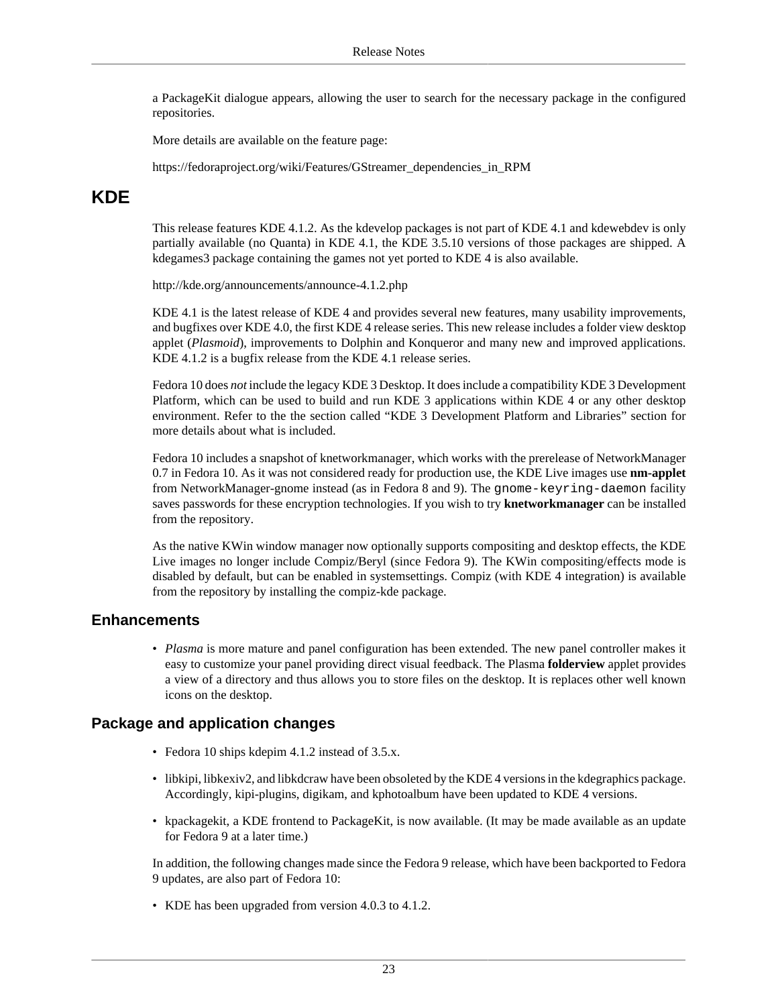a PackageKit dialogue appears, allowing the user to search for the necessary package in the configured repositories.

More details are available on the feature page:

[https://fedoraproject.org/wiki/Features/GStreamer\\_dependencies\\_in\\_RPM](https://fedoraproject.org/wiki/Features/GStreamer_dependencies_in_RPM)

## **KDE**

This release features KDE 4.1.2. As the kdevelop packages is not part of KDE 4.1 and kdewebdev is only partially available (no Quanta) in KDE 4.1, the KDE 3.5.10 versions of those packages are shipped. A kdegames3 package containing the games not yet ported to KDE 4 is also available.

<http://kde.org/announcements/announce-4.1.2.php>

KDE 4.1 is the latest release of KDE 4 and provides several new features, many usability improvements, and bugfixes over KDE 4.0, the first KDE 4 release series. This new release includes a folder view desktop applet (*Plasmoid*), improvements to Dolphin and Konqueror and many new and improved applications. KDE 4.1.2 is a bugfix release from the KDE 4.1 release series.

Fedora 10 does *not* include the legacy KDE 3 Desktop. It does include a compatibility KDE 3 Development Platform, which can be used to build and run KDE 3 applications within KDE 4 or any other desktop environment. Refer to the [the section called "KDE 3 Development Platform and Libraries"](#page-41-0) section for more details about what is included.

Fedora 10 includes a snapshot of knetworkmanager, which works with the prerelease of NetworkManager 0.7 in Fedora 10. As it was not considered ready for production use, the KDE Live images use **nm-applet** from NetworkManager-gnome instead (as in Fedora 8 and 9). The gnome-keyring-daemon facility saves passwords for these encryption technologies. If you wish to try **knetworkmanager** can be installed from the repository.

As the native KWin window manager now optionally supports compositing and desktop effects, the KDE Live images no longer include Compiz/Beryl (since Fedora 9). The KWin compositing/effects mode is disabled by default, but can be enabled in systemsettings. Compiz (with KDE 4 integration) is available from the repository by installing the compiz-kde package.

#### **Enhancements**

• *Plasma* is more mature and panel configuration has been extended. The new panel controller makes it easy to customize your panel providing direct visual feedback. The Plasma **folderview** applet provides a view of a directory and thus allows you to store files on the desktop. It is replaces other well known icons on the desktop.

#### **Package and application changes**

- Fedora 10 ships kdepim 4.1.2 instead of 3.5.x.
- libkipi, libkexiv2, and libkdcraw have been obsoleted by the KDE 4 versions in the kdegraphics package. Accordingly, kipi-plugins, digikam, and kphotoalbum have been updated to KDE 4 versions.
- kpackagekit, a KDE frontend to PackageKit, is now available. (It may be made available as an update for Fedora 9 at a later time.)

In addition, the following changes made since the Fedora 9 release, which have been backported to Fedora 9 updates, are also part of Fedora 10:

• KDE has been upgraded from version 4.0.3 to 4.1.2.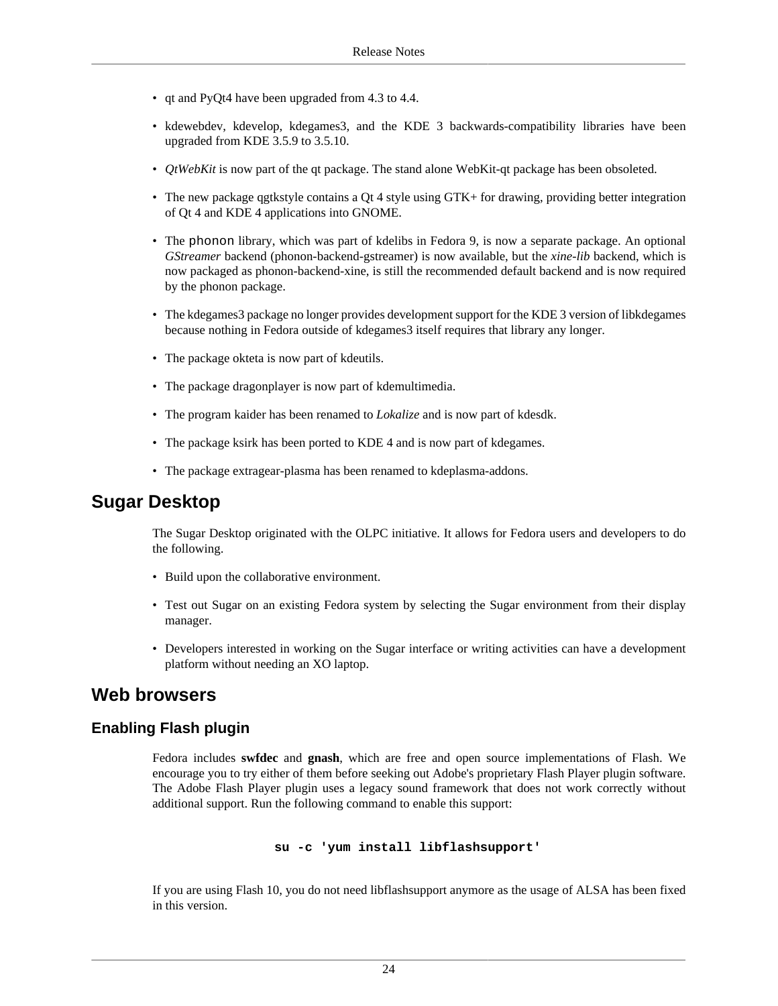- qt and PyQt4 have been upgraded from 4.3 to 4.4.
- kdewebdev, kdevelop, kdegames3, and the KDE 3 backwards-compatibility libraries have been upgraded from KDE 3.5.9 to 3.5.10.
- *QtWebKit* is now part of the qt package. The stand alone WebKit-qt package has been obsoleted.
- The new package qgtkstyle contains a Qt 4 style using GTK+ for drawing, providing better integration of Qt 4 and KDE 4 applications into GNOME.
- The phonon library, which was part of kdelibs in Fedora 9, is now a separate package. An optional *GStreamer* backend (phonon-backend-gstreamer) is now available, but the *xine-lib* backend, which is now packaged as phonon-backend-xine, is still the recommended default backend and is now required by the phonon package.
- The kdegames3 package no longer provides development support for the KDE 3 version of libkdegames because nothing in Fedora outside of kdegames3 itself requires that library any longer.
- The package okteta is now part of kdeutils.
- The package dragonplayer is now part of kdemultimedia.
- The program kaider has been renamed to *Lokalize* and is now part of kdesdk.
- The package ksirk has been ported to KDE 4 and is now part of kdegames.
- The package extragear-plasma has been renamed to kdeplasma-addons.

### **Sugar Desktop**

The Sugar Desktop originated with the OLPC initiative. It allows for Fedora users and developers to do the following.

- Build upon the collaborative environment.
- Test out Sugar on an existing Fedora system by selecting the Sugar environment from their display manager.
- Developers interested in working on the Sugar interface or writing activities can have a development platform without needing an XO laptop.

### **Web browsers**

#### **Enabling Flash plugin**

Fedora includes **swfdec** and **gnash**, which are free and open source implementations of Flash. We encourage you to try either of them before seeking out Adobe's proprietary Flash Player plugin software. The Adobe Flash Player plugin uses a legacy sound framework that does not work correctly without additional support. Run the following command to enable this support:

#### **su -c 'yum install libflashsupport'**

If you are using Flash 10, you do not need libflashsupport anymore as the usage of ALSA has been fixed in this version.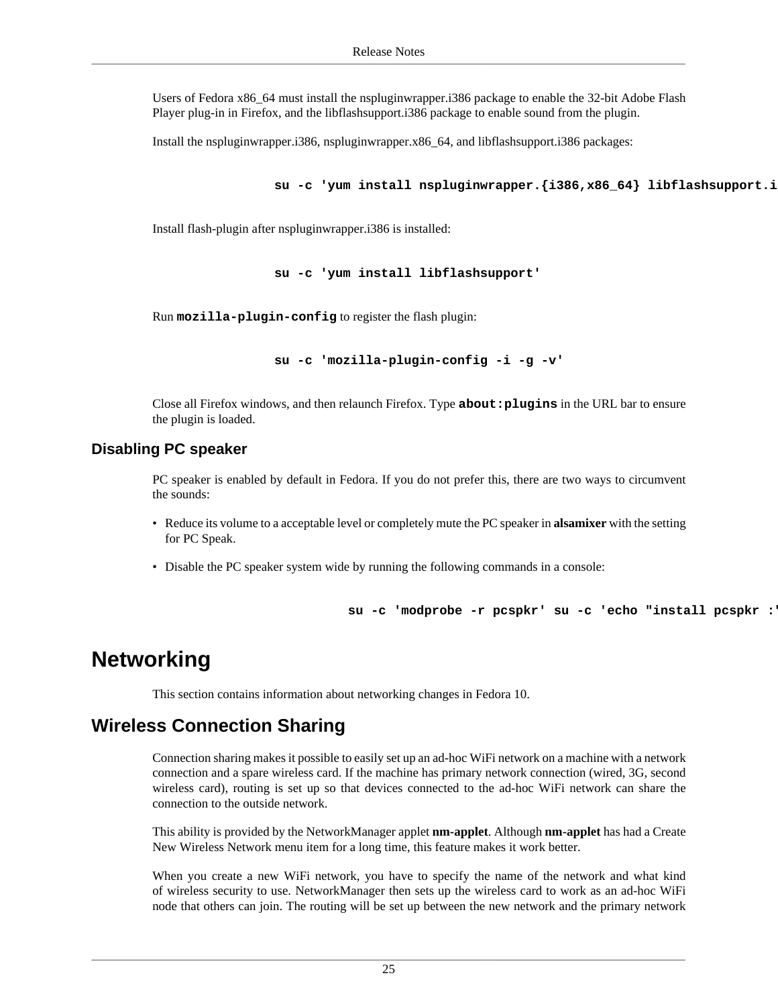Users of Fedora x86\_64 must install the nspluginwrapper.i386 package to enable the 32-bit Adobe Flash Player plug-in in Firefox, and the libflashsupport.i386 package to enable sound from the plugin.

Install the nspluginwrapper.i386, nspluginwrapper.x86\_64, and libflashsupport.i386 packages:

**su -c 'yum install nspluginwrapper.{i386,x86\_64} libflashsupport.i386'**

Install flash-plugin after nspluginwrapper.i386 is installed:

**su -c 'yum install libflashsupport'**

Run **mozilla-plugin-config** to register the flash plugin:

**su -c 'mozilla-plugin-config -i -g -v'**

Close all Firefox windows, and then relaunch Firefox. Type **about:plugins** in the URL bar to ensure the plugin is loaded.

#### **Disabling PC speaker**

PC speaker is enabled by default in Fedora. If you do not prefer this, there are two ways to circumvent the sounds:

- Reduce its volume to a acceptable level or completely mute the PC speaker in **alsamixer** with the setting for PC Speak.
- Disable the PC speaker system wide by running the following commands in a console:

su -c 'modprobe -r pcspkr' su -c 'echo "install pcspkr :

## <span id="page-24-0"></span>**Networking**

This section contains information about networking changes in Fedora 10.

### **Wireless Connection Sharing**

Connection sharing makes it possible to easily set up an ad-hoc WiFi network on a machine with a network connection and a spare wireless card. If the machine has primary network connection (wired, 3G, second wireless card), routing is set up so that devices connected to the ad-hoc WiFi network can share the connection to the outside network.

This ability is provided by the NetworkManager applet **nm-applet**. Although **nm-applet** has had a Create New Wireless Network menu item for a long time, this feature makes it work better.

When you create a new WiFi network, you have to specify the name of the network and what kind of wireless security to use. NetworkManager then sets up the wireless card to work as an ad-hoc WiFi node that others can join. The routing will be set up between the new network and the primary network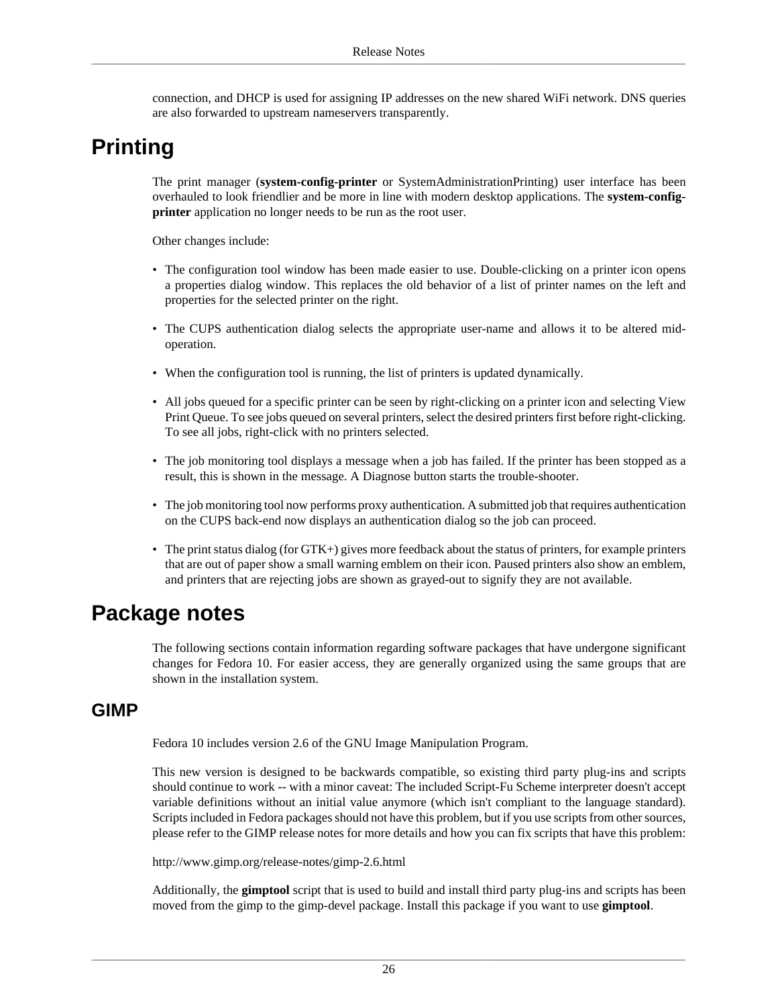connection, and DHCP is used for assigning IP addresses on the new shared WiFi network. DNS queries are also forwarded to upstream nameservers transparently.

## <span id="page-25-0"></span>**Printing**

The print manager (**system-config-printer** or SystemAdministrationPrinting) user interface has been overhauled to look friendlier and be more in line with modern desktop applications. The **system-configprinter** application no longer needs to be run as the root user.

Other changes include:

- The configuration tool window has been made easier to use. Double-clicking on a printer icon opens a properties dialog window. This replaces the old behavior of a list of printer names on the left and properties for the selected printer on the right.
- The CUPS authentication dialog selects the appropriate user-name and allows it to be altered midoperation.
- When the configuration tool is running, the list of printers is updated dynamically.
- All jobs queued for a specific printer can be seen by right-clicking on a printer icon and selecting View Print Queue. To see jobs queued on several printers, select the desired printers first before right-clicking. To see all jobs, right-click with no printers selected.
- The job monitoring tool displays a message when a job has failed. If the printer has been stopped as a result, this is shown in the message. A Diagnose button starts the trouble-shooter.
- The job monitoring tool now performs proxy authentication. A submitted job that requires authentication on the CUPS back-end now displays an authentication dialog so the job can proceed.
- The print status dialog (for GTK+) gives more feedback about the status of printers, for example printers that are out of paper show a small warning emblem on their icon. Paused printers also show an emblem, and printers that are rejecting jobs are shown as grayed-out to signify they are not available.

## <span id="page-25-1"></span>**Package notes**

The following sections contain information regarding software packages that have undergone significant changes for Fedora 10. For easier access, they are generally organized using the same groups that are shown in the installation system.

#### **GIMP**

Fedora 10 includes version 2.6 of the GNU Image Manipulation Program.

This new version is designed to be backwards compatible, so existing third party plug-ins and scripts should continue to work -- with a minor caveat: The included Script-Fu Scheme interpreter doesn't accept variable definitions without an initial value anymore (which isn't compliant to the language standard). Scripts included in Fedora packages should not have this problem, but if you use scripts from other sources, please refer to the GIMP release notes for more details and how you can fix scripts that have this problem:

<http://www.gimp.org/release-notes/gimp-2.6.html>

Additionally, the **gimptool** script that is used to build and install third party plug-ins and scripts has been moved from the gimp to the gimp-devel package. Install this package if you want to use **gimptool**.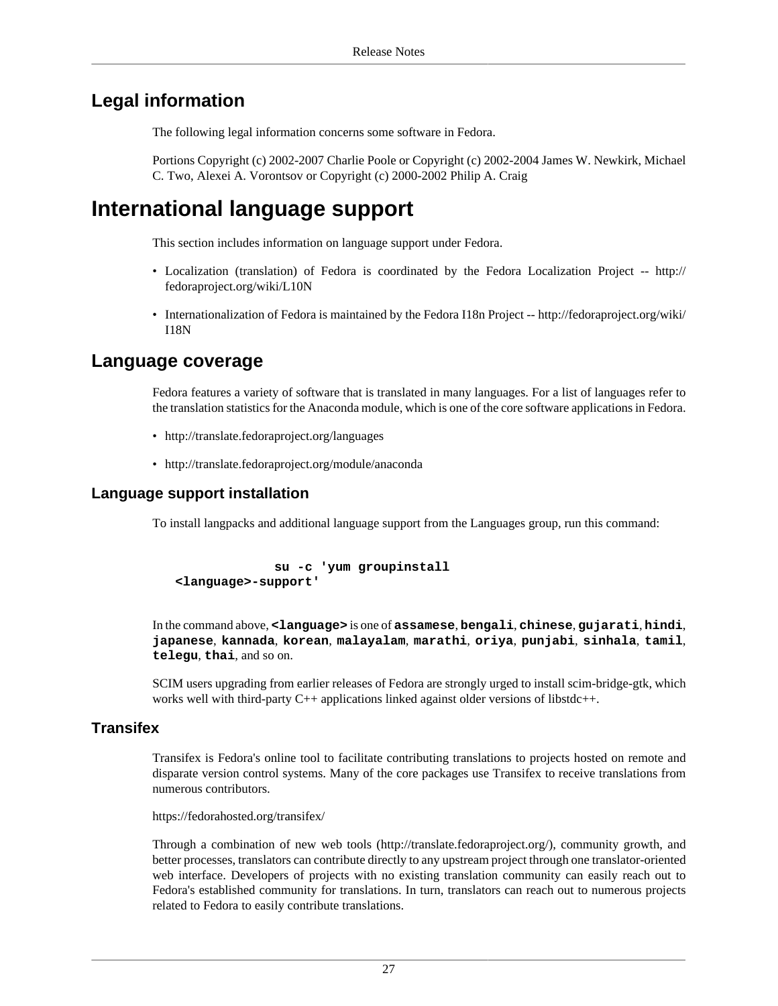## **Legal information**

The following legal information concerns some software in Fedora.

Portions Copyright (c) 2002-2007 Charlie Poole or Copyright (c) 2002-2004 James W. Newkirk, Michael C. Two, Alexei A. Vorontsov or Copyright (c) 2000-2002 Philip A. Craig

## <span id="page-26-0"></span>**International language support**

This section includes information on language support under Fedora.

- Localization (translation) of Fedora is coordinated by the Fedora Localization Project -- [http://](http://fedoraproject.org/wiki/L10N) [fedoraproject.org/wiki/L10N](http://fedoraproject.org/wiki/L10N)
- Internationalization of Fedora is maintained by the Fedora I18n Project -- [http://fedoraproject.org/wiki/](http://fedoraproject.org/wiki/I18N) [I18N](http://fedoraproject.org/wiki/I18N)

### **Language coverage**

Fedora features a variety of software that is translated in many languages. For a list of languages refer to the translation statistics for the Anaconda module, which is one of the core software applications in Fedora.

- <http://translate.fedoraproject.org/languages>
- <http://translate.fedoraproject.org/module/anaconda>

#### **Language support installation**

To install langpacks and additional language support from the Languages group, run this command:

```
 su -c 'yum groupinstall
<language>-support'
```
In the command above, **<language>** is one of **assamese**, **bengali**, **chinese**, **gujarati**, **hindi**, **japanese**, **kannada**, **korean**, **malayalam**, **marathi**, **oriya**, **punjabi**, **sinhala**, **tamil**, **telegu**, **thai**, and so on.

SCIM users upgrading from earlier releases of Fedora are strongly urged to install scim-bridge-gtk, which works well with third-party C++ applications linked against older versions of libstdc++.

#### **Transifex**

Transifex is Fedora's online tool to facilitate contributing translations to projects hosted on remote and disparate version control systems. Many of the core packages use Transifex to receive translations from numerous contributors.

<https://fedorahosted.org/transifex/>

Through a combination of new web tools ([http://translate.fedoraproject.org/\)](http://translate.fedoraproject.org/), community growth, and better processes, translators can contribute directly to any upstream project through one translator-oriented web interface. Developers of projects with no existing translation community can easily reach out to Fedora's established community for translations. In turn, translators can reach out to numerous projects related to Fedora to easily contribute translations.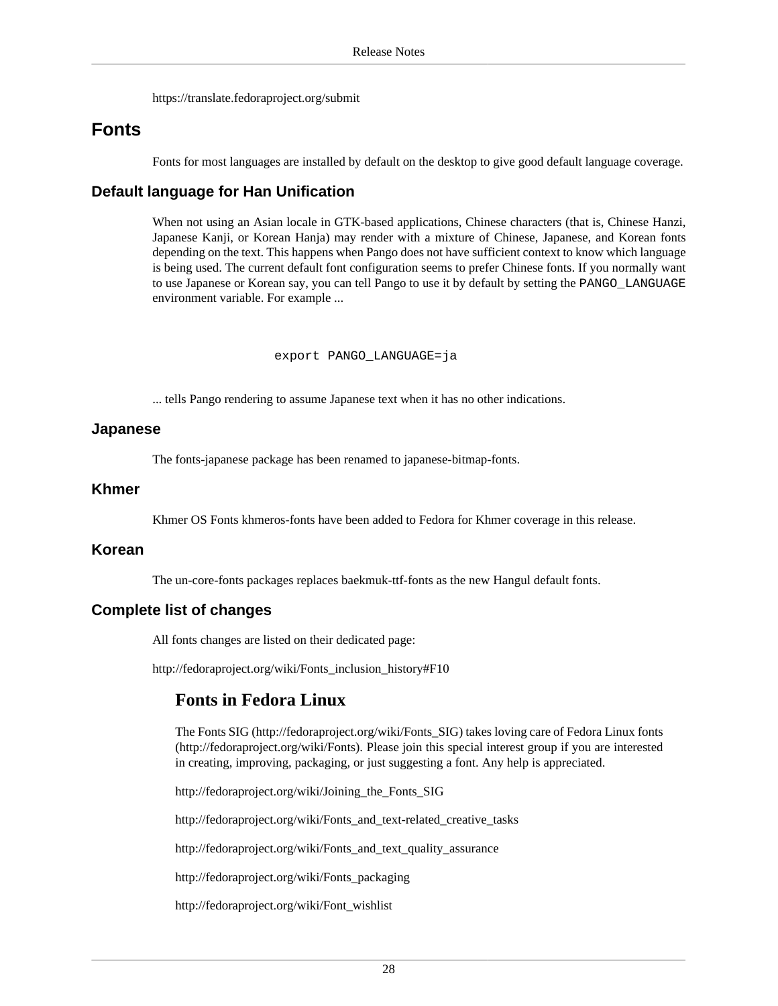<https://translate.fedoraproject.org/submit>

### **Fonts**

Fonts for most languages are installed by default on the desktop to give good default language coverage.

#### **Default language for Han Unification**

When not using an Asian locale in GTK-based applications, Chinese characters (that is, Chinese Hanzi, Japanese Kanji, or Korean Hanja) may render with a mixture of Chinese, Japanese, and Korean fonts depending on the text. This happens when Pango does not have sufficient context to know which language is being used. The current default font configuration seems to prefer Chinese fonts. If you normally want to use Japanese or Korean say, you can tell Pango to use it by default by setting the PANGO\_LANGUAGE environment variable. For example ...

```
 export PANGO_LANGUAGE=ja
```
... tells Pango rendering to assume Japanese text when it has no other indications.

#### **Japanese**

The fonts-japanese package has been renamed to japanese-bitmap-fonts.

#### **Khmer**

Khmer OS Fonts khmeros-fonts have been added to Fedora for Khmer coverage in this release.

#### **Korean**

The un-core-fonts packages replaces baekmuk-ttf-fonts as the new Hangul default fonts.

#### **Complete list of changes**

All fonts changes are listed on their dedicated page:

[http://fedoraproject.org/wiki/Fonts\\_inclusion\\_history#F10](http://fedoraproject.org/wiki/Fonts_inclusion_history#F10)

### **Fonts in Fedora Linux**

The Fonts SIG ([http://fedoraproject.org/wiki/Fonts\\_SIG](http://fedoraproject.org/wiki/Fonts_SIG)) takes loving care of Fedora Linux fonts [\(http://fedoraproject.org/wiki/Fonts\)](http://fedoraproject.org/wiki/Fonts). Please join this special interest group if you are interested in creating, improving, packaging, or just suggesting a font. Any help is appreciated.

[http://fedoraproject.org/wiki/Joining\\_the\\_Fonts\\_SIG](http://fedoraproject.org/wiki/Joining_the_Fonts_SIG)

[http://fedoraproject.org/wiki/Fonts\\_and\\_text-related\\_creative\\_tasks](http://fedoraproject.org/wiki/Fonts_and_text-related_creative_tasks)

[http://fedoraproject.org/wiki/Fonts\\_and\\_text\\_quality\\_assurance](http://fedoraproject.org/wiki/Fonts_and_text_quality_assurance)

[http://fedoraproject.org/wiki/Fonts\\_packaging](http://fedoraproject.org/wiki/Fonts_packaging)

[http://fedoraproject.org/wiki/Font\\_wishlist](http://fedoraproject.org/wiki/Font_wishlist)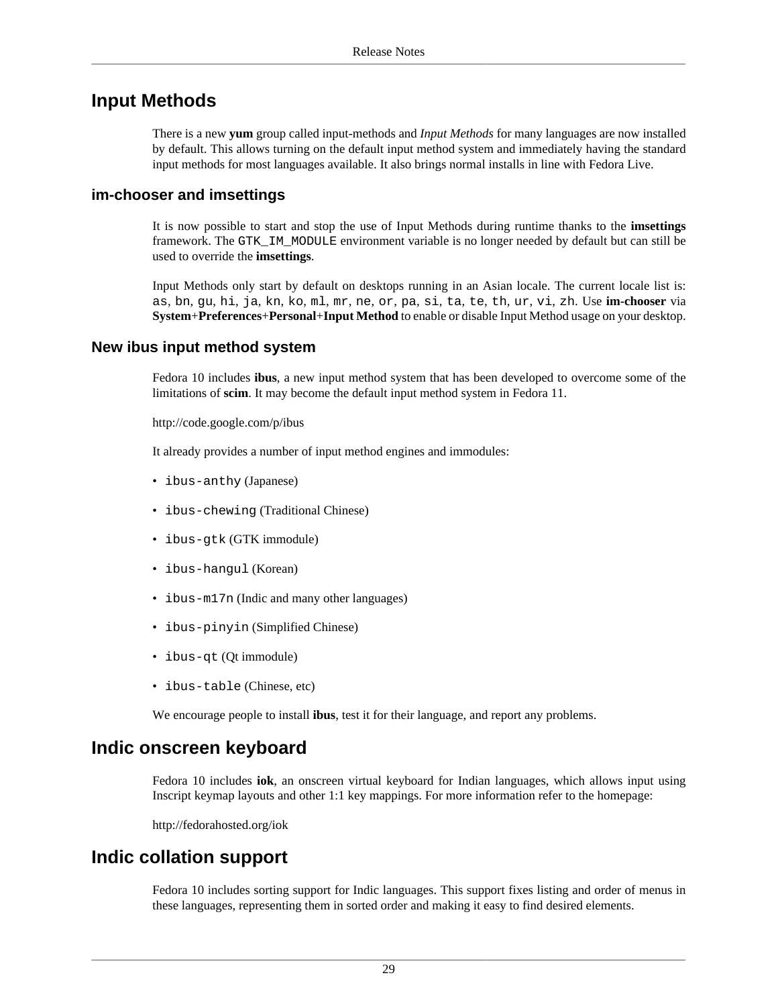### **Input Methods**

There is a new **yum** group called input-methods and *Input Methods* for many languages are now installed by default. This allows turning on the default input method system and immediately having the standard input methods for most languages available. It also brings normal installs in line with Fedora Live.

#### **im-chooser and imsettings**

It is now possible to start and stop the use of Input Methods during runtime thanks to the **imsettings** framework. The GTK\_IM\_MODULE environment variable is no longer needed by default but can still be used to override the **imsettings**.

Input Methods only start by default on desktops running in an Asian locale. The current locale list is: as, bn, gu, hi, ja, kn, ko, ml, mr, ne, or, pa, si, ta, te, th, ur, vi, zh. Use **im-chooser** via **System**+**Preferences**+**Personal**+**Input Method** to enable or disable Input Method usage on your desktop.

#### **New ibus input method system**

Fedora 10 includes **ibus**, a new input method system that has been developed to overcome some of the limitations of **scim**. It may become the default input method system in Fedora 11.

<http://code.google.com/p/ibus>

It already provides a number of input method engines and immodules:

- ibus-anthy (Japanese)
- ibus-chewing (Traditional Chinese)
- ibus-gtk (GTK immodule)
- ibus-hangul (Korean)
- ibus-m17n (Indic and many other languages)
- ibus-pinyin (Simplified Chinese)
- ibus-qt (Qt immodule)
- ibus-table (Chinese, etc)

We encourage people to install **ibus**, test it for their language, and report any problems.

### **Indic onscreen keyboard**

Fedora 10 includes **iok**, an onscreen virtual keyboard for Indian languages, which allows input using Inscript keymap layouts and other 1:1 key mappings. For more information refer to the homepage:

<http://fedorahosted.org/iok>

#### **Indic collation support**

Fedora 10 includes sorting support for Indic languages. This support fixes listing and order of menus in these languages, representing them in sorted order and making it easy to find desired elements.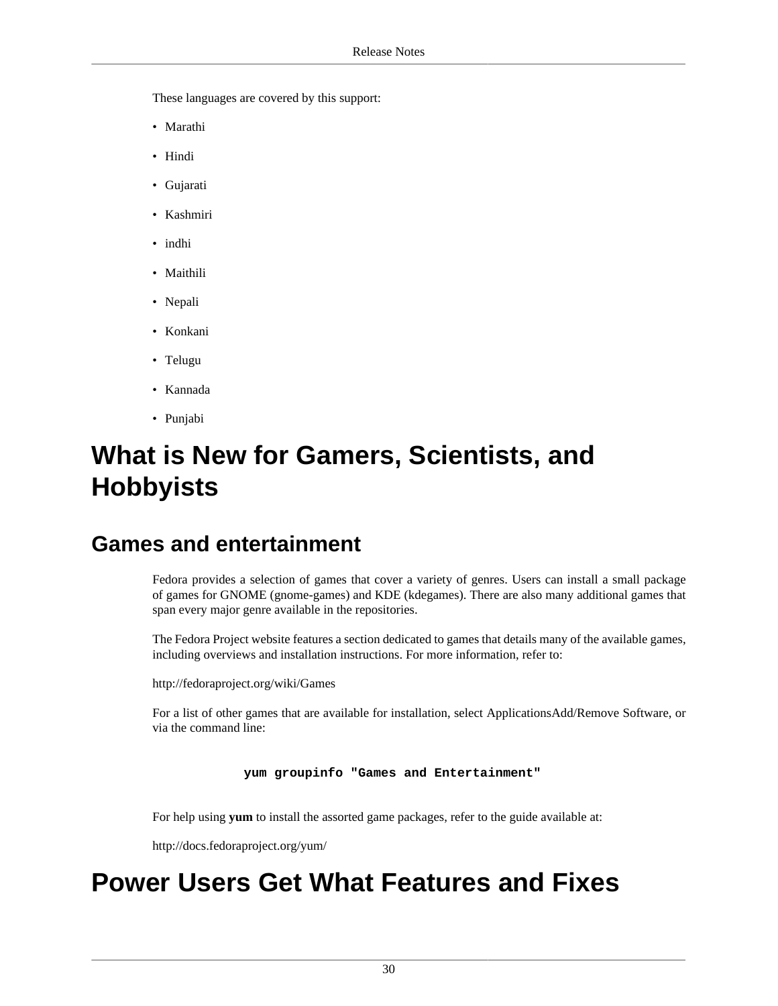These languages are covered by this support:

- Marathi
- Hindi
- Gujarati
- Kashmiri
- indhi
- Maithili
- Nepali
- Konkani
- Telugu
- Kannada
- Punjabi

# <span id="page-29-0"></span>**What is New for Gamers, Scientists, and Hobbyists**

## <span id="page-29-1"></span>**Games and entertainment**

Fedora provides a selection of games that cover a variety of genres. Users can install a small package of games for GNOME (gnome-games) and KDE (kdegames). There are also many additional games that span every major genre available in the repositories.

The Fedora Project website features a section dedicated to games that details many of the available games, including overviews and installation instructions. For more information, refer to:

<http://fedoraproject.org/wiki/Games>

For a list of other games that are available for installation, select ApplicationsAdd/Remove Software, or via the command line:

**yum groupinfo "Games and Entertainment"**

For help using **yum** to install the assorted game packages, refer to the guide available at:

<http://docs.fedoraproject.org/yum/>

# <span id="page-29-2"></span>**Power Users Get What Features and Fixes**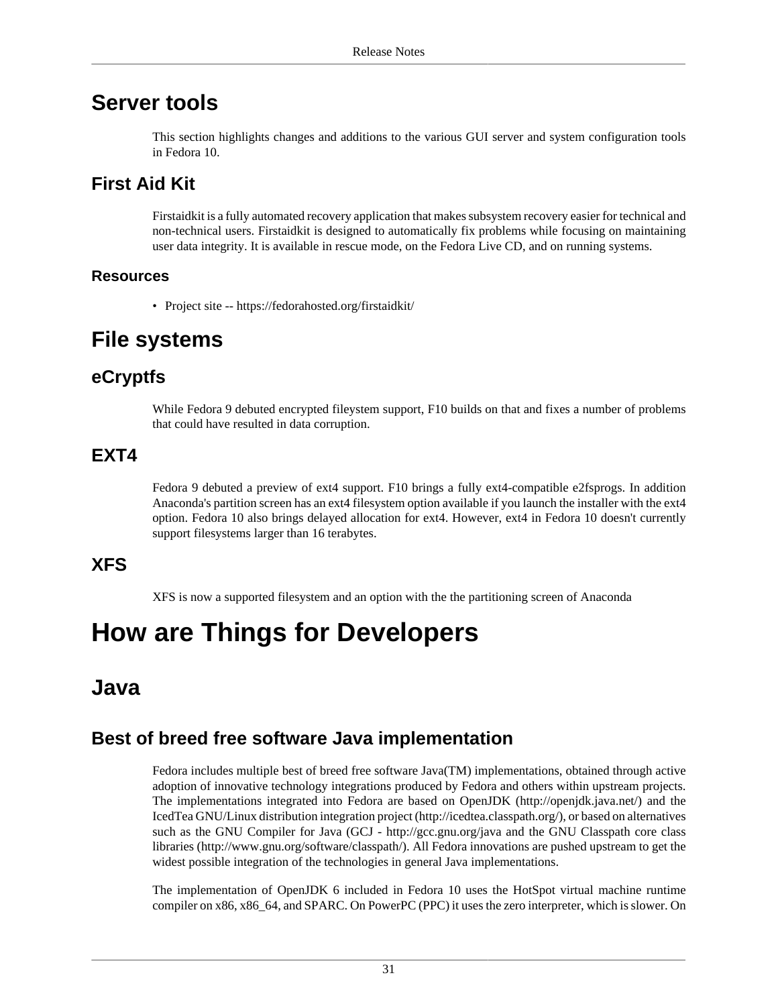## <span id="page-30-0"></span>**Server tools**

This section highlights changes and additions to the various GUI server and system configuration tools in Fedora 10.

## **First Aid Kit**

Firstaidkit is a fully automated recovery application that makes subsystem recovery easier for technical and non-technical users. Firstaidkit is designed to automatically fix problems while focusing on maintaining user data integrity. It is available in rescue mode, on the Fedora Live CD, and on running systems.

#### **Resources**

• Project site --<https://fedorahosted.org/firstaidkit/>

## <span id="page-30-1"></span>**File systems**

## **eCryptfs**

While Fedora 9 debuted encrypted fileystem support, F10 builds on that and fixes a number of problems that could have resulted in data corruption.

## **EXT4**

Fedora 9 debuted a preview of ext4 support. F10 brings a fully ext4-compatible e2fsprogs. In addition Anaconda's partition screen has an ext4 filesystem option available if you launch the installer with the ext4 option. Fedora 10 also brings delayed allocation for ext4. However, ext4 in Fedora 10 doesn't currently support filesystems larger than 16 terabytes.

## **XFS**

XFS is now a supported filesystem and an option with the the partitioning screen of Anaconda

# <span id="page-30-2"></span>**How are Things for Developers**

## <span id="page-30-3"></span>**Java**

## **Best of breed free software Java implementation**

Fedora includes multiple best of breed free software Java(TM) implementations, obtained through active adoption of innovative technology integrations produced by Fedora and others within upstream projects. The implementations integrated into Fedora are based on OpenJDK [\(http://openjdk.java.net/](http://openjdk.java.net/)) and the IcedTea GNU/Linux distribution integration project ([http://icedtea.classpath.org/\)](http://icedtea.classpath.org/), or based on alternatives such as the GNU Compiler for Java (GCJ - <http://gcc.gnu.org/java>and the GNU Classpath core class libraries [\(http://www.gnu.org/software/classpath/\)](http://www.gnu.org/software/classpath/). All Fedora innovations are pushed upstream to get the widest possible integration of the technologies in general Java implementations.

The implementation of OpenJDK 6 included in Fedora 10 uses the HotSpot virtual machine runtime compiler on x86, x86\_64, and SPARC. On PowerPC (PPC) it uses the zero interpreter, which is slower. On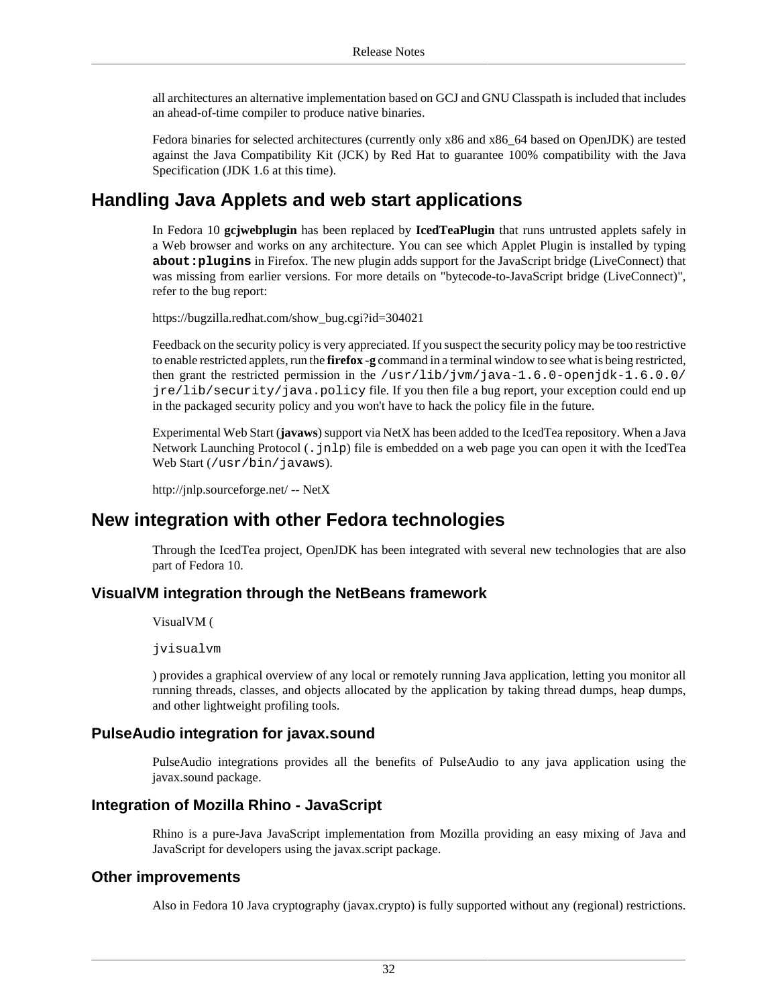all architectures an alternative implementation based on GCJ and GNU Classpath is included that includes an ahead-of-time compiler to produce native binaries.

Fedora binaries for selected architectures (currently only x86 and x86\_64 based on OpenJDK) are tested against the Java Compatibility Kit (JCK) by Red Hat to guarantee 100% compatibility with the Java Specification (JDK 1.6 at this time).

## **Handling Java Applets and web start applications**

In Fedora 10 **gcjwebplugin** has been replaced by **IcedTeaPlugin** that runs untrusted applets safely in a Web browser and works on any architecture. You can see which Applet Plugin is installed by typing **about:plugins** in Firefox. The new plugin adds support for the JavaScript bridge (LiveConnect) that was missing from earlier versions. For more details on "bytecode-to-JavaScript bridge (LiveConnect)", refer to the bug report:

[https://bugzilla.redhat.com/show\\_bug.cgi?id=304021](https://bugzilla.redhat.com/show_bug.cgi?id=304021)

Feedback on the security policy is very appreciated. If you suspect the security policy may be too restrictive to enable restricted applets, run the **firefox -g** command in a terminal window to see what is being restricted, then grant the restricted permission in the /usr/lib/jvm/java-1.6.0-openjdk-1.6.0.0/ jre/lib/security/java.policy file. If you then file a bug report, your exception could end up in the packaged security policy and you won't have to hack the policy file in the future.

Experimental Web Start (**javaws**) support via NetX has been added to the IcedTea repository. When a Java Network Launching Protocol (.jnlp) file is embedded on a web page you can open it with the IcedTea Web Start (/usr/bin/javaws).

<http://jnlp.sourceforge.net/>-- NetX

## **New integration with other Fedora technologies**

Through the IcedTea project, OpenJDK has been integrated with several new technologies that are also part of Fedora 10.

#### **VisualVM integration through the NetBeans framework**

VisualVM (

jvisualvm

) provides a graphical overview of any local or remotely running Java application, letting you monitor all running threads, classes, and objects allocated by the application by taking thread dumps, heap dumps, and other lightweight profiling tools.

#### **PulseAudio integration for javax.sound**

PulseAudio integrations provides all the benefits of PulseAudio to any java application using the javax.sound package.

#### **Integration of Mozilla Rhino - JavaScript**

Rhino is a pure-Java JavaScript implementation from Mozilla providing an easy mixing of Java and JavaScript for developers using the javax.script package.

#### **Other improvements**

Also in Fedora 10 Java cryptography (javax.crypto) is fully supported without any (regional) restrictions.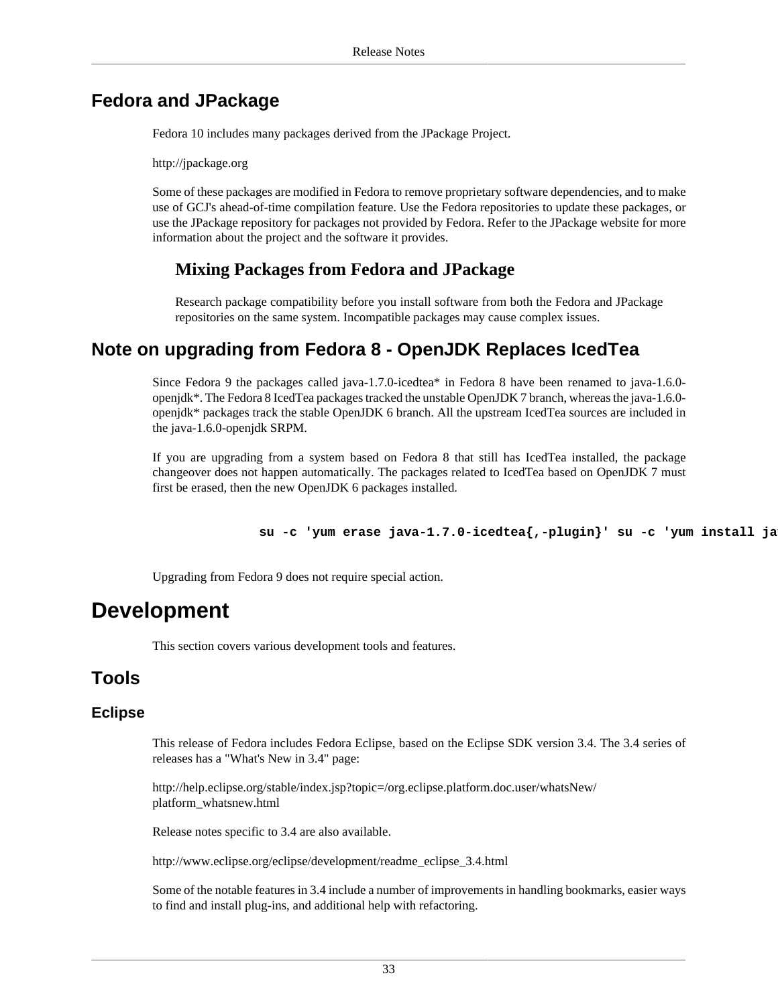## **Fedora and JPackage**

Fedora 10 includes many packages derived from the JPackage Project.

<http://jpackage.org>

Some of these packages are modified in Fedora to remove proprietary software dependencies, and to make use of GCJ's ahead-of-time compilation feature. Use the Fedora repositories to update these packages, or use the JPackage repository for packages not provided by Fedora. Refer to the JPackage website for more information about the project and the software it provides.

#### **Mixing Packages from Fedora and JPackage**

Research package compatibility before you install software from both the Fedora and JPackage repositories on the same system. Incompatible packages may cause complex issues.

## **Note on upgrading from Fedora 8 - OpenJDK Replaces IcedTea**

Since Fedora 9 the packages called java-1.7.0-icedtea\* in Fedora 8 have been renamed to java-1.6.0 openjdk\*. The Fedora 8 IcedTea packages tracked the unstable OpenJDK 7 branch, whereas the java-1.6.0 openjdk\* packages track the stable OpenJDK 6 branch. All the upstream IcedTea sources are included in the java-1.6.0-openjdk SRPM.

If you are upgrading from a system based on Fedora 8 that still has IcedTea installed, the package changeover does not happen automatically. The packages related to IcedTea based on OpenJDK 7 must first be erased, then the new OpenJDK 6 packages installed.

su -c 'yum erase java-1.7.0-icedtea{,-plugin}' su -c 'yum install ja

Upgrading from Fedora 9 does not require special action.

## <span id="page-32-0"></span>**Development**

This section covers various development tools and features.

## **Tools**

#### **Eclipse**

This release of Fedora includes Fedora Eclipse, based on the Eclipse SDK version 3.4. The 3.4 series of releases has a "What's New in 3.4" page:

[http://help.eclipse.org/stable/index.jsp?topic=/org.eclipse.platform.doc.user/whatsNew/](http://help.eclipse.org/stable/index.jsp?topic=/org.eclipse.platform.doc.user/whatsNew/platform_whatsnew.html) [platform\\_whatsnew.html](http://help.eclipse.org/stable/index.jsp?topic=/org.eclipse.platform.doc.user/whatsNew/platform_whatsnew.html)

Release notes specific to 3.4 are also available.

[http://www.eclipse.org/eclipse/development/readme\\_eclipse\\_3.4.html](http://www.eclipse.org/eclipse/development/readme_eclipse_3.4.html)

Some of the notable features in 3.4 include a number of improvements in handling bookmarks, easier ways to find and install plug-ins, and additional help with refactoring.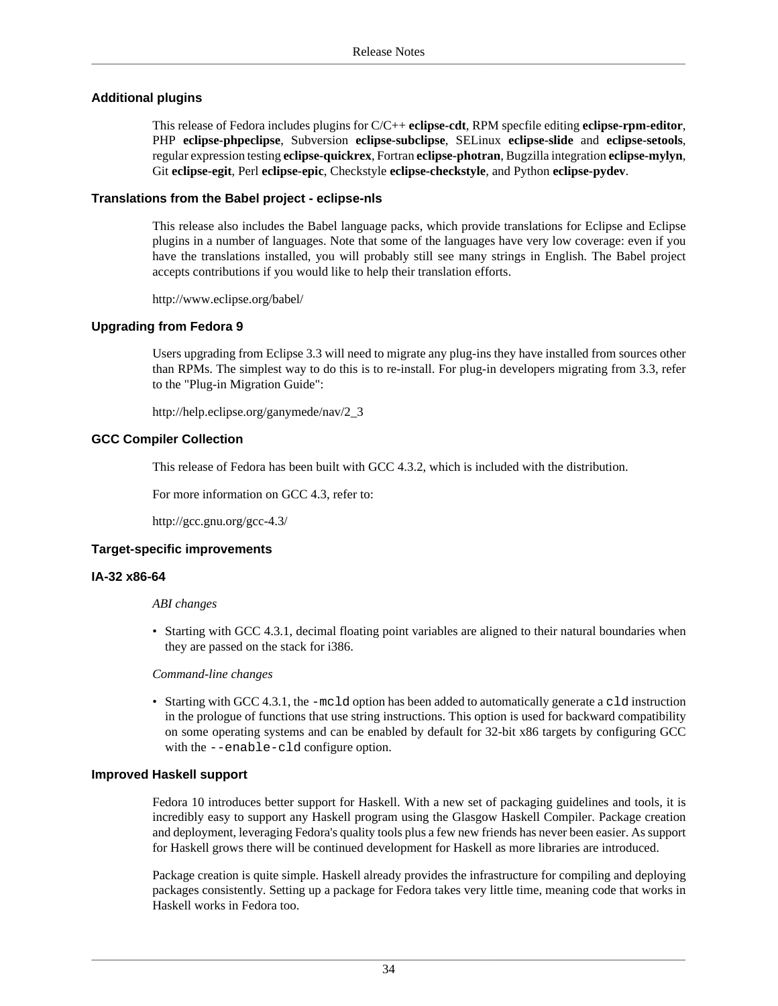#### **Additional plugins**

This release of Fedora includes plugins for C/C++ **eclipse-cdt**, RPM specfile editing **eclipse-rpm-editor**, PHP **eclipse-phpeclipse**, Subversion **eclipse-subclipse**, SELinux **eclipse-slide** and **eclipse-setools**, regular expression testing **eclipse-quickrex**, Fortran **eclipse-photran**, Bugzilla integration **eclipse-mylyn**, Git **eclipse-egit**, Perl **eclipse-epic**, Checkstyle **eclipse-checkstyle**, and Python **eclipse-pydev**.

#### **Translations from the Babel project - eclipse-nls**

This release also includes the Babel language packs, which provide translations for Eclipse and Eclipse plugins in a number of languages. Note that some of the languages have very low coverage: even if you have the translations installed, you will probably still see many strings in English. The Babel project accepts contributions if you would like to help their translation efforts.

<http://www.eclipse.org/babel/>

#### **Upgrading from Fedora 9**

Users upgrading from Eclipse 3.3 will need to migrate any plug-ins they have installed from sources other than RPMs. The simplest way to do this is to re-install. For plug-in developers migrating from 3.3, refer to the "Plug-in Migration Guide":

[http://help.eclipse.org/ganymede/nav/2\\_3](http://help.eclipse.org/ganymede/nav/2_3)

#### **GCC Compiler Collection**

This release of Fedora has been built with GCC 4.3.2, which is included with the distribution.

For more information on GCC 4.3, refer to:

<http://gcc.gnu.org/gcc-4.3/>

#### **Target-specific improvements**

#### **IA-32 x86-64**

#### *ABI changes*

• Starting with GCC 4.3.1, decimal floating point variables are aligned to their natural boundaries when they are passed on the stack for i386.

*Command-line changes*

• Starting with GCC 4.3.1, the -mc1d option has been added to automatically generate a c1d instruction in the prologue of functions that use string instructions. This option is used for backward compatibility on some operating systems and can be enabled by default for 32-bit x86 targets by configuring GCC with the --enable-cld configure option.

#### **Improved Haskell support**

Fedora 10 introduces better support for Haskell. With a new set of packaging guidelines and tools, it is incredibly easy to support any Haskell program using the Glasgow Haskell Compiler. Package creation and deployment, leveraging Fedora's quality tools plus a few new friends has never been easier. As support for Haskell grows there will be continued development for Haskell as more libraries are introduced.

Package creation is quite simple. Haskell already provides the infrastructure for compiling and deploying packages consistently. Setting up a package for Fedora takes very little time, meaning code that works in Haskell works in Fedora too.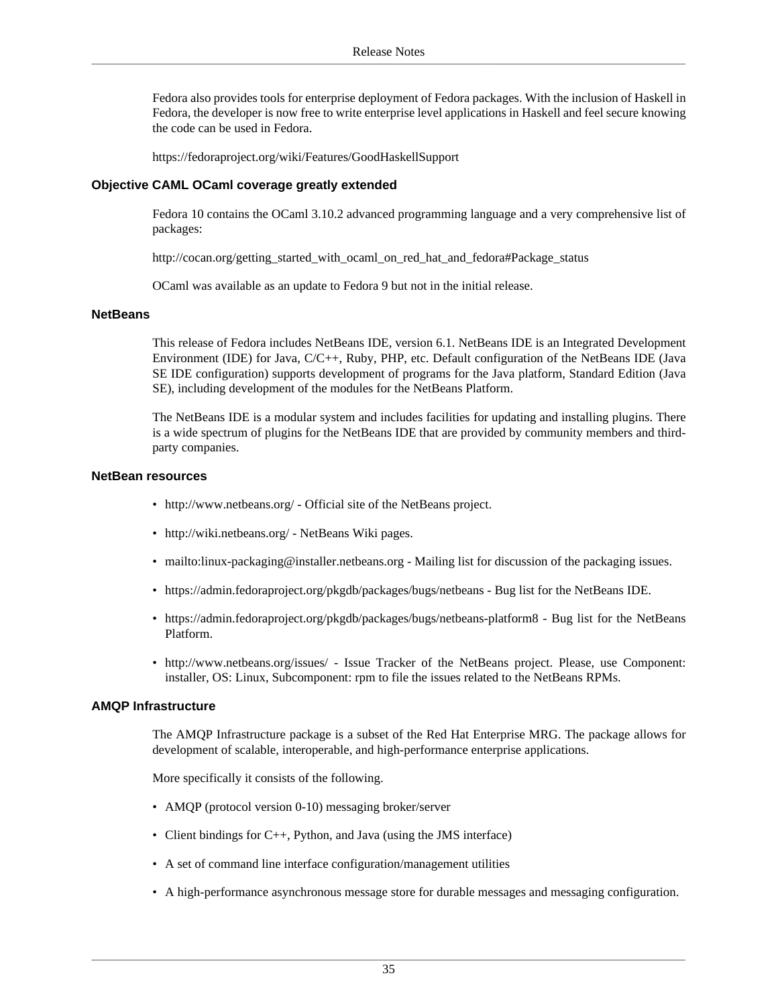Fedora also provides tools for enterprise deployment of Fedora packages. With the inclusion of Haskell in Fedora, the developer is now free to write enterprise level applications in Haskell and feel secure knowing the code can be used in Fedora.

<https://fedoraproject.org/wiki/Features/GoodHaskellSupport>

#### **Objective CAML OCaml coverage greatly extended**

Fedora 10 contains the OCaml 3.10.2 advanced programming language and a very comprehensive list of packages:

[http://cocan.org/getting\\_started\\_with\\_ocaml\\_on\\_red\\_hat\\_and\\_fedora#Package\\_status](http://cocan.org/getting_started_with_ocaml_on_red_hat_and_fedora#Package_status)

OCaml was available as an update to Fedora 9 but not in the initial release.

#### **NetBeans**

This release of Fedora includes NetBeans IDE, version 6.1. NetBeans IDE is an Integrated Development Environment (IDE) for Java, C/C++, Ruby, PHP, etc. Default configuration of the NetBeans IDE (Java SE IDE configuration) supports development of programs for the Java platform, Standard Edition (Java SE), including development of the modules for the NetBeans Platform.

The NetBeans IDE is a modular system and includes facilities for updating and installing plugins. There is a wide spectrum of plugins for the NetBeans IDE that are provided by community members and thirdparty companies.

#### **NetBean resources**

- <http://www.netbeans.org/> Official site of the NetBeans project.
- <http://wiki.netbeans.org/> NetBeans Wiki pages.
- <mailto:linux-packaging@installer.netbeans.org> Mailing list for discussion of the packaging issues.
- <https://admin.fedoraproject.org/pkgdb/packages/bugs/netbeans> Bug list for the NetBeans IDE.
- <https://admin.fedoraproject.org/pkgdb/packages/bugs/netbeans-platform8> Bug list for the NetBeans Platform.
- <http://www.netbeans.org/issues/> Issue Tracker of the NetBeans project. Please, use Component: installer, OS: Linux, Subcomponent: rpm to file the issues related to the NetBeans RPMs.

#### **AMQP Infrastructure**

The AMQP Infrastructure package is a subset of the Red Hat Enterprise MRG. The package allows for development of scalable, interoperable, and high-performance enterprise applications.

More specifically it consists of the following.

- AMOP (protocol version 0-10) messaging broker/server
- Client bindings for C++, Python, and Java (using the JMS interface)
- A set of command line interface configuration/management utilities
- A high-performance asynchronous message store for durable messages and messaging configuration.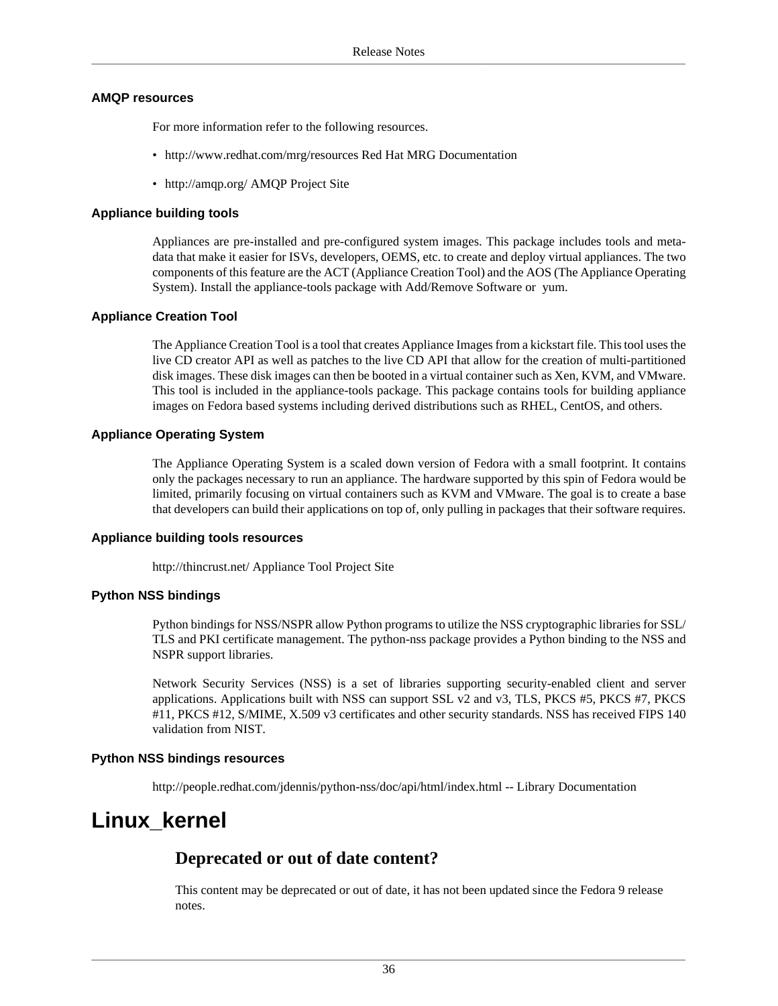#### **AMQP resources**

For more information refer to the following resources.

- <http://www.redhat.com/mrg/resources> Red Hat MRG Documentation
- <http://amqp.org/>AMQP Project Site

#### **Appliance building tools**

Appliances are pre-installed and pre-configured system images. This package includes tools and metadata that make it easier for ISVs, developers, OEMS, etc. to create and deploy virtual appliances. The two components of this feature are the ACT (Appliance Creation Tool) and the AOS (The Appliance Operating System). Install the appliance-tools package with Add/Remove Software or yum.

#### **Appliance Creation Tool**

The Appliance Creation Tool is a tool that creates Appliance Images from a kickstart file. This tool uses the live CD creator API as well as patches to the live CD API that allow for the creation of multi-partitioned disk images. These disk images can then be booted in a virtual container such as Xen, KVM, and VMware. This tool is included in the appliance-tools package. This package contains tools for building appliance images on Fedora based systems including derived distributions such as RHEL, CentOS, and others.

#### **Appliance Operating System**

The Appliance Operating System is a scaled down version of Fedora with a small footprint. It contains only the packages necessary to run an appliance. The hardware supported by this spin of Fedora would be limited, primarily focusing on virtual containers such as KVM and VMware. The goal is to create a base that developers can build their applications on top of, only pulling in packages that their software requires.

#### **Appliance building tools resources**

<http://thincrust.net/> Appliance Tool Project Site

#### **Python NSS bindings**

Python bindings for NSS/NSPR allow Python programs to utilize the NSS cryptographic libraries for SSL/ TLS and PKI certificate management. The python-nss package provides a Python binding to the NSS and NSPR support libraries.

Network Security Services (NSS) is a set of libraries supporting security-enabled client and server applications. Applications built with NSS can support SSL v2 and v3, TLS, PKCS #5, PKCS #7, PKCS #11, PKCS #12, S/MIME, X.509 v3 certificates and other security standards. NSS has received FIPS 140 validation from NIST.

#### **Python NSS bindings resources**

<http://people.redhat.com/jdennis/python-nss/doc/api/html/index.html> -- Library Documentation

## <span id="page-35-0"></span>**Linux\_kernel**

#### **Deprecated or out of date content?**

This content may be deprecated or out of date, it has not been updated since the Fedora 9 release notes.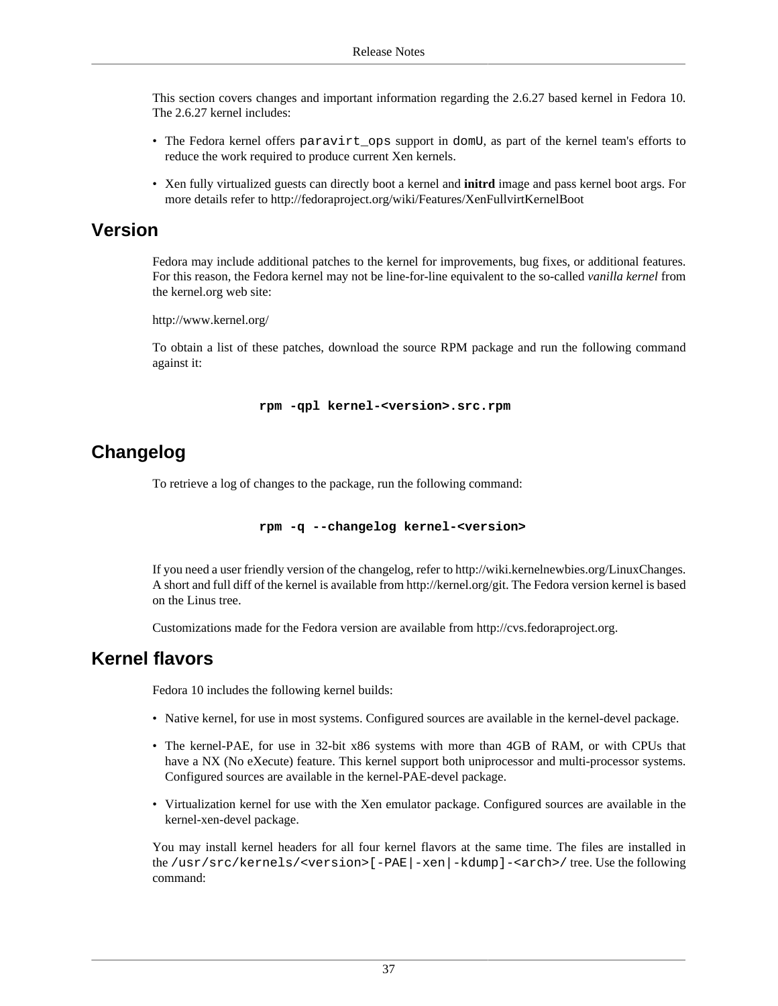This section covers changes and important information regarding the 2.6.27 based kernel in Fedora 10. The 2.6.27 kernel includes:

- The Fedora kernel offers paravirt\_ops support in domU, as part of the kernel team's efforts to reduce the work required to produce current Xen kernels.
- Xen fully virtualized guests can directly boot a kernel and **initrd** image and pass kernel boot args. For more details refer to<http://fedoraproject.org/wiki/Features/XenFullvirtKernelBoot>

### **Version**

Fedora may include additional patches to the kernel for improvements, bug fixes, or additional features. For this reason, the Fedora kernel may not be line-for-line equivalent to the so-called *vanilla kernel* from the kernel.org web site:

<http://www.kernel.org/>

To obtain a list of these patches, download the source RPM package and run the following command against it:

**rpm -qpl kernel-<version>.src.rpm**

## **Changelog**

To retrieve a log of changes to the package, run the following command:

```
 rpm -q --changelog kernel-<version>
```
If you need a user friendly version of the changelog, refer to [http://wiki.kernelnewbies.org/LinuxChanges.](http://wiki.kernelnewbies.org/LinuxChanges) A short and full diff of the kernel is available from<http://kernel.org/git>. The Fedora version kernel is based on the Linus tree.

Customizations made for the Fedora version are available from<http://cvs.fedoraproject.org>.

### <span id="page-36-0"></span>**Kernel flavors**

Fedora 10 includes the following kernel builds:

- Native kernel, for use in most systems. Configured sources are available in the kernel-devel package.
- The kernel-PAE, for use in 32-bit x86 systems with more than 4GB of RAM, or with CPUs that have a NX (No eXecute) feature. This kernel support both uniprocessor and multi-processor systems. Configured sources are available in the kernel-PAE-devel package.
- Virtualization kernel for use with the Xen emulator package. Configured sources are available in the kernel-xen-devel package.

You may install kernel headers for all four kernel flavors at the same time. The files are installed in the /usr/src/kernels/<version>[-PAE|-xen|-kdump]-<arch>/ tree. Use the following command: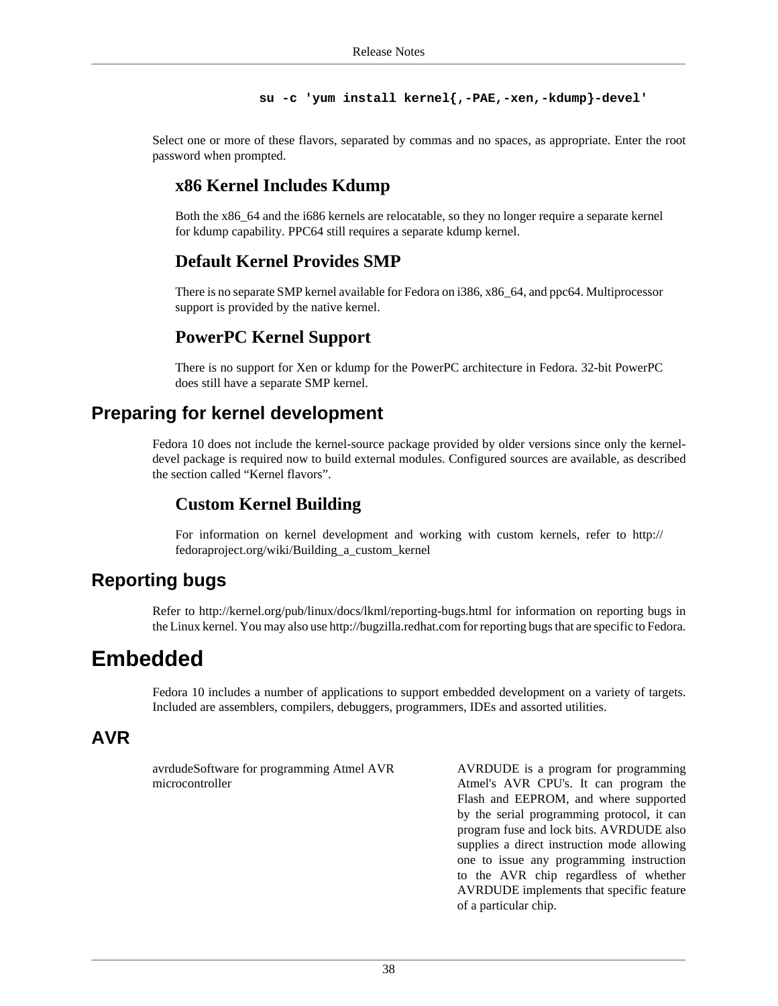```
 su -c 'yum install kernel{,-PAE,-xen,-kdump}-devel'
```
Select one or more of these flavors, separated by commas and no spaces, as appropriate. Enter the root password when prompted.

### **x86 Kernel Includes Kdump**

Both the x86\_64 and the i686 kernels are relocatable, so they no longer require a separate kernel for kdump capability. PPC64 still requires a separate kdump kernel.

## **Default Kernel Provides SMP**

There is no separate SMP kernel available for Fedora on i386, x86\_64, and ppc64. Multiprocessor support is provided by the native kernel.

### **PowerPC Kernel Support**

There is no support for Xen or kdump for the PowerPC architecture in Fedora. 32-bit PowerPC does still have a separate SMP kernel.

## **Preparing for kernel development**

Fedora 10 does not include the kernel-source package provided by older versions since only the kerneldevel package is required now to build external modules. Configured sources are available, as described [the section called "Kernel flavors"](#page-36-0).

### **Custom Kernel Building**

For information on kernel development and working with custom kernels, refer to [http://](http://fedoraproject.org/wiki/Building_a_custom_kernel) [fedoraproject.org/wiki/Building\\_a\\_custom\\_kernel](http://fedoraproject.org/wiki/Building_a_custom_kernel)

## **Reporting bugs**

Refer to <http://kernel.org/pub/linux/docs/lkml/reporting-bugs.html> for information on reporting bugs in the Linux kernel. You may also use<http://bugzilla.redhat.com>for reporting bugs that are specific to Fedora.

## <span id="page-37-0"></span>**Embedded**

Fedora 10 includes a number of applications to support embedded development on a variety of targets. Included are assemblers, compilers, debuggers, programmers, IDEs and assorted utilities.

### **AVR**

avrdudeSoftware for programming Atmel AVR microcontroller

AVRDUDE is a program for programming Atmel's AVR CPU's. It can program the Flash and EEPROM, and where supported by the serial programming protocol, it can program fuse and lock bits. AVRDUDE also supplies a direct instruction mode allowing one to issue any programming instruction to the AVR chip regardless of whether AVRDUDE implements that specific feature of a particular chip.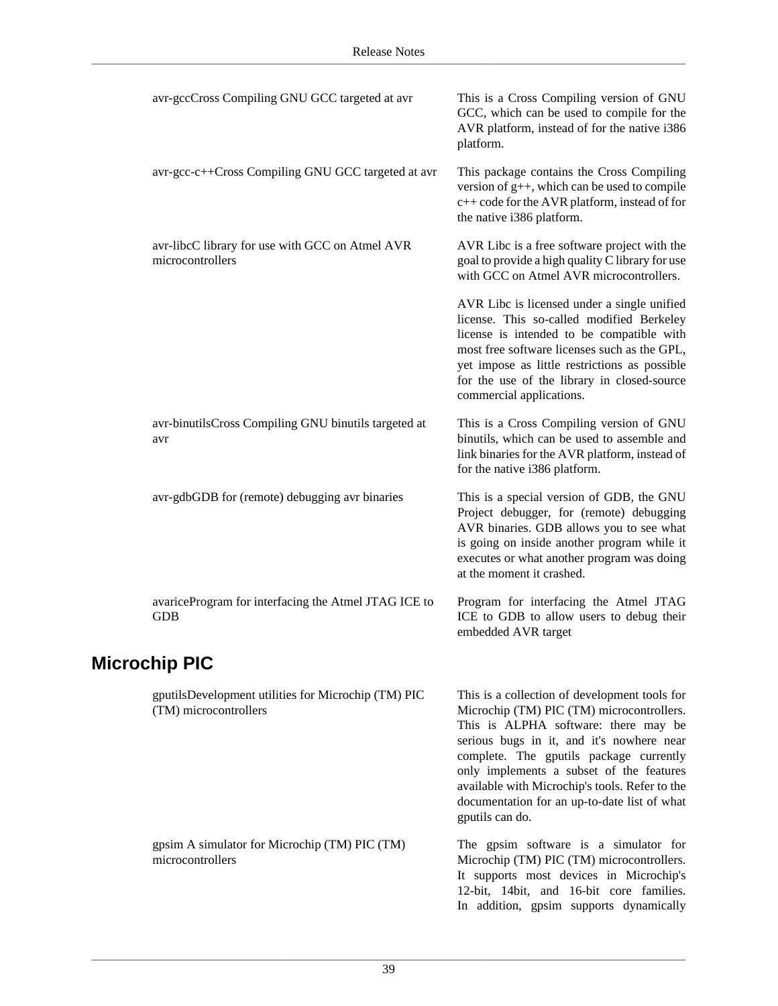|                      | avr-gccCross Compiling GNU GCC targeted at avr                               | This is a Cross Compiling version of GNU<br>GCC, which can be used to compile for the<br>AVR platform, instead of for the native i386<br>platform.                                                                                                                                                                                                                                          |  |  |
|----------------------|------------------------------------------------------------------------------|---------------------------------------------------------------------------------------------------------------------------------------------------------------------------------------------------------------------------------------------------------------------------------------------------------------------------------------------------------------------------------------------|--|--|
|                      | avr-gcc-c++Cross Compiling GNU GCC targeted at avr                           | This package contains the Cross Compiling<br>version of $g++$ , which can be used to compile<br>c++ code for the AVR platform, instead of for<br>the native i386 platform.                                                                                                                                                                                                                  |  |  |
|                      | avr-libcC library for use with GCC on Atmel AVR<br>microcontrollers          | AVR Libc is a free software project with the<br>goal to provide a high quality C library for use<br>with GCC on Atmel AVR microcontrollers.                                                                                                                                                                                                                                                 |  |  |
|                      |                                                                              | AVR Libc is licensed under a single unified<br>license. This so-called modified Berkeley<br>license is intended to be compatible with<br>most free software licenses such as the GPL,<br>yet impose as little restrictions as possible<br>for the use of the library in closed-source<br>commercial applications.                                                                           |  |  |
|                      | avr-binutilsCross Compiling GNU binutils targeted at<br>avr                  | This is a Cross Compiling version of GNU<br>binutils, which can be used to assemble and<br>link binaries for the AVR platform, instead of<br>for the native i386 platform.                                                                                                                                                                                                                  |  |  |
|                      | avr-gdbGDB for (remote) debugging avr binaries                               | This is a special version of GDB, the GNU<br>Project debugger, for (remote) debugging<br>AVR binaries. GDB allows you to see what<br>is going on inside another program while it<br>executes or what another program was doing<br>at the moment it crashed.                                                                                                                                 |  |  |
|                      | avariceProgram for interfacing the Atmel JTAG ICE to<br><b>GDB</b>           | Program for interfacing the Atmel JTAG<br>ICE to GDB to allow users to debug their<br>embedded AVR target                                                                                                                                                                                                                                                                                   |  |  |
| <b>Microchip PIC</b> |                                                                              |                                                                                                                                                                                                                                                                                                                                                                                             |  |  |
|                      | gputilsDevelopment utilities for Microchip (TM) PIC<br>(TM) microcontrollers | This is a collection of development tools for<br>Microchip (TM) PIC (TM) microcontrollers.<br>This is ALPHA software: there may be<br>serious bugs in it, and it's nowhere near<br>complete. The gputils package currently<br>only implements a subset of the features<br>available with Microchip's tools. Refer to the<br>documentation for an up-to-date list of what<br>gputils can do. |  |  |
|                      | gpsim A simulator for Microchip (TM) PIC (TM)<br>microcontrollers            | The gpsim software is a simulator for<br>Microchip (TM) PIC (TM) microcontrollers.<br>It supports most devices in Microchip's<br>12-bit, 14bit, and 16-bit core families.<br>In addition, gpsim supports dynamically                                                                                                                                                                        |  |  |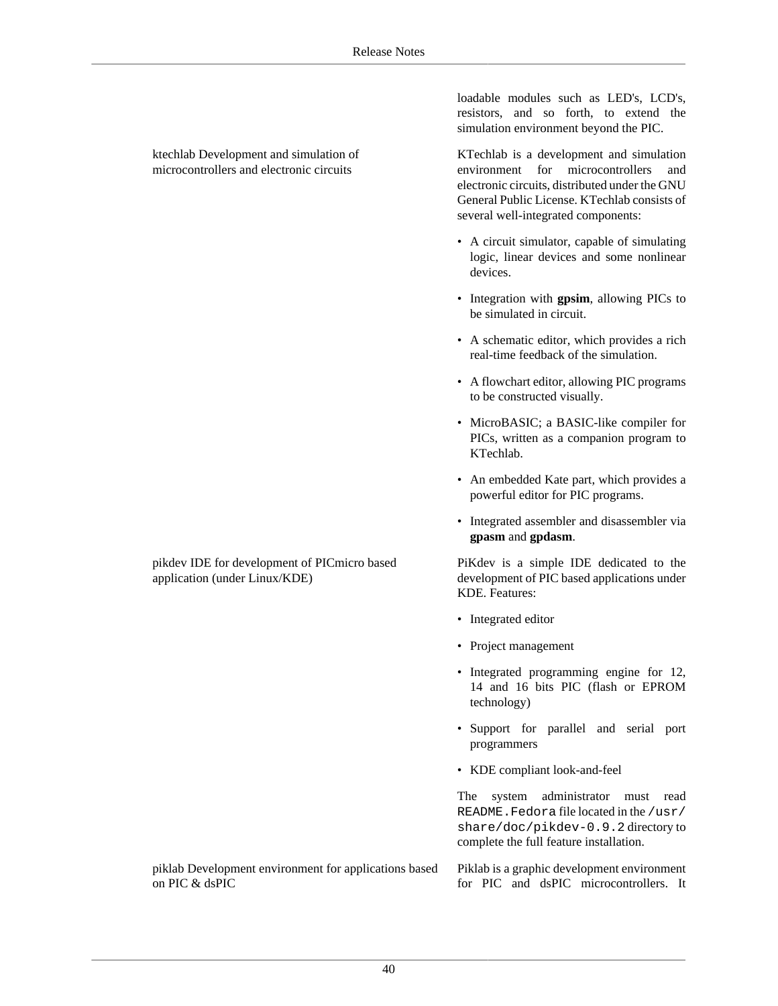loadable modules such as LED's, LCD's, resistors, and so forth, to extend the simulation environment beyond the PIC.

KTechlab is a development and simulation environment for microcontrollers and electronic circuits, distributed under the GNU General Public License. KTechlab consists of several well-integrated components:

- A circuit simulator, capable of simulating logic, linear devices and some nonlinear devices.
- Integration with **gpsim**, allowing PICs to be simulated in circuit.
- A schematic editor, which provides a rich real-time feedback of the simulation.
- A flowchart editor, allowing PIC programs to be constructed visually.
- MicroBASIC; a BASIC-like compiler for PICs, written as a companion program to KTechlab.
- An embedded Kate part, which provides a powerful editor for PIC programs.
- Integrated assembler and disassembler via **gpasm** and **gpdasm**.

PiKdev is a simple IDE dedicated to the development of PIC based applications under KDE. Features:

- Integrated editor
- Project management
- Integrated programming engine for 12, 14 and 16 bits PIC (flash or EPROM technology)
- Support for parallel and serial port programmers
- KDE compliant look-and-feel

The system administrator must read README.Fedora file located in the /usr/ share/doc/pikdev-0.9.2 directory to complete the full feature installation.

Piklab is a graphic development environment for PIC and dsPIC microcontrollers. It

ktechlab Development and simulation of microcontrollers and electronic circuits

pikdev IDE for development of PICmicro based application (under Linux/KDE)

piklab Development environment for applications based on PIC & dsPIC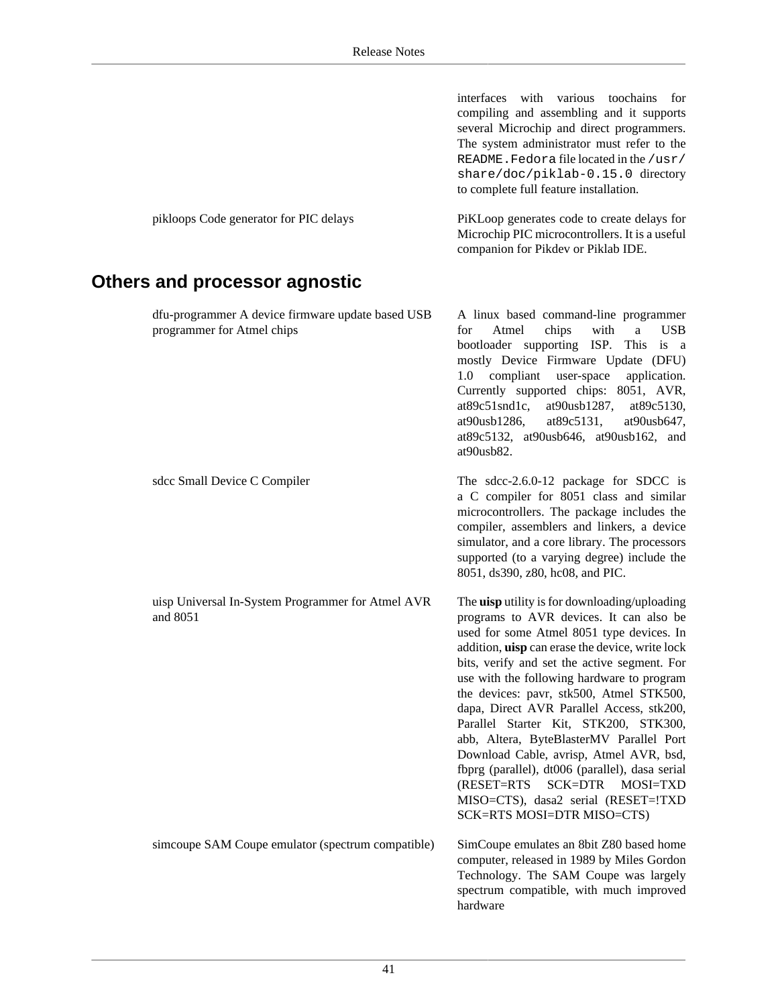|                                                                                 | interfaces with various toochains for<br>compiling and assembling and it supports<br>several Microchip and direct programmers.<br>The system administrator must refer to the<br>README. Fedora file located in the /usr/<br>share/doc/piklab-0.15.0 directory<br>to complete full feature installation.                                                                                                                                                                                                                                                                                                                                                                      |
|---------------------------------------------------------------------------------|------------------------------------------------------------------------------------------------------------------------------------------------------------------------------------------------------------------------------------------------------------------------------------------------------------------------------------------------------------------------------------------------------------------------------------------------------------------------------------------------------------------------------------------------------------------------------------------------------------------------------------------------------------------------------|
| pikloops Code generator for PIC delays                                          | PiKLoop generates code to create delays for<br>Microchip PIC microcontrollers. It is a useful<br>companion for Pikdev or Piklab IDE.                                                                                                                                                                                                                                                                                                                                                                                                                                                                                                                                         |
| Others and processor agnostic                                                   |                                                                                                                                                                                                                                                                                                                                                                                                                                                                                                                                                                                                                                                                              |
| dfu-programmer A device firmware update based USB<br>programmer for Atmel chips | A linux based command-line programmer<br>chips<br>with<br><b>USB</b><br>Atmel<br>a<br>for<br>bootloader supporting ISP. This is a<br>mostly Device Firmware Update (DFU)<br>1.0 compliant user-space<br>application.<br>Currently supported chips: 8051, AVR,<br>$at89c51snd1c$ ,<br>at90usb1287,<br>at 89c 5130,<br>at90usb1286,<br>at89c5131,<br>at90usb647,<br>at89c5132, at90usb646, at90usb162, and<br>at90usb82.                                                                                                                                                                                                                                                       |
| sdcc Small Device C Compiler                                                    | The sdcc-2.6.0-12 package for SDCC is<br>a C compiler for 8051 class and similar<br>microcontrollers. The package includes the<br>compiler, assemblers and linkers, a device<br>simulator, and a core library. The processors<br>supported (to a varying degree) include the<br>8051, ds390, z80, hc08, and PIC.                                                                                                                                                                                                                                                                                                                                                             |
| uisp Universal In-System Programmer for Atmel AVR<br>and 8051                   | The uisp utility is for downloading/uploading<br>programs to AVR devices. It can also be<br>used for some Atmel 8051 type devices. In<br>addition, uisp can erase the device, write lock<br>bits, verify and set the active segment. For<br>use with the following hardware to program<br>the devices: pavr, stk500, Atmel STK500,<br>dapa, Direct AVR Parallel Access, stk200,<br>Parallel Starter Kit, STK200, STK300,<br>abb, Altera, ByteBlasterMV Parallel Port<br>Download Cable, avrisp, Atmel AVR, bsd,<br>fbprg (parallel), dt006 (parallel), dasa serial<br>SCK=DTR<br>(RESET=RTS<br>MOSI=TXD<br>MISO=CTS), dasa2 serial (RESET=!TXD<br>SCK=RTS MOSI=DTR MISO=CTS) |
| simcoupe SAM Coupe emulator (spectrum compatible)                               | SimCoupe emulates an 8bit Z80 based home<br>computer, released in 1989 by Miles Gordon<br>Technology. The SAM Coupe was largely<br>spectrum compatible, with much improved<br>hardware                                                                                                                                                                                                                                                                                                                                                                                                                                                                                       |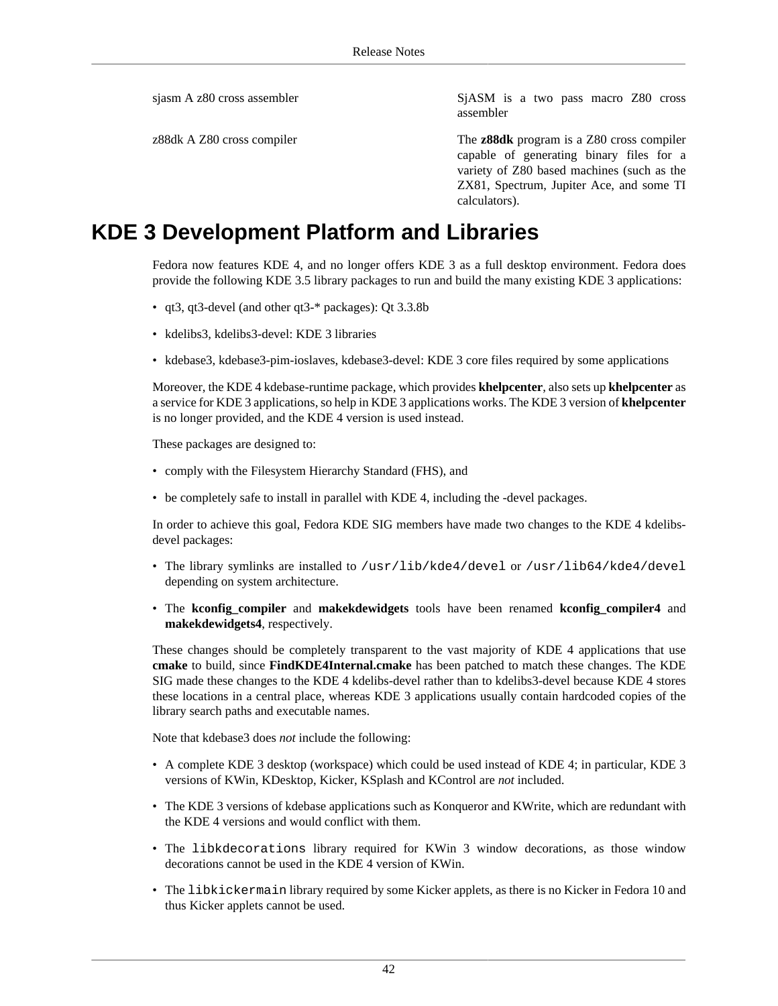sjasm A z80 cross assembler SjASM is a two pass macro Z80 cross assembler

z88dk A Z80 cross compiler The **z88dk** program is a Z80 cross compiler capable of generating binary files for a variety of Z80 based machines (such as the ZX81, Spectrum, Jupiter Ace, and some TI calculators).

## <span id="page-41-0"></span>**KDE 3 Development Platform and Libraries**

Fedora now features KDE 4, and no longer offers KDE 3 as a full desktop environment. Fedora does provide the following KDE 3.5 library packages to run and build the many existing KDE 3 applications:

- qt3, qt3-devel (and other qt3-\* packages): Qt 3.3.8b
- kdelibs3, kdelibs3-devel: KDE 3 libraries
- kdebase3, kdebase3-pim-ioslaves, kdebase3-devel: KDE 3 core files required by some applications

Moreover, the KDE 4 kdebase-runtime package, which provides **khelpcenter**, also sets up **khelpcenter** as a service for KDE 3 applications, so help in KDE 3 applications works. The KDE 3 version of **khelpcenter** is no longer provided, and the KDE 4 version is used instead.

These packages are designed to:

- comply with the Filesystem Hierarchy Standard (FHS), and
- be completely safe to install in parallel with KDE 4, including the -devel packages.

In order to achieve this goal, Fedora KDE SIG members have made two changes to the KDE 4 kdelibsdevel packages:

- The library symlinks are installed to /usr/lib/kde4/devel or /usr/lib64/kde4/devel depending on system architecture.
- The **kconfig\_compiler** and **makekdewidgets** tools have been renamed **kconfig\_compiler4** and **makekdewidgets4**, respectively.

These changes should be completely transparent to the vast majority of KDE 4 applications that use **cmake** to build, since **FindKDE4Internal.cmake** has been patched to match these changes. The KDE SIG made these changes to the KDE 4 kdelibs-devel rather than to kdelibs3-devel because KDE 4 stores these locations in a central place, whereas KDE 3 applications usually contain hardcoded copies of the library search paths and executable names.

Note that kdebase3 does *not* include the following:

- A complete KDE 3 desktop (workspace) which could be used instead of KDE 4; in particular, KDE 3 versions of KWin, KDesktop, Kicker, KSplash and KControl are *not* included.
- The KDE 3 versions of kdebase applications such as Konqueror and KWrite, which are redundant with the KDE 4 versions and would conflict with them.
- The libkdecorations library required for KWin 3 window decorations, as those window decorations cannot be used in the KDE 4 version of KWin.
- The libkickermain library required by some Kicker applets, as there is no Kicker in Fedora 10 and thus Kicker applets cannot be used.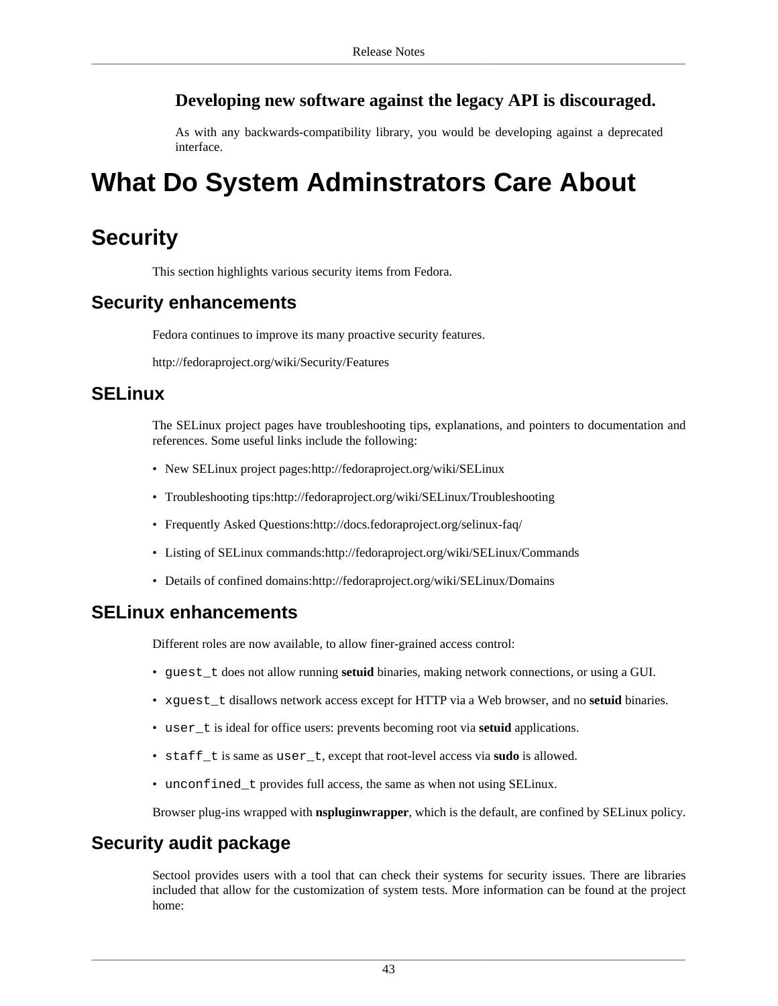### **Developing new software against the legacy API is discouraged.**

As with any backwards-compatibility library, you would be developing against a deprecated interface.

# <span id="page-42-0"></span>**What Do System Adminstrators Care About**

## <span id="page-42-1"></span>**Security**

This section highlights various security items from Fedora.

## **Security enhancements**

Fedora continues to improve its many proactive security features.

<http://fedoraproject.org/wiki/Security/Features>

### **SELinux**

The SELinux project pages have troubleshooting tips, explanations, and pointers to documentation and references. Some useful links include the following:

- New SELinux project pages[:http://fedoraproject.org/wiki/SELinux](http://fedoraproject.org/wiki/SELinux)
- Troubleshooting tips:<http://fedoraproject.org/wiki/SELinux/Troubleshooting>
- Frequently Asked Questions:<http://docs.fedoraproject.org/selinux-faq/>
- Listing of SELinux commands:<http://fedoraproject.org/wiki/SELinux/Commands>
- Details of confined domains:<http://fedoraproject.org/wiki/SELinux/Domains>

### **SELinux enhancements**

Different roles are now available, to allow finer-grained access control:

- guest\_t does not allow running **setuid** binaries, making network connections, or using a GUI.
- xquest t disallows network access except for HTTP via a Web browser, and no **setuid** binaries.
- user\_t is ideal for office users: prevents becoming root via **setuid** applications.
- staff\_t is same as user\_t, except that root-level access via **sudo** is allowed.
- unconfined\_t provides full access, the same as when not using SELinux.

Browser plug-ins wrapped with **nspluginwrapper**, which is the default, are confined by SELinux policy.

## **Security audit package**

Sectool provides users with a tool that can check their systems for security issues. There are libraries included that allow for the customization of system tests. More information can be found at the project home: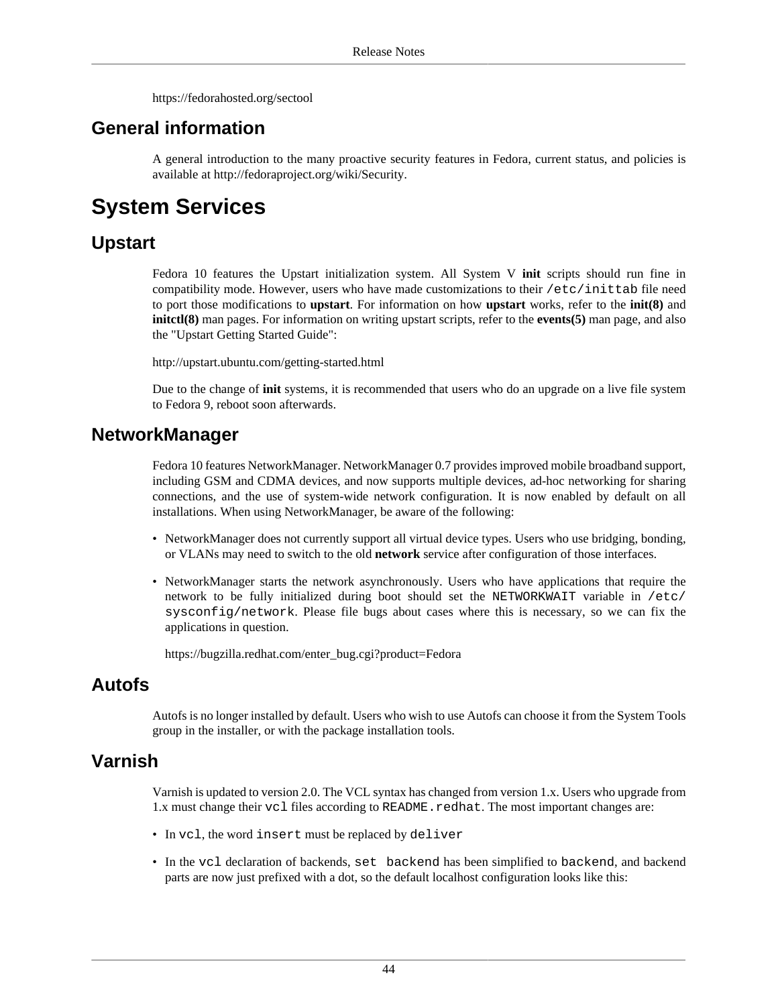<https://fedorahosted.org/sectool>

## **General information**

A general introduction to the many proactive security features in Fedora, current status, and policies is available at<http://fedoraproject.org/wiki/Security>.

## <span id="page-43-0"></span>**System Services**

## **Upstart**

Fedora 10 features the Upstart initialization system. All System V **init** scripts should run fine in compatibility mode. However, users who have made customizations to their /etc/inittab file need to port those modifications to **upstart**. For information on how **upstart** works, refer to the **init(8)** and **initctl(8)** man pages. For information on writing upstart scripts, refer to the **events(5)** man page, and also the "Upstart Getting Started Guide":

<http://upstart.ubuntu.com/getting-started.html>

Due to the change of **init** systems, it is recommended that users who do an upgrade on a live file system to Fedora 9, reboot soon afterwards.

### **NetworkManager**

Fedora 10 features NetworkManager. NetworkManager 0.7 provides improved mobile broadband support, including GSM and CDMA devices, and now supports multiple devices, ad-hoc networking for sharing connections, and the use of system-wide network configuration. It is now enabled by default on all installations. When using NetworkManager, be aware of the following:

- NetworkManager does not currently support all virtual device types. Users who use bridging, bonding, or VLANs may need to switch to the old **network** service after configuration of those interfaces.
- NetworkManager starts the network asynchronously. Users who have applications that require the network to be fully initialized during boot should set the NETWORKWAIT variable in /etc/ sysconfig/network. Please file bugs about cases where this is necessary, so we can fix the applications in question.

[https://bugzilla.redhat.com/enter\\_bug.cgi?product=Fedora](https://bugzilla.redhat.com/enter_bug.cgi?product=Fedora)

### **Autofs**

Autofs is no longer installed by default. Users who wish to use Autofs can choose it from the System Tools group in the installer, or with the package installation tools.

### **Varnish**

Varnish is updated to version 2.0. The VCL syntax has changed from version 1.x. Users who upgrade from 1.x must change their vcl files according to README. redhat. The most important changes are:

- In vcl, the word insert must be replaced by deliver
- In the vcl declaration of backends, set backend has been simplified to backend, and backend parts are now just prefixed with a dot, so the default localhost configuration looks like this: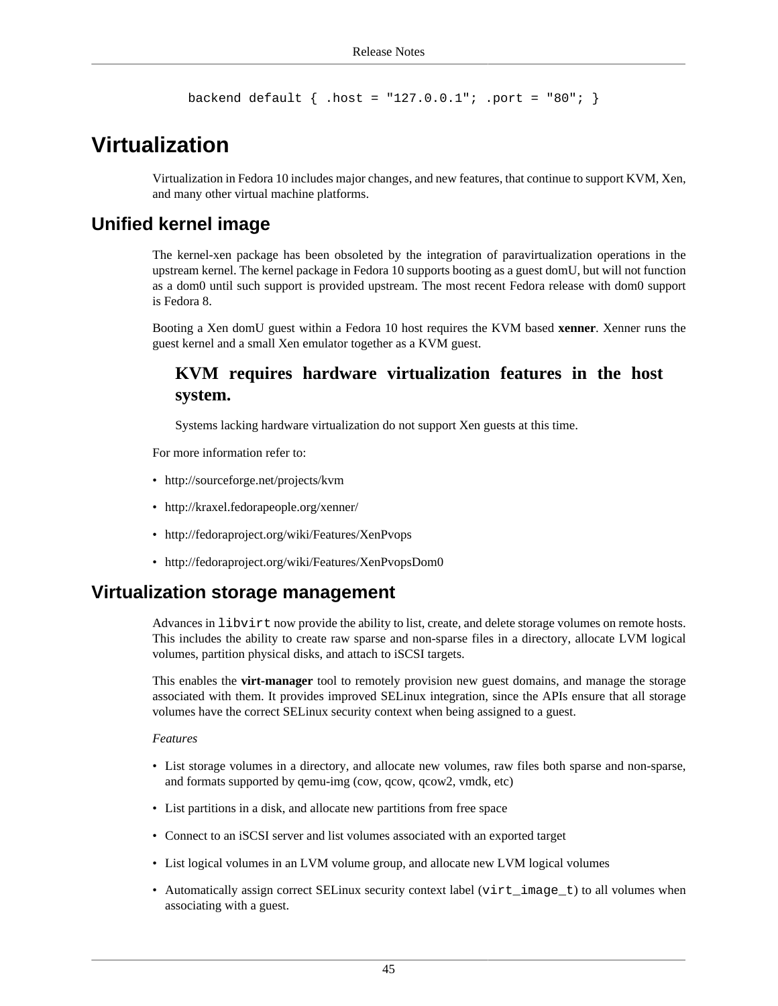backend default  $\{ .host = "127.0.0.1": .port = "80": \}$ 

## <span id="page-44-0"></span>**Virtualization**

Virtualization in Fedora 10 includes major changes, and new features, that continue to support KVM, Xen, and many other virtual machine platforms.

### **Unified kernel image**

The kernel-xen package has been obsoleted by the integration of paravirtualization operations in the upstream kernel. The kernel package in Fedora 10 supports booting as a guest domU, but will not function as a dom0 until such support is provided upstream. The most recent Fedora release with dom0 support is Fedora 8.

Booting a Xen domU guest within a Fedora 10 host requires the KVM based **xenner**. Xenner runs the guest kernel and a small Xen emulator together as a KVM guest.

### **KVM requires hardware virtualization features in the host system.**

Systems lacking hardware virtualization do not support Xen guests at this time.

For more information refer to:

- <http://sourceforge.net/projects/kvm>
- <http://kraxel.fedorapeople.org/xenner/>
- <http://fedoraproject.org/wiki/Features/XenPvops>
- <http://fedoraproject.org/wiki/Features/XenPvopsDom0>

#### **Virtualization storage management**

Advances in libvirt now provide the ability to list, create, and delete storage volumes on remote hosts. This includes the ability to create raw sparse and non-sparse files in a directory, allocate LVM logical volumes, partition physical disks, and attach to iSCSI targets.

This enables the **virt-manager** tool to remotely provision new guest domains, and manage the storage associated with them. It provides improved SELinux integration, since the APIs ensure that all storage volumes have the correct SELinux security context when being assigned to a guest.

#### *Features*

- List storage volumes in a directory, and allocate new volumes, raw files both sparse and non-sparse, and formats supported by qemu-img (cow, qcow, qcow2, vmdk, etc)
- List partitions in a disk, and allocate new partitions from free space
- Connect to an iSCSI server and list volumes associated with an exported target
- List logical volumes in an LVM volume group, and allocate new LVM logical volumes
- Automatically assign correct SELinux security context label (virt\_image\_t) to all volumes when associating with a guest.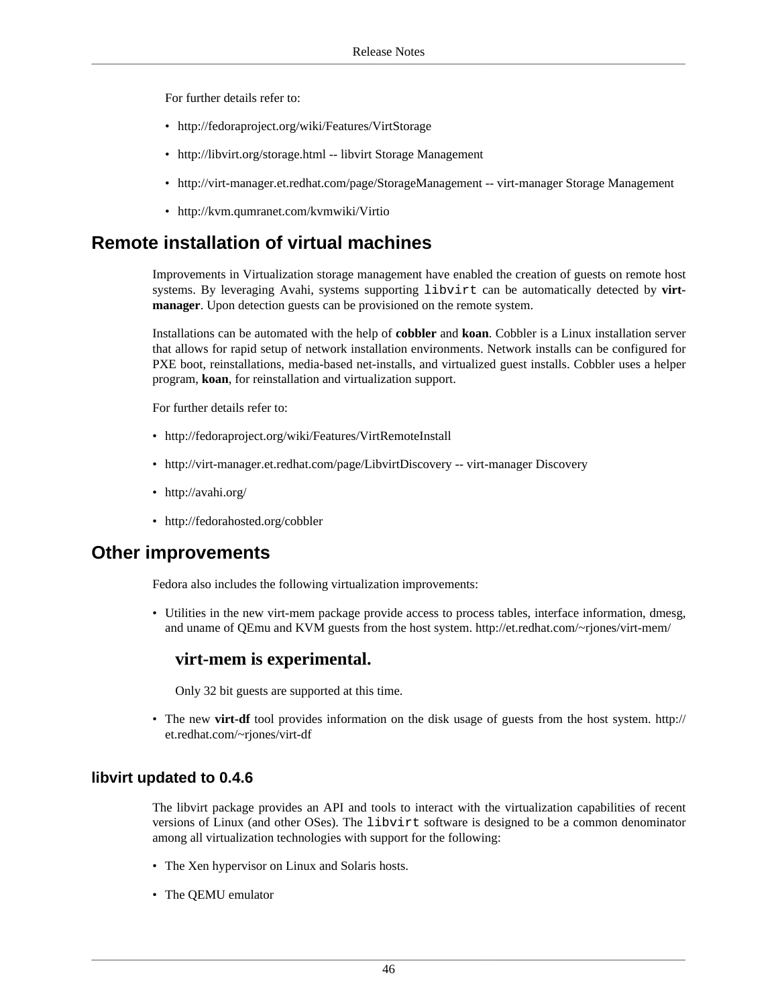For further details refer to:

- <http://fedoraproject.org/wiki/Features/VirtStorage>
- <http://libvirt.org/storage.html>-- libvirt Storage Management
- <http://virt-manager.et.redhat.com/page/StorageManagement>-- virt-manager Storage Management
- <http://kvm.qumranet.com/kvmwiki/Virtio>

## **Remote installation of virtual machines**

Improvements in Virtualization storage management have enabled the creation of guests on remote host systems. By leveraging Avahi, systems supporting libvirt can be automatically detected by **virtmanager**. Upon detection guests can be provisioned on the remote system.

Installations can be automated with the help of **cobbler** and **koan**. Cobbler is a Linux installation server that allows for rapid setup of network installation environments. Network installs can be configured for PXE boot, reinstallations, media-based net-installs, and virtualized guest installs. Cobbler uses a helper program, **koan**, for reinstallation and virtualization support.

For further details refer to:

- <http://fedoraproject.org/wiki/Features/VirtRemoteInstall>
- <http://virt-manager.et.redhat.com/page/LibvirtDiscovery>-- virt-manager Discovery
- <http://avahi.org/>
- <http://fedorahosted.org/cobbler>

#### **Other improvements**

Fedora also includes the following virtualization improvements:

• Utilities in the new virt-mem package provide access to process tables, interface information, dmesg, and uname of QEmu and KVM guests from the host system.<http://et.redhat.com/~rjones/virt-mem/>

#### **virt-mem is experimental.**

Only 32 bit guests are supported at this time.

• The new **virt-df** tool provides information on the disk usage of guests from the host system. [http://](http://et.redhat.com/~rjones/virt-df) [et.redhat.com/~rjones/virt-df](http://et.redhat.com/~rjones/virt-df)

#### **libvirt updated to 0.4.6**

The libvirt package provides an API and tools to interact with the virtualization capabilities of recent versions of Linux (and other OSes). The libvirt software is designed to be a common denominator among all virtualization technologies with support for the following:

- The Xen hypervisor on Linux and Solaris hosts.
- The QEMU emulator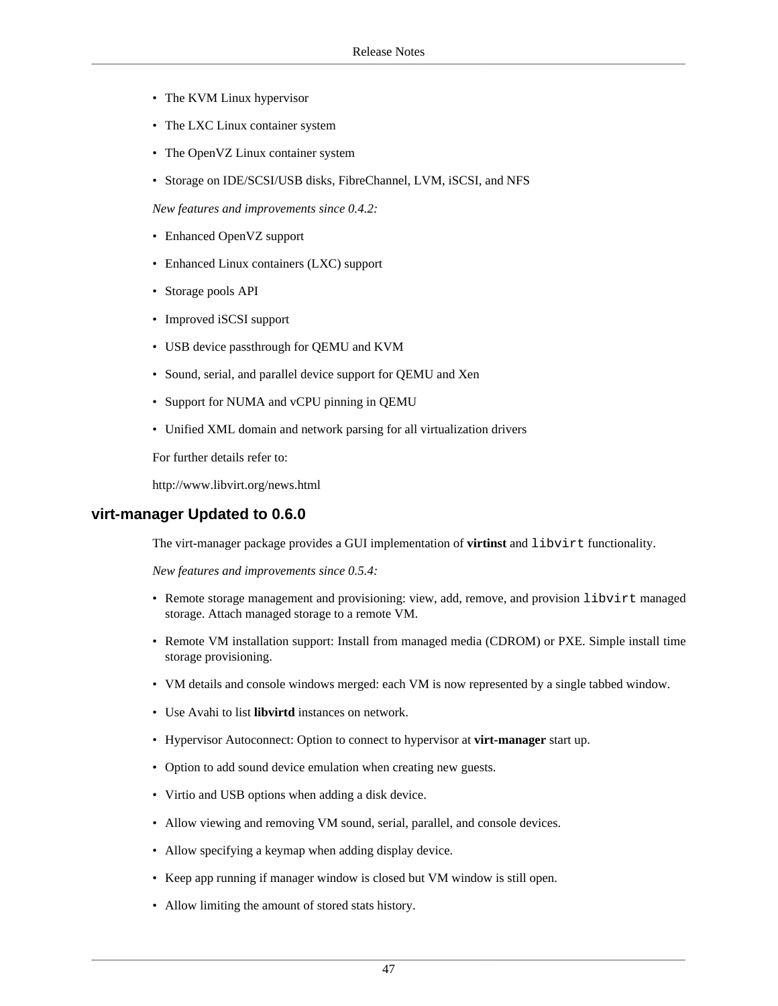- The KVM Linux hypervisor
- The LXC Linux container system
- The OpenVZ Linux container system
- Storage on IDE/SCSI/USB disks, FibreChannel, LVM, iSCSI, and NFS

*New features and improvements since 0.4.2:*

- Enhanced OpenVZ support
- Enhanced Linux containers (LXC) support
- Storage pools API
- Improved iSCSI support
- USB device passthrough for QEMU and KVM
- Sound, serial, and parallel device support for QEMU and Xen
- Support for NUMA and vCPU pinning in QEMU
- Unified XML domain and network parsing for all virtualization drivers

For further details refer to:

<http://www.libvirt.org/news.html>

#### **virt-manager Updated to 0.6.0**

The virt-manager package provides a GUI implementation of **virtinst** and libvirt functionality.

*New features and improvements since 0.5.4:*

- Remote storage management and provisioning: view, add, remove, and provision libvirt managed storage. Attach managed storage to a remote VM.
- Remote VM installation support: Install from managed media (CDROM) or PXE. Simple install time storage provisioning.
- VM details and console windows merged: each VM is now represented by a single tabbed window.
- Use Avahi to list **libvirtd** instances on network.
- Hypervisor Autoconnect: Option to connect to hypervisor at **virt-manager** start up.
- Option to add sound device emulation when creating new guests.
- Virtio and USB options when adding a disk device.
- Allow viewing and removing VM sound, serial, parallel, and console devices.
- Allow specifying a keymap when adding display device.
- Keep app running if manager window is closed but VM window is still open.
- Allow limiting the amount of stored stats history.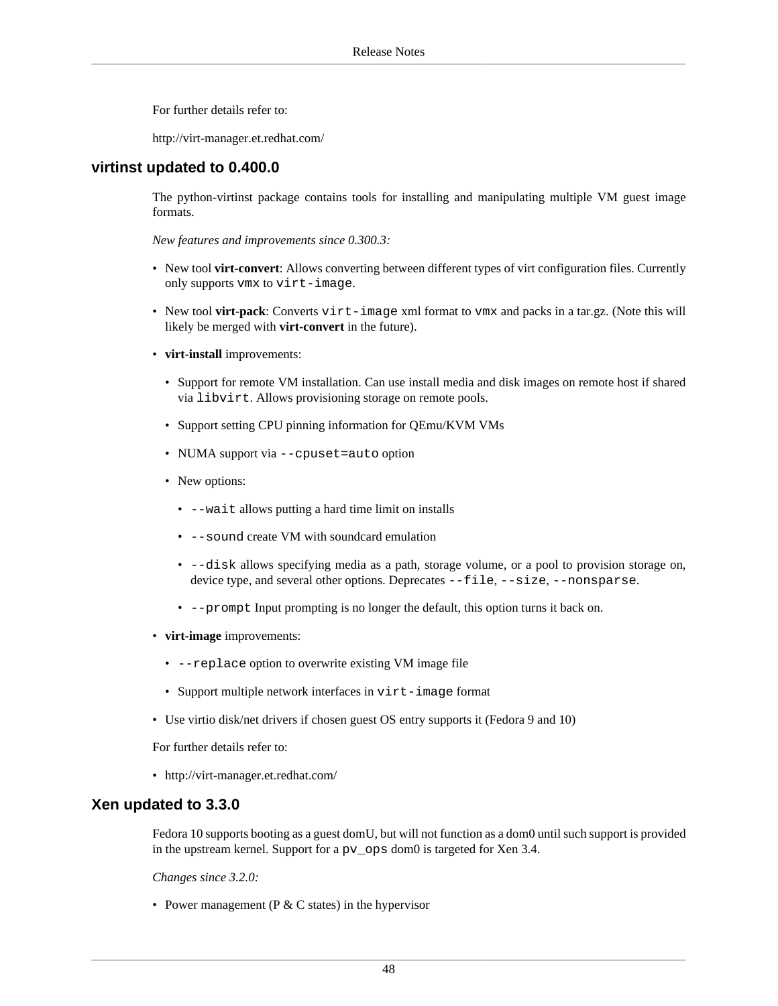For further details refer to:

<http://virt-manager.et.redhat.com/>

#### **virtinst updated to 0.400.0**

The python-virtinst package contains tools for installing and manipulating multiple VM guest image formats.

*New features and improvements since 0.300.3:*

- New tool **virt-convert**: Allows converting between different types of virt configuration files. Currently only supports vmx to virt-image.
- New tool **virt-pack**: Converts virt-image xml format to vmx and packs in a tar.gz. (Note this will likely be merged with **virt-convert** in the future).
- **virt-install** improvements:
	- Support for remote VM installation. Can use install media and disk images on remote host if shared via libvirt. Allows provisioning storage on remote pools.
	- Support setting CPU pinning information for QEmu/KVM VMs
	- NUMA support via --cpuset=auto option
	- New options:
		- --wait allows putting a hard time limit on installs
		- --sound create VM with soundcard emulation
		- --disk allows specifying media as a path, storage volume, or a pool to provision storage on, device type, and several other options. Deprecates --file, --size, --nonsparse.
		- --prompt Input prompting is no longer the default, this option turns it back on.
- **virt-image** improvements:
	- --replace option to overwrite existing VM image file
	- Support multiple network interfaces in virt-image format
- Use virtio disk/net drivers if chosen guest OS entry supports it (Fedora 9 and 10)

For further details refer to:

• <http://virt-manager.et.redhat.com/>

#### **Xen updated to 3.3.0**

Fedora 10 supports booting as a guest domU, but will not function as a dom0 until such support is provided in the upstream kernel. Support for a pv\_ops dom0 is targeted for Xen 3.4.

*Changes since 3.2.0:*

• Power management ( $P \& C$  states) in the hypervisor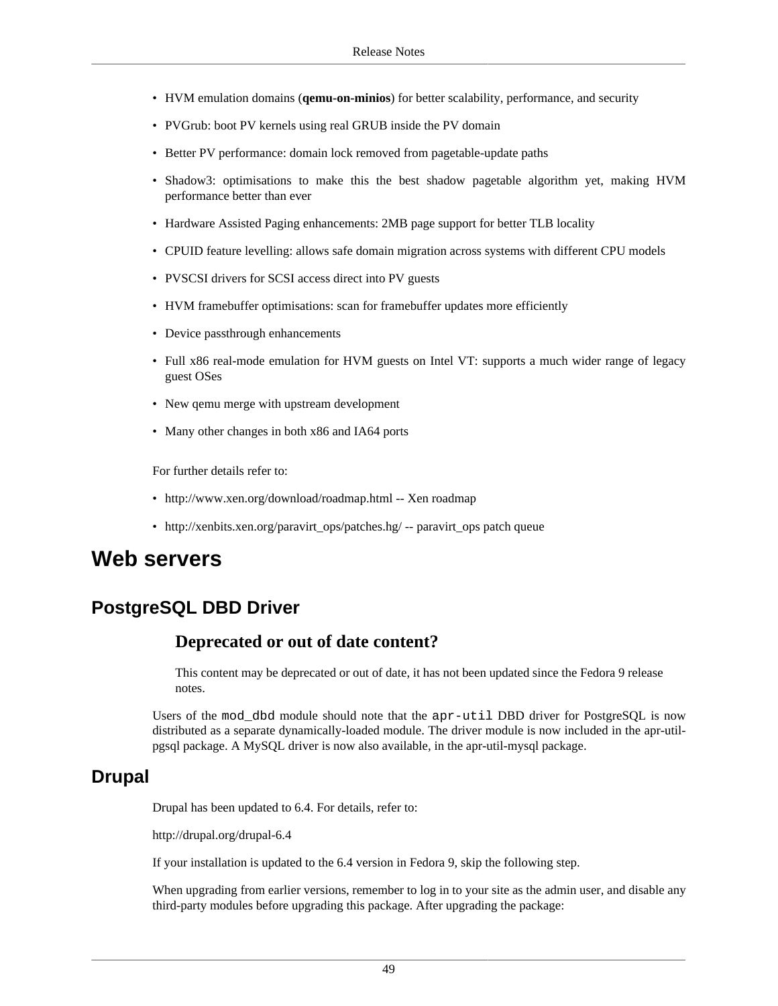- HVM emulation domains (**qemu-on-minios**) for better scalability, performance, and security
- PVGrub: boot PV kernels using real GRUB inside the PV domain
- Better PV performance: domain lock removed from pagetable-update paths
- Shadow3: optimisations to make this the best shadow pagetable algorithm yet, making HVM performance better than ever
- Hardware Assisted Paging enhancements: 2MB page support for better TLB locality
- CPUID feature levelling: allows safe domain migration across systems with different CPU models
- PVSCSI drivers for SCSI access direct into PV guests
- HVM framebuffer optimisations: scan for framebuffer updates more efficiently
- Device passthrough enhancements
- Full x86 real-mode emulation for HVM guests on Intel VT: supports a much wider range of legacy guest OSes
- New qemu merge with upstream development
- Many other changes in both x86 and IA64 ports

For further details refer to:

- <http://www.xen.org/download/roadmap.html> -- Xen roadmap
- [http://xenbits.xen.org/paravirt\\_ops/patches.hg/](http://xenbits.xen.org/paravirt_ops/patches.hg/) -- paravirt\_ops patch queue

## <span id="page-48-0"></span>**Web servers**

### **PostgreSQL DBD Driver**

#### **Deprecated or out of date content?**

This content may be deprecated or out of date, it has not been updated since the Fedora 9 release notes.

Users of the mod\_dbd module should note that the apr-util DBD driver for PostgreSQL is now distributed as a separate dynamically-loaded module. The driver module is now included in the apr-utilpgsql package. A MySQL driver is now also available, in the apr-util-mysql package.

#### **Drupal**

Drupal has been updated to 6.4. For details, refer to:

<http://drupal.org/drupal-6.4>

If your installation is updated to the 6.4 version in Fedora 9, skip the following step.

When upgrading from earlier versions, remember to log in to your site as the admin user, and disable any third-party modules before upgrading this package. After upgrading the package: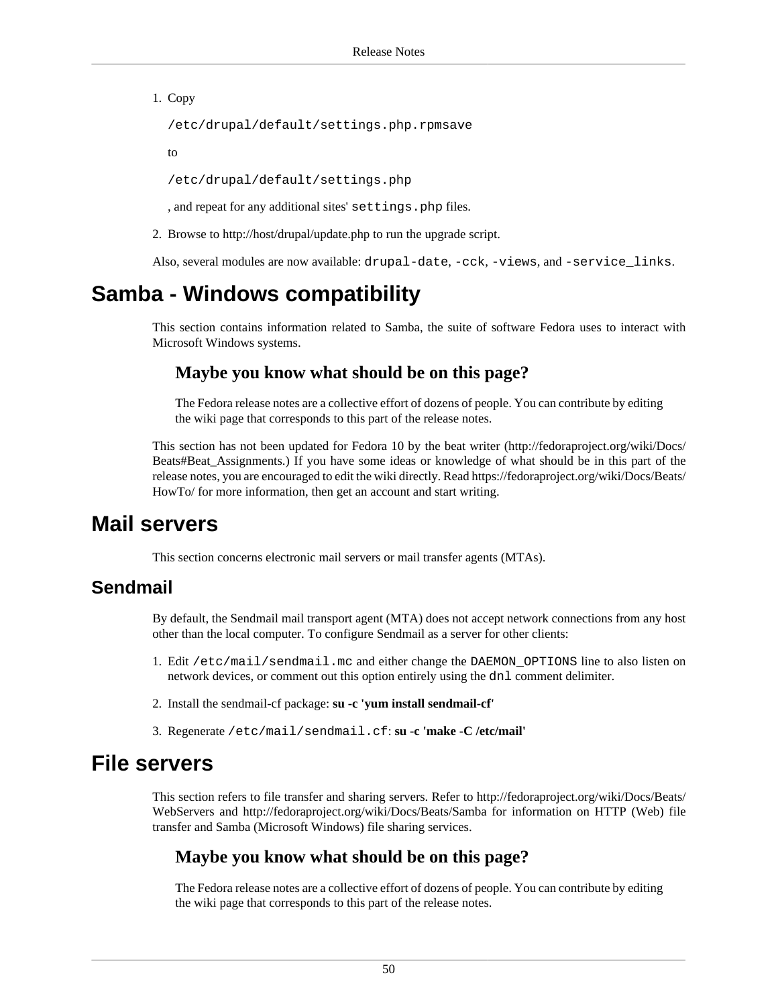1. Copy

/etc/drupal/default/settings.php.rpmsave

to

/etc/drupal/default/settings.php

, and repeat for any additional sites' settings.php files.

2. Browse to<http://host/drupal/update.php> to run the upgrade script.

Also, several modules are now available: drupal-date, -cck, -views, and -service\_links.

## <span id="page-49-0"></span>**Samba - Windows compatibility**

This section contains information related to Samba, the suite of software Fedora uses to interact with Microsoft Windows systems.

#### **Maybe you know what should be on this page?**

The Fedora release notes are a collective effort of dozens of people. You can contribute by editing the wiki page that corresponds to this part of the release notes.

This section has not been updated for Fedora 10 by the beat writer [\(http://fedoraproject.org/wiki/Docs/](http://fedoraproject.org/wiki/Docs/Beats#Beat_Assignments) [Beats#Beat\\_Assignments](http://fedoraproject.org/wiki/Docs/Beats#Beat_Assignments).) If you have some ideas or knowledge of what should be in this part of the release notes, you are encouraged to edit the wiki directly. Read [https://fedoraproject.org/wiki/Docs/Beats/](https://fedoraproject.org/wiki/Docs/Beats/HowTo/) [HowTo/](https://fedoraproject.org/wiki/Docs/Beats/HowTo/) for more information, then get an account and start writing.

## <span id="page-49-1"></span>**Mail servers**

This section concerns electronic mail servers or mail transfer agents (MTAs).

### **Sendmail**

By default, the Sendmail mail transport agent (MTA) does not accept network connections from any host other than the local computer. To configure Sendmail as a server for other clients:

- 1. Edit /etc/mail/sendmail.mc and either change the DAEMON\_OPTIONS line to also listen on network devices, or comment out this option entirely using the dnl comment delimiter.
- 2. Install the sendmail-cf package: **su -c 'yum install sendmail-cf'**
- 3. Regenerate /etc/mail/sendmail.cf: **su -c 'make -C /etc/mail'**

## <span id="page-49-2"></span>**File servers**

This section refers to file transfer and sharing servers. Refer to [http://fedoraproject.org/wiki/Docs/Beats/](http://fedoraproject.org/wiki/Docs/Beats/WebServers) [WebServers](http://fedoraproject.org/wiki/Docs/Beats/WebServers) and <http://fedoraproject.org/wiki/Docs/Beats/Samba> for information on HTTP (Web) file transfer and Samba (Microsoft Windows) file sharing services.

#### **Maybe you know what should be on this page?**

The Fedora release notes are a collective effort of dozens of people. You can contribute by editing the wiki page that corresponds to this part of the release notes.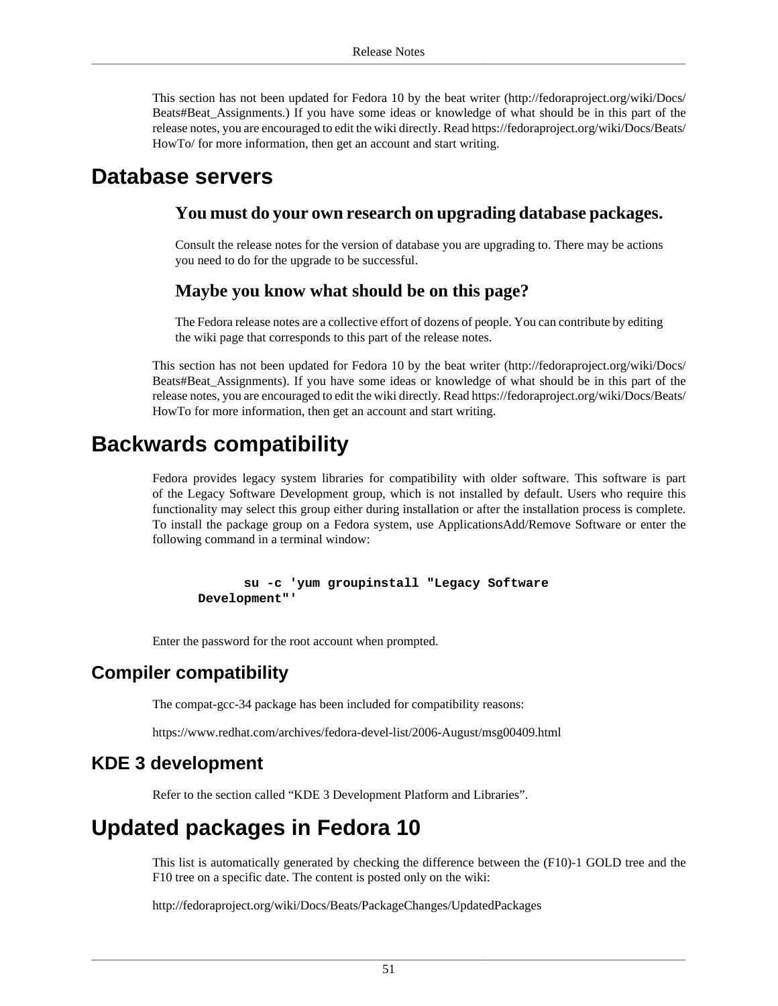This section has not been updated for Fedora 10 by the beat writer [\(http://fedoraproject.org/wiki/Docs/](http://fedoraproject.org/wiki/Docs/Beats#Beat_Assignments) [Beats#Beat\\_Assignments](http://fedoraproject.org/wiki/Docs/Beats#Beat_Assignments).) If you have some ideas or knowledge of what should be in this part of the release notes, you are encouraged to edit the wiki directly. Read [https://fedoraproject.org/wiki/Docs/Beats/](https://fedoraproject.org/wiki/Docs/Beats/HowTo/) [HowTo/](https://fedoraproject.org/wiki/Docs/Beats/HowTo/) for more information, then get an account and start writing.

## <span id="page-50-0"></span>**Database servers**

#### **You must do your own research on upgrading database packages.**

Consult the release notes for the version of database you are upgrading to. There may be actions you need to do for the upgrade to be successful.

#### **Maybe you know what should be on this page?**

The Fedora release notes are a collective effort of dozens of people. You can contribute by editing the wiki page that corresponds to this part of the release notes.

This section has not been updated for Fedora 10 by the beat writer [\(http://fedoraproject.org/wiki/Docs/](http://fedoraproject.org/wiki/Docs/Beats#Beat_Assignments) [Beats#Beat\\_Assignments](http://fedoraproject.org/wiki/Docs/Beats#Beat_Assignments)). If you have some ideas or knowledge of what should be in this part of the release notes, you are encouraged to edit the wiki directly. Read [https://fedoraproject.org/wiki/Docs/Beats/](https://fedoraproject.org/wiki/Docs/Beats/HowTo) [HowTo](https://fedoraproject.org/wiki/Docs/Beats/HowTo) for more information, then get an account and start writing.

## <span id="page-50-1"></span>**Backwards compatibility**

Fedora provides legacy system libraries for compatibility with older software. This software is part of the Legacy Software Development group, which is not installed by default. Users who require this functionality may select this group either during installation or after the installation process is complete. To install the package group on a Fedora system, use ApplicationsAdd/Remove Software or enter the following command in a terminal window:

 **su -c 'yum groupinstall "Legacy Software Development"'**

Enter the password for the root account when prompted.

### **Compiler compatibility**

The compat-gcc-34 package has been included for compatibility reasons:

<https://www.redhat.com/archives/fedora-devel-list/2006-August/msg00409.html>

#### **KDE 3 development**

Refer to [the section called "KDE 3 Development Platform and Libraries"](#page-41-0).

## <span id="page-50-2"></span>**Updated packages in Fedora 10**

This list is automatically generated by checking the difference between the (F10)-1 GOLD tree and the F10 tree on a specific date. The content is posted only on the wiki:

<http://fedoraproject.org/wiki/Docs/Beats/PackageChanges/UpdatedPackages>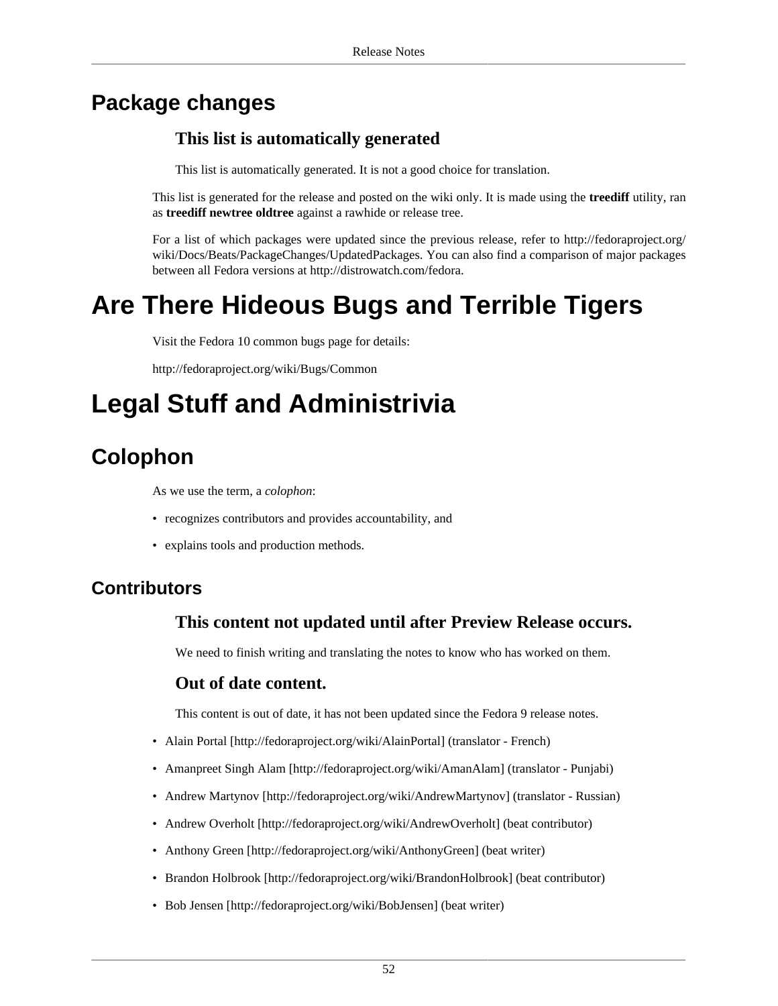## <span id="page-51-0"></span>**Package changes**

### **This list is automatically generated**

This list is automatically generated. It is not a good choice for translation.

This list is generated for the release and posted on the wiki only. It is made using the **treediff** utility, ran as **treediff newtree oldtree** against a rawhide or release tree.

For a list of which packages were updated since the previous release, refer to [http://fedoraproject.org/](http://fedoraproject.org/wiki/Docs/Beats/PackageChanges/UpdatedPackages) [wiki/Docs/Beats/PackageChanges/UpdatedPackages.](http://fedoraproject.org/wiki/Docs/Beats/PackageChanges/UpdatedPackages) You can also find a comparison of major packages between all Fedora versions at [http://distrowatch.com/fedora.](http://distrowatch.com/fedora)

# <span id="page-51-1"></span>**Are There Hideous Bugs and Terrible Tigers**

Visit the Fedora 10 common bugs page for details:

<http://fedoraproject.org/wiki/Bugs/Common>

# <span id="page-51-2"></span>**Legal Stuff and Administrivia**

## <span id="page-51-3"></span>**Colophon**

As we use the term, a *colophon*:

- recognizes contributors and provides accountability, and
- explains tools and production methods.

### **Contributors**

#### **This content not updated until after Preview Release occurs.**

We need to finish writing and translating the notes to know who has worked on them.

#### **Out of date content.**

This content is out of date, it has not been updated since the Fedora 9 release notes.

- [Alain Portal \[http://fedoraproject.org/wiki/AlainPortal\]](http://fedoraproject.org/wiki/AlainPortal) (translator French)
- [Amanpreet Singh Alam](http://fedoraproject.org/wiki/AmanAlam) [[http://fedoraproject.org/wiki/AmanAlam\]](http://fedoraproject.org/wiki/AmanAlam) (translator Punjabi)
- [Andrew Martynov](http://fedoraproject.org/wiki/AndrewMartynov) [<http://fedoraproject.org/wiki/AndrewMartynov>] (translator Russian)
- [Andrew Overholt](http://fedoraproject.org/wiki/AndrewOverholt) [\[http://fedoraproject.org/wiki/AndrewOverholt](http://fedoraproject.org/wiki/AndrewOverholt)] (beat contributor)
- [Anthony Green](http://fedoraproject.org/wiki/AnthonyGreen) [[http://fedoraproject.org/wiki/AnthonyGreen\]](http://fedoraproject.org/wiki/AnthonyGreen) (beat writer)
- [Brandon Holbrook](http://fedoraproject.org/wiki/BrandonHolbrook) [\[http://fedoraproject.org/wiki/BrandonHolbrook](http://fedoraproject.org/wiki/BrandonHolbrook)] (beat contributor)
- [Bob Jensen](http://fedoraproject.org/wiki/BobJensen) [<http://fedoraproject.org/wiki/BobJensen>] (beat writer)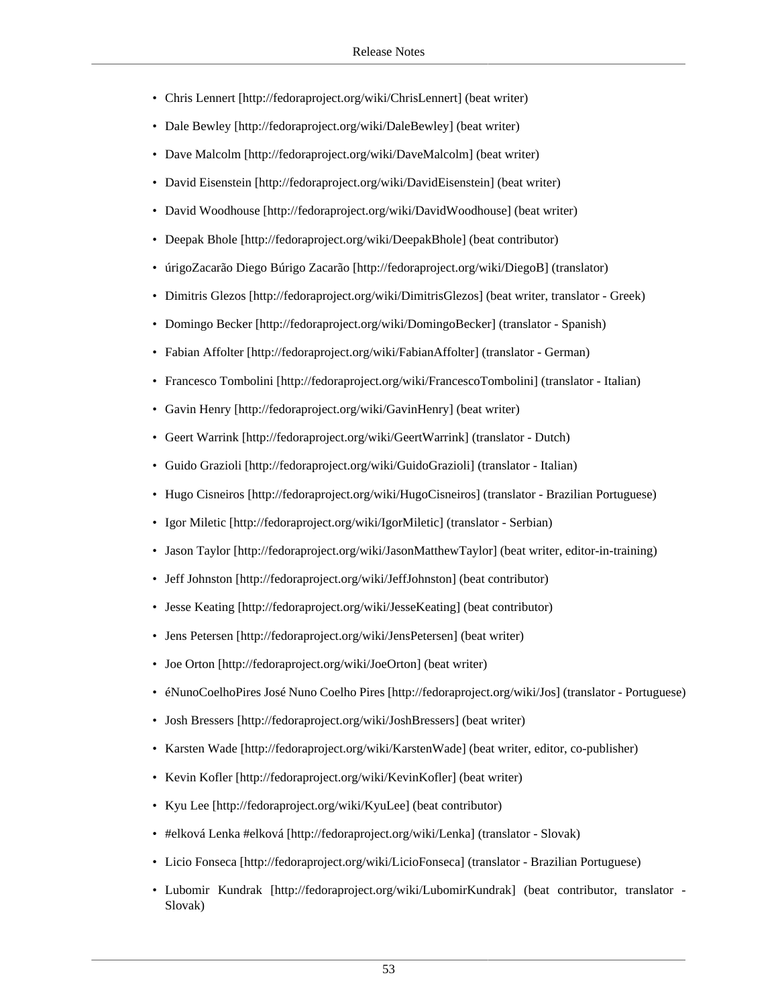- [Chris Lennert](http://fedoraproject.org/wiki/ChrisLennert) [\[http://fedoraproject.org/wiki/ChrisLennert](http://fedoraproject.org/wiki/ChrisLennert)] (beat writer)
- [Dale Bewley](http://fedoraproject.org/wiki/DaleBewley) [[http://fedoraproject.org/wiki/DaleBewley\]](http://fedoraproject.org/wiki/DaleBewley) (beat writer)
- [Dave Malcolm](http://fedoraproject.org/wiki/DaveMalcolm) [<http://fedoraproject.org/wiki/DaveMalcolm>] (beat writer)
- [David Eisenstein](http://fedoraproject.org/wiki/DavidEisenstein) [[http://fedoraproject.org/wiki/DavidEisenstein\]](http://fedoraproject.org/wiki/DavidEisenstein) (beat writer)
- [David Woodhouse](http://fedoraproject.org/wiki/DavidWoodhouse) [<http://fedoraproject.org/wiki/DavidWoodhouse>] (beat writer)
- [Deepak Bhole](http://fedoraproject.org/wiki/DeepakBhole) [[http://fedoraproject.org/wiki/DeepakBhole\]](http://fedoraproject.org/wiki/DeepakBhole) (beat contributor)
- [úrigoZacarão Diego Búrigo Zacarão](http://fedoraproject.org/wiki/DiegoB) [\[http://fedoraproject.org/wiki/DiegoB\]](http://fedoraproject.org/wiki/DiegoB) (translator)
- [Dimitris Glezos \[http://fedoraproject.org/wiki/DimitrisGlezos\]](http://fedoraproject.org/wiki/DimitrisGlezos) (beat writer, translator Greek)
- [Domingo Becker \[http://fedoraproject.org/wiki/DomingoBecker\]](http://fedoraproject.org/wiki/DomingoBecker) (translator Spanish)
- [Fabian Affolter](http://fedoraproject.org/wiki/FabianAffolter) [[http://fedoraproject.org/wiki/FabianAffolter\]](http://fedoraproject.org/wiki/FabianAffolter) (translator German)
- [Francesco Tombolini](http://fedoraproject.org/wiki/FrancescoTombolini) [\[http://fedoraproject.org/wiki/FrancescoTombolini](http://fedoraproject.org/wiki/FrancescoTombolini)] (translator Italian)
- [Gavin Henry](http://fedoraproject.org/wiki/GavinHenry) [[http://fedoraproject.org/wiki/GavinHenry\]](http://fedoraproject.org/wiki/GavinHenry) (beat writer)
- [Geert Warrink](http://fedoraproject.org/wiki/GeertWarrink) [[http://fedoraproject.org/wiki/GeertWarrink\]](http://fedoraproject.org/wiki/GeertWarrink) (translator Dutch)
- [Guido Grazioli](http://fedoraproject.org/wiki/GuidoGrazioli) [\[http://fedoraproject.org/wiki/GuidoGrazioli](http://fedoraproject.org/wiki/GuidoGrazioli)] (translator Italian)
- [Hugo Cisneiros](http://fedoraproject.org/wiki/HugoCisneiros) [\[http://fedoraproject.org/wiki/HugoCisneiros\]](http://fedoraproject.org/wiki/HugoCisneiros) (translator Brazilian Portuguese)
- [Igor Miletic](http://fedoraproject.org/wiki/IgorMiletic) [[http://fedoraproject.org/wiki/IgorMiletic\]](http://fedoraproject.org/wiki/IgorMiletic) (translator Serbian)
- [Jason Taylor](http://fedoraproject.org/wiki/JasonMatthewTaylor) [\[http://fedoraproject.org/wiki/JasonMatthewTaylor](http://fedoraproject.org/wiki/JasonMatthewTaylor)] (beat writer, editor-in-training)
- [Jeff Johnston](http://fedoraproject.org/wiki/JeffJohnston) [[http://fedoraproject.org/wiki/JeffJohnston\]](http://fedoraproject.org/wiki/JeffJohnston) (beat contributor)
- [Jesse Keating](http://fedoraproject.org/wiki/JesseKeating) [<http://fedoraproject.org/wiki/JesseKeating>] (beat contributor)
- [Jens Petersen \[http://fedoraproject.org/wiki/JensPetersen\]](http://fedoraproject.org/wiki/JensPetersen) (beat writer)
- [Joe Orton](http://fedoraproject.org/wiki/JoeOrton) [<http://fedoraproject.org/wiki/JoeOrton>] (beat writer)
- [éNunoCoelhoPires José Nuno Coelho Pires](http://fedoraproject.org/wiki/Jos) [[http://fedoraproject.org/wiki/Jos\]](http://fedoraproject.org/wiki/Jos) (translator Portuguese)
- [Josh Bressers](http://fedoraproject.org/wiki/JoshBressers) [<http://fedoraproject.org/wiki/JoshBressers>] (beat writer)
- [Karsten Wade](http://fedoraproject.org/wiki/KarstenWade) [[http://fedoraproject.org/wiki/KarstenWade\]](http://fedoraproject.org/wiki/KarstenWade) (beat writer, editor, co-publisher)
- [Kevin Kofler](http://fedoraproject.org/wiki/KevinKofler) [[http://fedoraproject.org/wiki/KevinKofler\]](http://fedoraproject.org/wiki/KevinKofler) (beat writer)
- [Kyu Lee](http://fedoraproject.org/wiki/KyuLee) [<http://fedoraproject.org/wiki/KyuLee>] (beat contributor)
- [#elková Lenka #elková](http://fedoraproject.org/wiki/Lenka) [\[http://fedoraproject.org/wiki/Lenka\]](http://fedoraproject.org/wiki/Lenka) (translator Slovak)
- [Licio Fonseca](http://fedoraproject.org/wiki/LicioFonseca) [\[http://fedoraproject.org/wiki/LicioFonseca](http://fedoraproject.org/wiki/LicioFonseca)] (translator Brazilian Portuguese)
- [Lubomir Kundrak](http://fedoraproject.org/wiki/LubomirKundrak) [\[http://fedoraproject.org/wiki/LubomirKundrak\]](http://fedoraproject.org/wiki/LubomirKundrak) (beat contributor, translator Slovak)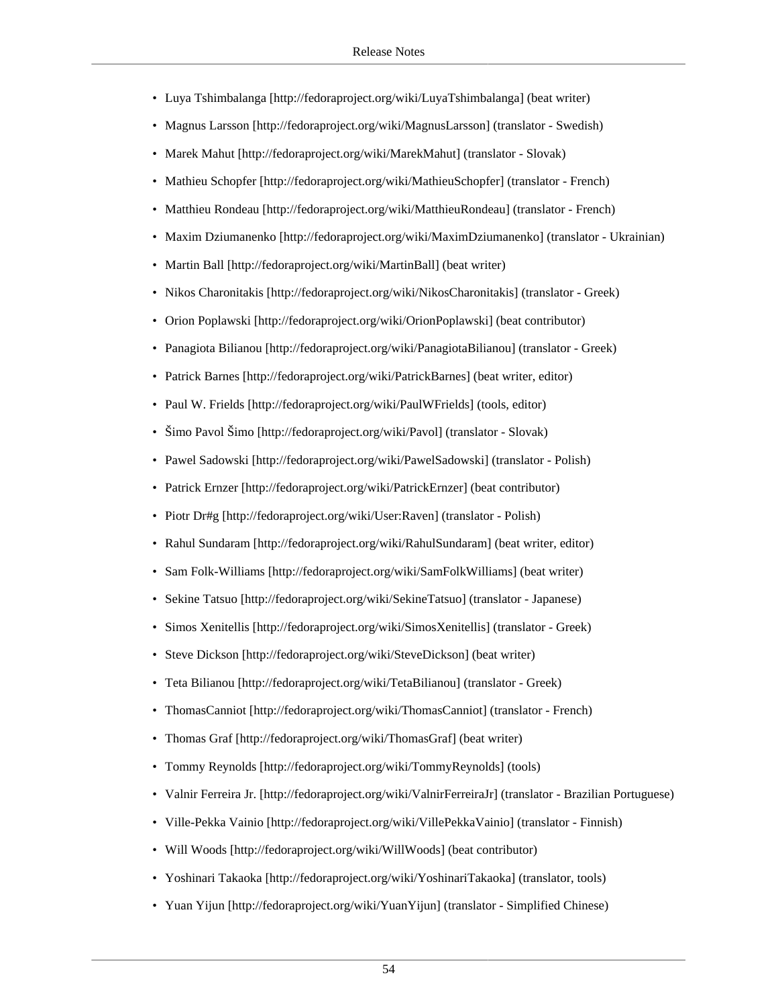- [Luya Tshimbalanga](http://fedoraproject.org/wiki/LuyaTshimbalanga) [<http://fedoraproject.org/wiki/LuyaTshimbalanga>] (beat writer)
- [Magnus Larsson](http://fedoraproject.org/wiki/MagnusLarsson) [\[http://fedoraproject.org/wiki/MagnusLarsson](http://fedoraproject.org/wiki/MagnusLarsson)] (translator Swedish)
- [Marek Mahut](http://fedoraproject.org/wiki/MarekMahut) [<http://fedoraproject.org/wiki/MarekMahut>] (translator Slovak)
- [Mathieu Schopfer](http://fedoraproject.org/wiki/MathieuSchopfer) [[http://fedoraproject.org/wiki/MathieuSchopfer\]](http://fedoraproject.org/wiki/MathieuSchopfer) (translator French)
- [Matthieu Rondeau](http://fedoraproject.org/wiki/MatthieuRondeau) [<http://fedoraproject.org/wiki/MatthieuRondeau>] (translator French)
- [Maxim Dziumanenko](http://fedoraproject.org/wiki/MaximDziumanenko) [\[http://fedoraproject.org/wiki/MaximDziumanenko\]](http://fedoraproject.org/wiki/MaximDziumanenko) (translator Ukrainian)
- [Martin Ball](http://fedoraproject.org/wiki/MartinBall) [\[http://fedoraproject.org/wiki/MartinBall](http://fedoraproject.org/wiki/MartinBall)] (beat writer)
- [Nikos Charonitakis \[http://fedoraproject.org/wiki/NikosCharonitakis\]](http://fedoraproject.org/wiki/NikosCharonitakis) (translator Greek)
- [Orion Poplawski \[http://fedoraproject.org/wiki/OrionPoplawski\]](http://fedoraproject.org/wiki/OrionPoplawski) (beat contributor)
- [Panagiota Bilianou](http://fedoraproject.org/wiki/PanagiotaBilianou) [\[http://fedoraproject.org/wiki/PanagiotaBilianou](http://fedoraproject.org/wiki/PanagiotaBilianou)] (translator Greek)
- [Patrick Barnes \[http://fedoraproject.org/wiki/PatrickBarnes\]](http://fedoraproject.org/wiki/PatrickBarnes) (beat writer, editor)
- [Paul W. Frields](http://fedoraproject.org/wiki/PaulWFrields) [\[http://fedoraproject.org/wiki/PaulWFrields\]](http://fedoraproject.org/wiki/PaulWFrields) (tools, editor)
- [Šimo Pavol Šimo](http://fedoraproject.org/wiki/Pavol) [<http://fedoraproject.org/wiki/Pavol>] (translator Slovak)
- [Pawel Sadowski](http://fedoraproject.org/wiki/PawelSadowski) [<http://fedoraproject.org/wiki/PawelSadowski>] (translator Polish)
- [Patrick Ernzer](http://fedoraproject.org/wiki/PatrickErnzer) [\[http://fedoraproject.org/wiki/PatrickErnzer\]](http://fedoraproject.org/wiki/PatrickErnzer) (beat contributor)
- [Piotr Dr#g](http://fedoraproject.org/wiki/User:Raven) [\[http://fedoraproject.org/wiki/User:Raven\]](http://fedoraproject.org/wiki/User:Raven) (translator Polish)
- [Rahul Sundaram](http://fedoraproject.org/wiki/RahulSundaram) [[http://fedoraproject.org/wiki/RahulSundaram\]](http://fedoraproject.org/wiki/RahulSundaram) (beat writer, editor)
- [Sam Folk-Williams \[http://fedoraproject.org/wiki/SamFolkWilliams\]](http://fedoraproject.org/wiki/SamFolkWilliams) (beat writer)
- [Sekine Tatsuo](http://fedoraproject.org/wiki/SekineTatsuo) [[http://fedoraproject.org/wiki/SekineTatsuo\]](http://fedoraproject.org/wiki/SekineTatsuo) (translator Japanese)
- [Simos Xenitellis](http://fedoraproject.org/wiki/SimosXenitellis) [\[http://fedoraproject.org/wiki/SimosXenitellis\]](http://fedoraproject.org/wiki/SimosXenitellis) (translator Greek)
- [Steve Dickson](http://fedoraproject.org/wiki/SteveDickson) [[http://fedoraproject.org/wiki/SteveDickson\]](http://fedoraproject.org/wiki/SteveDickson) (beat writer)
- [Teta Bilianou](http://fedoraproject.org/wiki/TetaBilianou) [<http://fedoraproject.org/wiki/TetaBilianou>] (translator Greek)
- [ThomasCanniot](http://fedoraproject.org/wiki/ThomasCanniot) [[http://fedoraproject.org/wiki/ThomasCanniot\]](http://fedoraproject.org/wiki/ThomasCanniot) (translator French)
- [Thomas Graf](http://fedoraproject.org/wiki/ThomasGraf) [[http://fedoraproject.org/wiki/ThomasGraf\]](http://fedoraproject.org/wiki/ThomasGraf) (beat writer)
- [Tommy Reynolds](http://fedoraproject.org/wiki/TommyReynolds) [[http://fedoraproject.org/wiki/TommyReynolds\]](http://fedoraproject.org/wiki/TommyReynolds) (tools)
- [Valnir Ferreira Jr.](http://fedoraproject.org/wiki/ValnirFerreiraJr) [[http://fedoraproject.org/wiki/ValnirFerreiraJr\]](http://fedoraproject.org/wiki/ValnirFerreiraJr) (translator Brazilian Portuguese)
- [Ville-Pekka Vainio](http://fedoraproject.org/wiki/VillePekkaVainio) [\[http://fedoraproject.org/wiki/VillePekkaVainio](http://fedoraproject.org/wiki/VillePekkaVainio)] (translator Finnish)
- [Will Woods \[http://fedoraproject.org/wiki/WillWoods\]](http://fedoraproject.org/wiki/WillWoods) (beat contributor)
- [Yoshinari Takaoka](http://fedoraproject.org/wiki/YoshinariTakaoka) [\[http://fedoraproject.org/wiki/YoshinariTakaoka](http://fedoraproject.org/wiki/YoshinariTakaoka)] (translator, tools)
- [Yuan Yijun](http://fedoraproject.org/wiki/YuanYijun) [[http://fedoraproject.org/wiki/YuanYijun\]](http://fedoraproject.org/wiki/YuanYijun) (translator Simplified Chinese)